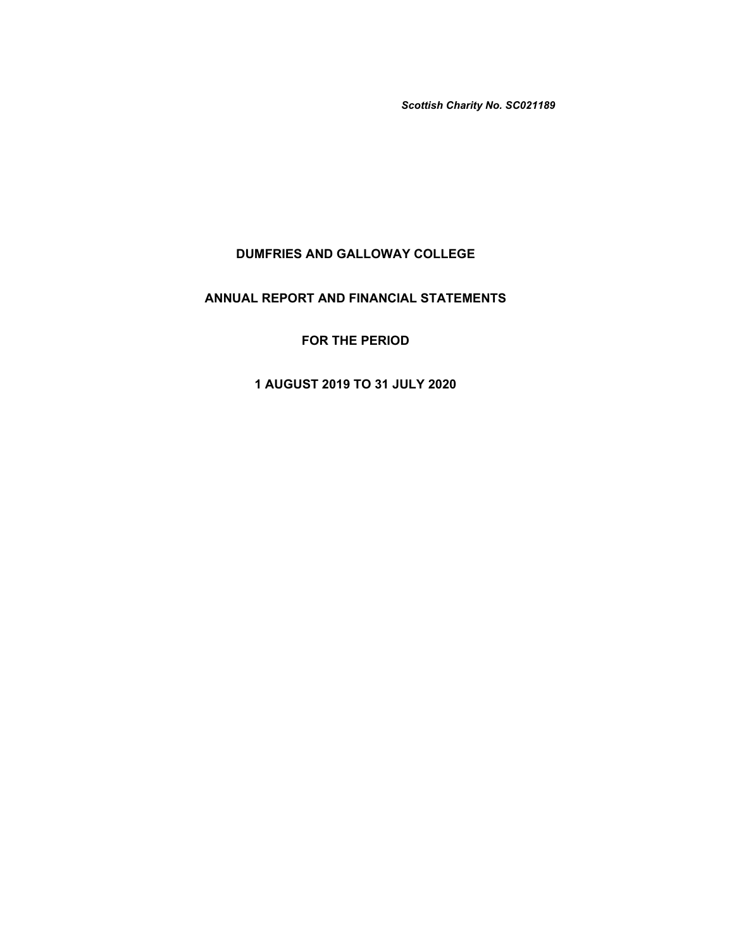*Scottish Charity No. SC021189*

# **DUMFRIES AND GALLOWAY COLLEGE**

# **ANNUAL REPORT AND FINANCIAL STATEMENTS**

# **FOR THE PERIOD**

# **1 AUGUST 2019 TO 31 JULY 2020**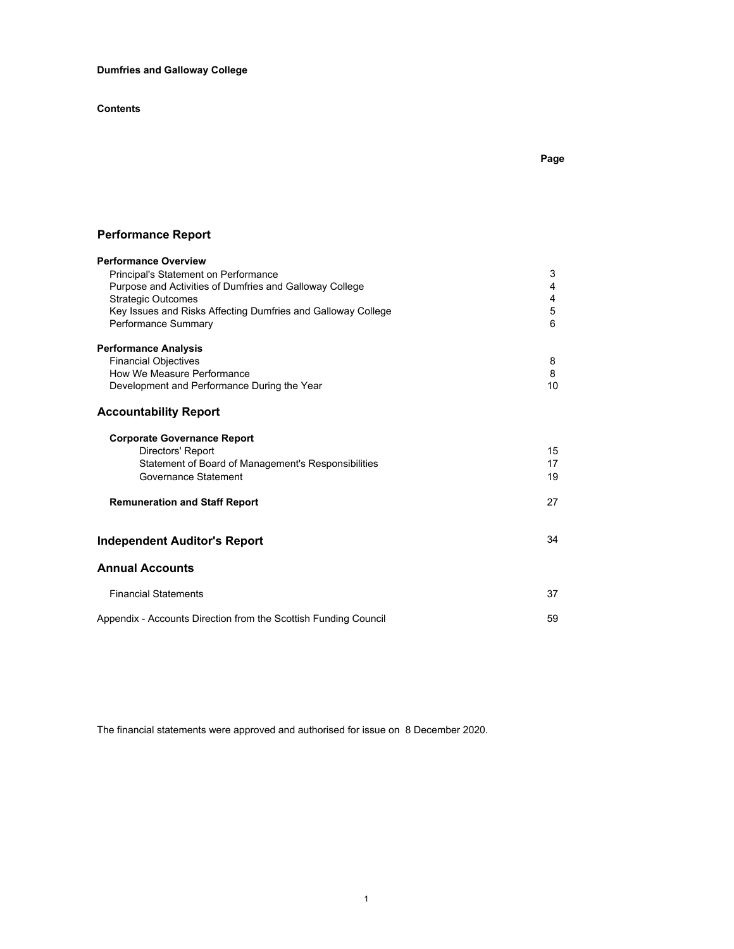**Dumfries and Galloway College**

**Contents**

# **Performance Report**

| <b>Performance Overview</b>                                     |    |
|-----------------------------------------------------------------|----|
| Principal's Statement on Performance                            | 3  |
| Purpose and Activities of Dumfries and Galloway College         | 4  |
| <b>Strategic Outcomes</b>                                       | 4  |
| Key Issues and Risks Affecting Dumfries and Galloway College    | 5  |
| Performance Summary                                             | 6  |
| <b>Performance Analysis</b>                                     |    |
| <b>Financial Objectives</b>                                     | 8  |
| How We Measure Performance                                      | 8  |
| Development and Performance During the Year                     | 10 |
| <b>Accountability Report</b>                                    |    |
| <b>Corporate Governance Report</b>                              |    |
| Directors' Report                                               | 15 |
| Statement of Board of Management's Responsibilities             | 17 |
| Governance Statement                                            | 19 |
| <b>Remuneration and Staff Report</b>                            | 27 |
| <b>Independent Auditor's Report</b>                             | 34 |
| <b>Annual Accounts</b>                                          |    |
| <b>Financial Statements</b>                                     | 37 |
| Appendix - Accounts Direction from the Scottish Funding Council | 59 |

The financial statements were approved and authorised for issue on 8 December 2020.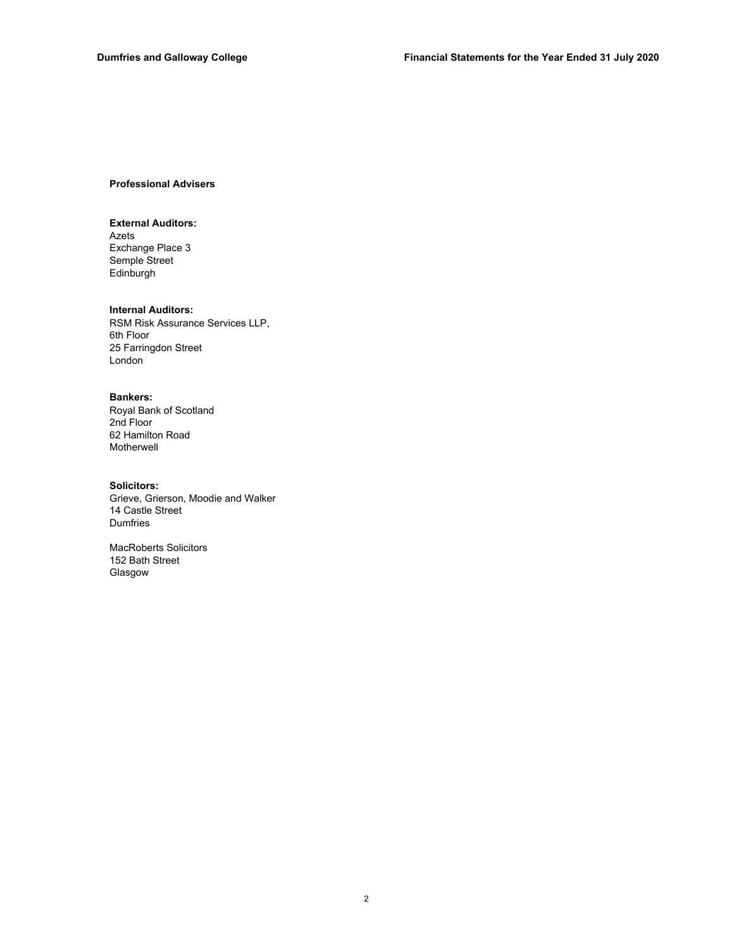## **Professional Advisers**

## **External Auditors:**

Semple Street Edinburgh Exchange Place 3 Azets

## **Internal Auditors:**

RSM Risk Assurance Services LLP, 6th Floor 25 Farringdon Street London

## **Bankers:**

Royal Bank of Scotland 2nd Floor 62 Hamilton Road Motherwell

### **Solicitors:**

Grieve, Grierson, Moodie and Walker Dumfries 14 Castle Street

MacRoberts Solicitors 152 Bath Street Glasgow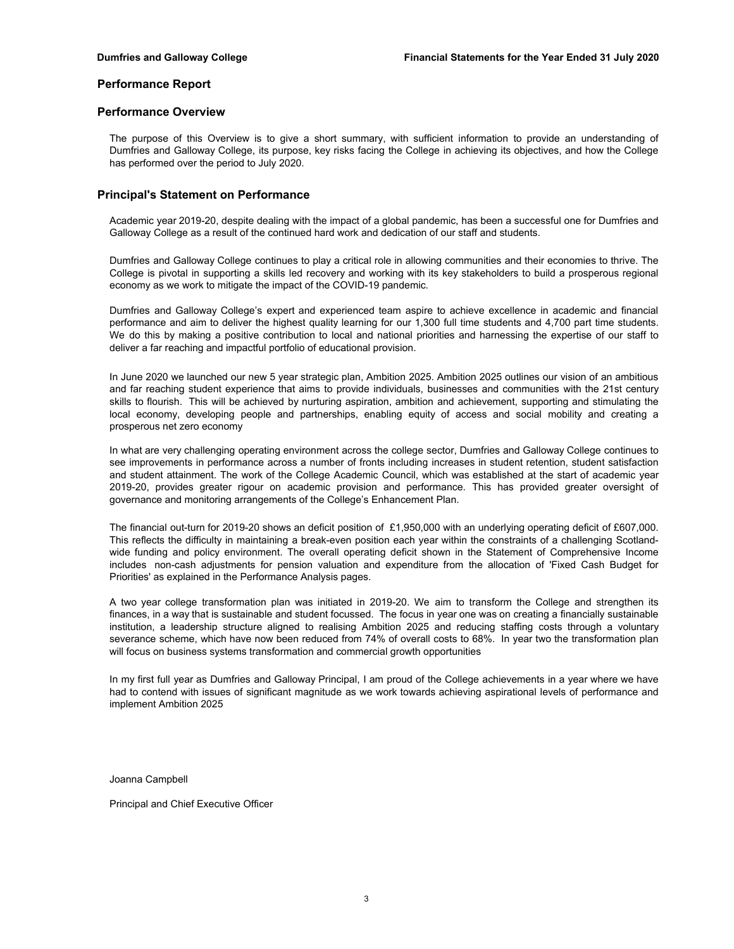## **Performance Report**

## **Performance Overview**

The purpose of this Overview is to give a short summary, with sufficient information to provide an understanding of Dumfries and Galloway College, its purpose, key risks facing the College in achieving its objectives, and how the College has performed over the period to July 2020.

## **Principal's Statement on Performance**

Academic year 2019-20, despite dealing with the impact of a global pandemic, has been a successful one for Dumfries and Galloway College as a result of the continued hard work and dedication of our staff and students.

Dumfries and Galloway College continues to play a critical role in allowing communities and their economies to thrive. The College is pivotal in supporting a skills led recovery and working with its key stakeholders to build a prosperous regional economy as we work to mitigate the impact of the COVID-19 pandemic.

Dumfries and Galloway College's expert and experienced team aspire to achieve excellence in academic and financial performance and aim to deliver the highest quality learning for our 1,300 full time students and 4,700 part time students. We do this by making a positive contribution to local and national priorities and harnessing the expertise of our staff to deliver a far reaching and impactful portfolio of educational provision.

In June 2020 we launched our new 5 year strategic plan, Ambition 2025. Ambition 2025 outlines our vision of an ambitious and far reaching student experience that aims to provide individuals, businesses and communities with the 21st century skills to flourish. This will be achieved by nurturing aspiration, ambition and achievement, supporting and stimulating the local economy, developing people and partnerships, enabling equity of access and social mobility and creating a prosperous net zero economy

In what are very challenging operating environment across the college sector, Dumfries and Galloway College continues to see improvements in performance across a number of fronts including increases in student retention, student satisfaction and student attainment. The work of the College Academic Council, which was established at the start of academic year 2019-20, provides greater rigour on academic provision and performance. This has provided greater oversight of governance and monitoring arrangements of the College's Enhancement Plan.

The financial out-turn for 2019-20 shows an deficit position of £1,950,000 with an underlying operating deficit of £607,000. This reflects the difficulty in maintaining a break-even position each year within the constraints of a challenging Scotlandwide funding and policy environment. The overall operating deficit shown in the Statement of Comprehensive Income includes non-cash adjustments for pension valuation and expenditure from the allocation of 'Fixed Cash Budget for Priorities' as explained in the Performance Analysis pages.

A two year college transformation plan was initiated in 2019-20. We aim to transform the College and strengthen its finances, in a way that is sustainable and student focussed. The focus in year one was on creating a financially sustainable institution, a leadership structure aligned to realising Ambition 2025 and reducing staffing costs through a voluntary severance scheme, which have now been reduced from 74% of overall costs to 68%. In year two the transformation plan will focus on business systems transformation and commercial growth opportunities

In my first full year as Dumfries and Galloway Principal, I am proud of the College achievements in a year where we have had to contend with issues of significant magnitude as we work towards achieving aspirational levels of performance and implement Ambition 2025

Joanna Campbell

Principal and Chief Executive Officer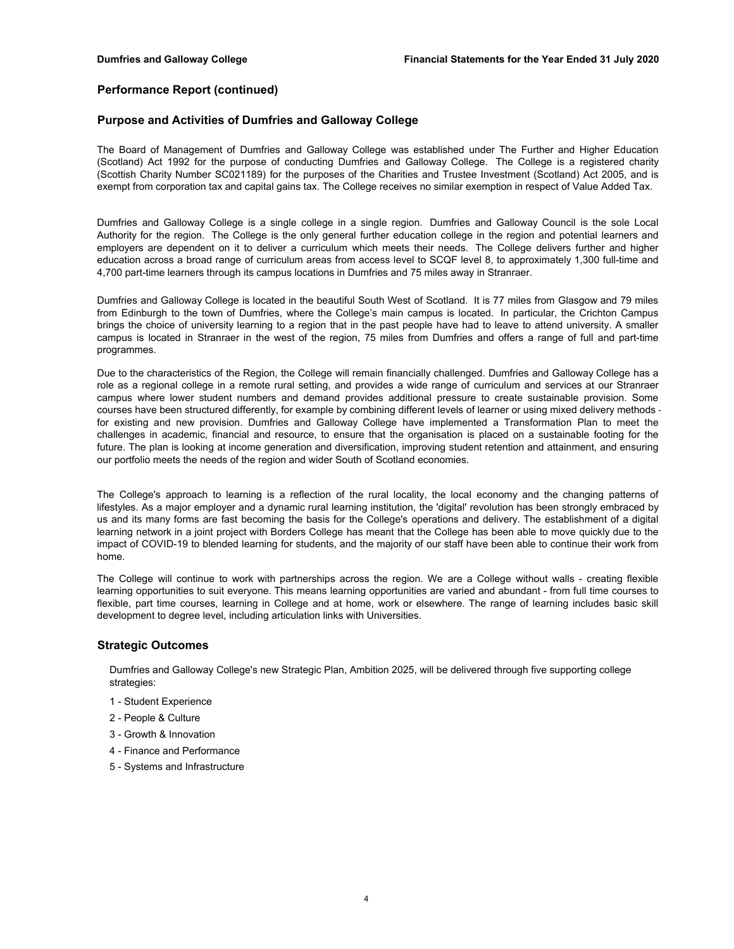## **Purpose and Activities of Dumfries and Galloway College**

The Board of Management of Dumfries and Galloway College was established under The Further and Higher Education (Scotland) Act 1992 for the purpose of conducting Dumfries and Galloway College. The College is a registered charity (Scottish Charity Number SC021189) for the purposes of the Charities and Trustee Investment (Scotland) Act 2005, and is exempt from corporation tax and capital gains tax. The College receives no similar exemption in respect of Value Added Tax.

Dumfries and Galloway College is a single college in a single region. Dumfries and Galloway Council is the sole Local Authority for the region. The College is the only general further education college in the region and potential learners and employers are dependent on it to deliver a curriculum which meets their needs. The College delivers further and higher education across a broad range of curriculum areas from access level to SCQF level 8, to approximately 1,300 full-time and 4,700 part-time learners through its campus locations in Dumfries and 75 miles away in Stranraer.

Dumfries and Galloway College is located in the beautiful South West of Scotland. It is 77 miles from Glasgow and 79 miles from Edinburgh to the town of Dumfries, where the College's main campus is located. In particular, the Crichton Campus brings the choice of university learning to a region that in the past people have had to leave to attend university. A smaller campus is located in Stranraer in the west of the region, 75 miles from Dumfries and offers a range of full and part-time programmes.

Due to the characteristics of the Region, the College will remain financially challenged. Dumfries and Galloway College has a role as a regional college in a remote rural setting, and provides a wide range of curriculum and services at our Stranraer campus where lower student numbers and demand provides additional pressure to create sustainable provision. Some courses have been structured differently, for example by combining different levels of learner or using mixed delivery methods for existing and new provision. Dumfries and Galloway College have implemented a Transformation Plan to meet the challenges in academic, financial and resource, to ensure that the organisation is placed on a sustainable footing for the future. The plan is looking at income generation and diversification, improving student retention and attainment, and ensuring our portfolio meets the needs of the region and wider South of Scotland economies.

The College's approach to learning is a reflection of the rural locality, the local economy and the changing patterns of lifestyles. As a major employer and a dynamic rural learning institution, the 'digital' revolution has been strongly embraced by us and its many forms are fast becoming the basis for the College's operations and delivery. The establishment of a digital learning network in a joint project with Borders College has meant that the College has been able to move quickly due to the impact of COVID-19 to blended learning for students, and the majority of our staff have been able to continue their work from home.

The College will continue to work with partnerships across the region. We are a College without walls - creating flexible learning opportunities to suit everyone. This means learning opportunities are varied and abundant - from full time courses to flexible, part time courses, learning in College and at home, work or elsewhere. The range of learning includes basic skill development to degree level, including articulation links with Universities.

## **Strategic Outcomes**

Dumfries and Galloway College's new Strategic Plan, Ambition 2025, will be delivered through five supporting college strategies:

- 1 Student Experience
- 2 People & Culture
- 3 Growth & Innovation
- 4 Finance and Performance
- 5 Systems and Infrastructure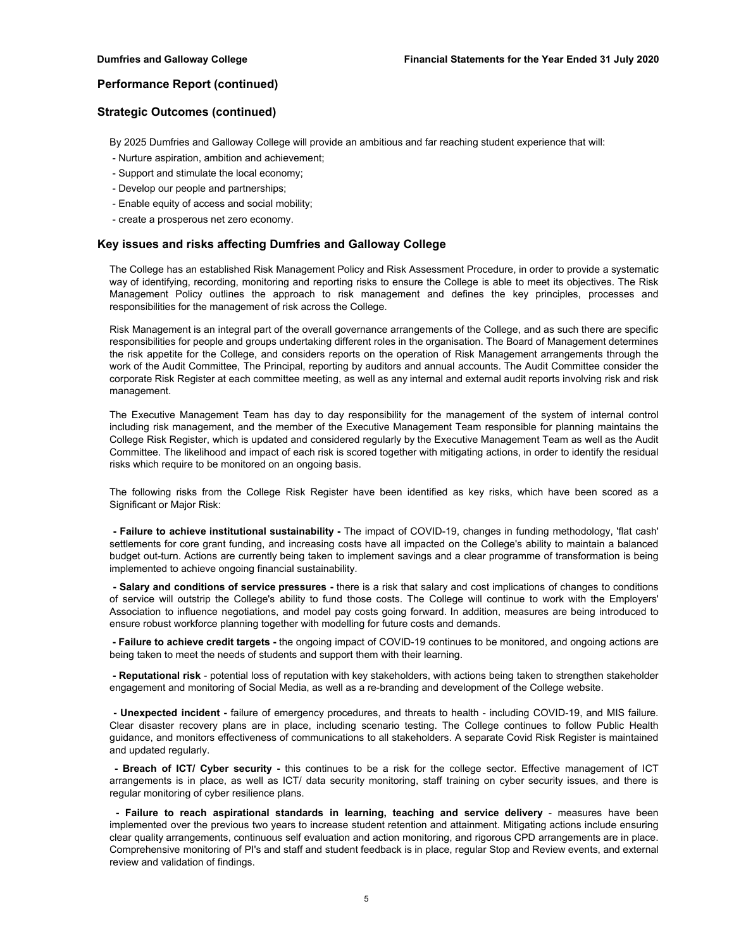## **Strategic Outcomes (continued)**

By 2025 Dumfries and Galloway College will provide an ambitious and far reaching student experience that will:

- Nurture aspiration, ambition and achievement;
- Support and stimulate the local economy;
- Develop our people and partnerships;
- Enable equity of access and social mobility;
- create a prosperous net zero economy.

## **Key issues and risks affecting Dumfries and Galloway College**

The College has an established Risk Management Policy and Risk Assessment Procedure, in order to provide a systematic way of identifying, recording, monitoring and reporting risks to ensure the College is able to meet its objectives. The Risk Management Policy outlines the approach to risk management and defines the key principles, processes and responsibilities for the management of risk across the College.

Risk Management is an integral part of the overall governance arrangements of the College, and as such there are specific responsibilities for people and groups undertaking different roles in the organisation. The Board of Management determines the risk appetite for the College, and considers reports on the operation of Risk Management arrangements through the work of the Audit Committee, The Principal, reporting by auditors and annual accounts. The Audit Committee consider the corporate Risk Register at each committee meeting, as well as any internal and external audit reports involving risk and risk management.

The Executive Management Team has day to day responsibility for the management of the system of internal control including risk management, and the member of the Executive Management Team responsible for planning maintains the College Risk Register, which is updated and considered regularly by the Executive Management Team as well as the Audit Committee. The likelihood and impact of each risk is scored together with mitigating actions, in order to identify the residual risks which require to be monitored on an ongoing basis.

The following risks from the College Risk Register have been identified as key risks, which have been scored as a Significant or Major Risk:

**- Failure to achieve institutional sustainability -** The impact of COVID-19, changes in funding methodology, 'flat cash' settlements for core grant funding, and increasing costs have all impacted on the College's ability to maintain a balanced budget out-turn. Actions are currently being taken to implement savings and a clear programme of transformation is being implemented to achieve ongoing financial sustainability.

**- Salary and conditions of service pressures -** there is a risk that salary and cost implications of changes to conditions of service will outstrip the College's ability to fund those costs. The College will continue to work with the Employers' Association to influence negotiations, and model pay costs going forward. In addition, measures are being introduced to ensure robust workforce planning together with modelling for future costs and demands.

**- Failure to achieve credit targets -** the ongoing impact of COVID-19 continues to be monitored, and ongoing actions are being taken to meet the needs of students and support them with their learning.

**- Reputational risk** - potential loss of reputation with key stakeholders, with actions being taken to strengthen stakeholder engagement and monitoring of Social Media, as well as a re-branding and development of the College website.

**- Unexpected incident -** failure of emergency procedures, and threats to health - including COVID-19, and MIS failure. Clear disaster recovery plans are in place, including scenario testing. The College continues to follow Public Health guidance, and monitors effectiveness of communications to all stakeholders. A separate Covid Risk Register is maintained and updated regularly.

**- Breach of ICT/ Cyber security -** this continues to be a risk for the college sector. Effective management of ICT arrangements is in place, as well as ICT/ data security monitoring, staff training on cyber security issues, and there is regular monitoring of cyber resilience plans.

**- Failure to reach aspirational standards in learning, teaching and service delivery** - measures have been implemented over the previous two years to increase student retention and attainment. Mitigating actions include ensuring clear quality arrangements, continuous self evaluation and action monitoring, and rigorous CPD arrangements are in place. Comprehensive monitoring of PI's and staff and student feedback is in place, regular Stop and Review events, and external review and validation of findings.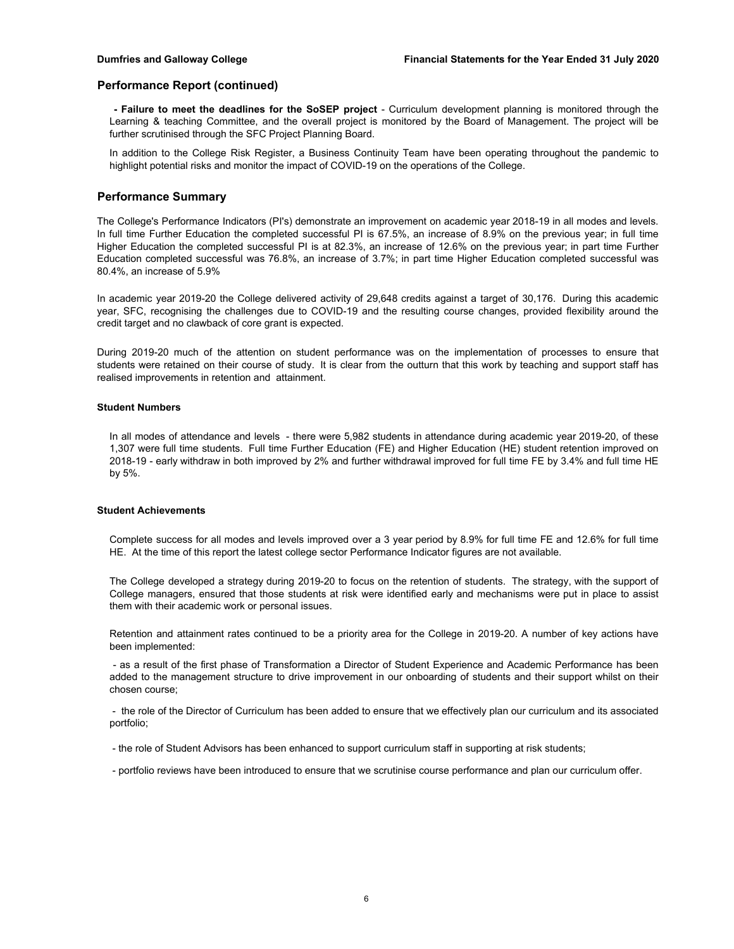**- Failure to meet the deadlines for the SoSEP project** - Curriculum development planning is monitored through the Learning & teaching Committee, and the overall project is monitored by the Board of Management. The project will be further scrutinised through the SFC Project Planning Board.

In addition to the College Risk Register, a Business Continuity Team have been operating throughout the pandemic to highlight potential risks and monitor the impact of COVID-19 on the operations of the College.

## **Performance Summary**

The College's Performance Indicators (PI's) demonstrate an improvement on academic year 2018-19 in all modes and levels. In full time Further Education the completed successful PI is 67.5%, an increase of 8.9% on the previous year; in full time Higher Education the completed successful PI is at 82.3%, an increase of 12.6% on the previous year; in part time Further Education completed successful was 76.8%, an increase of 3.7%; in part time Higher Education completed successful was 80.4%, an increase of 5.9%

In academic year 2019-20 the College delivered activity of 29,648 credits against a target of 30,176. During this academic year, SFC, recognising the challenges due to COVID-19 and the resulting course changes, provided flexibility around the credit target and no clawback of core grant is expected.

During 2019-20 much of the attention on student performance was on the implementation of processes to ensure that students were retained on their course of study. It is clear from the outturn that this work by teaching and support staff has realised improvements in retention and attainment.

### **Student Numbers**

In all modes of attendance and levels - there were 5,982 students in attendance during academic year 2019-20, of these 1,307 were full time students. Full time Further Education (FE) and Higher Education (HE) student retention improved on 2018-19 - early withdraw in both improved by 2% and further withdrawal improved for full time FE by 3.4% and full time HE by 5%.

#### **Student Achievements**

Complete success for all modes and levels improved over a 3 year period by 8.9% for full time FE and 12.6% for full time HE. At the time of this report the latest college sector Performance Indicator figures are not available.

The College developed a strategy during 2019-20 to focus on the retention of students. The strategy, with the support of College managers, ensured that those students at risk were identified early and mechanisms were put in place to assist them with their academic work or personal issues.

Retention and attainment rates continued to be a priority area for the College in 2019-20. A number of key actions have been implemented:

- as a result of the first phase of Transformation a Director of Student Experience and Academic Performance has been added to the management structure to drive improvement in our onboarding of students and their support whilst on their chosen course;

- the role of the Director of Curriculum has been added to ensure that we effectively plan our curriculum and its associated portfolio;

- the role of Student Advisors has been enhanced to support curriculum staff in supporting at risk students;

- portfolio reviews have been introduced to ensure that we scrutinise course performance and plan our curriculum offer.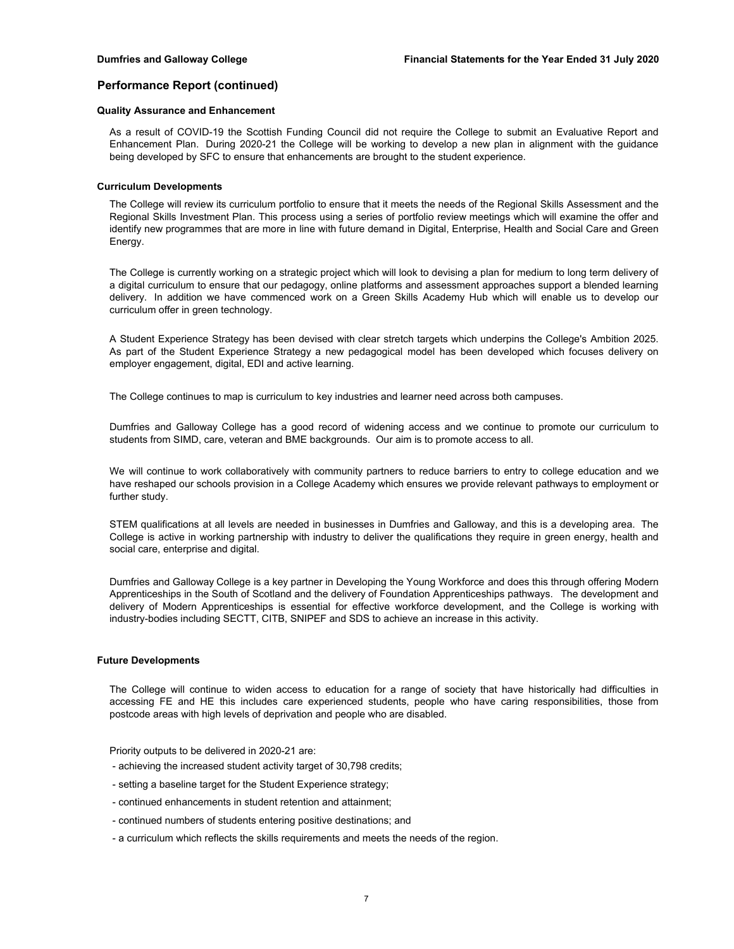## **Quality Assurance and Enhancement**

As a result of COVID-19 the Scottish Funding Council did not require the College to submit an Evaluative Report and Enhancement Plan. During 2020-21 the College will be working to develop a new plan in alignment with the guidance being developed by SFC to ensure that enhancements are brought to the student experience.

#### **Curriculum Developments**

The College will review its curriculum portfolio to ensure that it meets the needs of the Regional Skills Assessment and the Regional Skills Investment Plan. This process using a series of portfolio review meetings which will examine the offer and identify new programmes that are more in line with future demand in Digital, Enterprise, Health and Social Care and Green Energy.

The College is currently working on a strategic project which will look to devising a plan for medium to long term delivery of a digital curriculum to ensure that our pedagogy, online platforms and assessment approaches support a blended learning delivery. In addition we have commenced work on a Green Skills Academy Hub which will enable us to develop our curriculum offer in green technology.

A Student Experience Strategy has been devised with clear stretch targets which underpins the College's Ambition 2025. As part of the Student Experience Strategy a new pedagogical model has been developed which focuses delivery on employer engagement, digital, EDI and active learning.

The College continues to map is curriculum to key industries and learner need across both campuses.

Dumfries and Galloway College has a good record of widening access and we continue to promote our curriculum to students from SIMD, care, veteran and BME backgrounds. Our aim is to promote access to all.

We will continue to work collaboratively with community partners to reduce barriers to entry to college education and we have reshaped our schools provision in a College Academy which ensures we provide relevant pathways to employment or further study.

STEM qualifications at all levels are needed in businesses in Dumfries and Galloway, and this is a developing area. The College is active in working partnership with industry to deliver the qualifications they require in green energy, health and social care, enterprise and digital.

Dumfries and Galloway College is a key partner in Developing the Young Workforce and does this through offering Modern Apprenticeships in the South of Scotland and the delivery of Foundation Apprenticeships pathways. The development and delivery of Modern Apprenticeships is essential for effective workforce development, and the College is working with industry-bodies including SECTT, CITB, SNIPEF and SDS to achieve an increase in this activity.

#### **Future Developments**

The College will continue to widen access to education for a range of society that have historically had difficulties in accessing FE and HE this includes care experienced students, people who have caring responsibilities, those from postcode areas with high levels of deprivation and people who are disabled.

Priority outputs to be delivered in 2020-21 are:

- achieving the increased student activity target of 30,798 credits;
- setting a baseline target for the Student Experience strategy;
- continued enhancements in student retention and attainment;
- continued numbers of students entering positive destinations; and
- a curriculum which reflects the skills requirements and meets the needs of the region.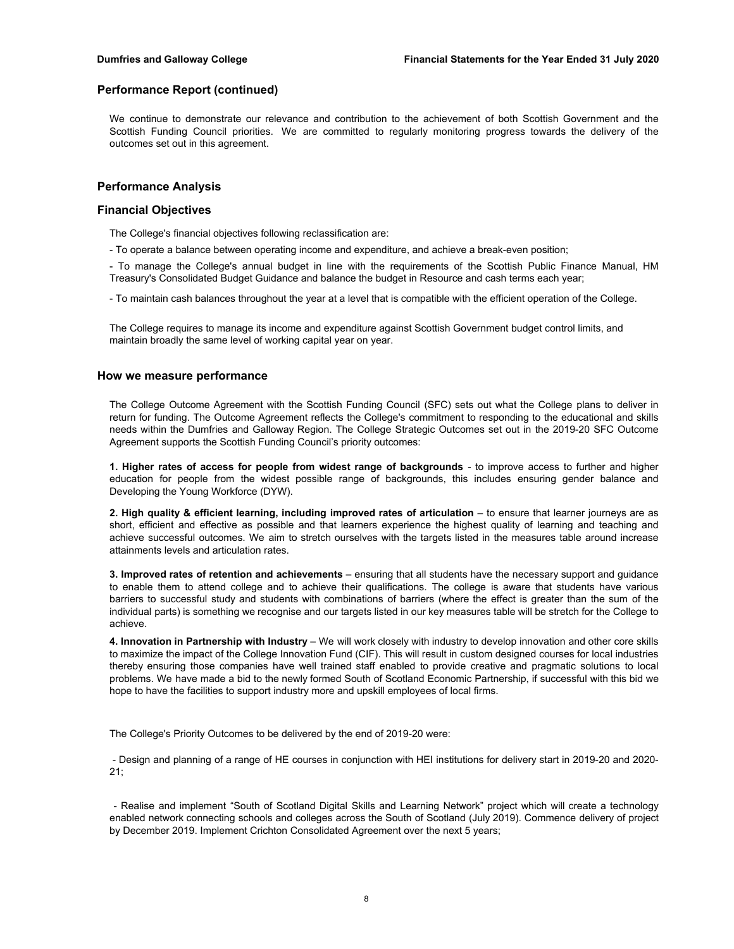We continue to demonstrate our relevance and contribution to the achievement of both Scottish Government and the Scottish Funding Council priorities. We are committed to regularly monitoring progress towards the delivery of the outcomes set out in this agreement.

## **Performance Analysis**

## **Financial Objectives**

The College's financial objectives following reclassification are:

- To operate a balance between operating income and expenditure, and achieve a break-even position;

- To manage the College's annual budget in line with the requirements of the Scottish Public Finance Manual, HM Treasury's Consolidated Budget Guidance and balance the budget in Resource and cash terms each year;

- To maintain cash balances throughout the year at a level that is compatible with the efficient operation of the College.

The College requires to manage its income and expenditure against Scottish Government budget control limits, and maintain broadly the same level of working capital year on year.

#### **How we measure performance**

The College Outcome Agreement with the Scottish Funding Council (SFC) sets out what the College plans to deliver in return for funding. The Outcome Agreement reflects the College's commitment to responding to the educational and skills needs within the Dumfries and Galloway Region. The College Strategic Outcomes set out in the 2019-20 SFC Outcome Agreement supports the Scottish Funding Council's priority outcomes:

**1. Higher rates of access for people from widest range of backgrounds** - to improve access to further and higher education for people from the widest possible range of backgrounds, this includes ensuring gender balance and Developing the Young Workforce (DYW).

**2. High quality & efficient learning, including improved rates of articulation** – to ensure that learner journeys are as short, efficient and effective as possible and that learners experience the highest quality of learning and teaching and achieve successful outcomes. We aim to stretch ourselves with the targets listed in the measures table around increase attainments levels and articulation rates.

**3. Improved rates of retention and achievements** – ensuring that all students have the necessary support and guidance to enable them to attend college and to achieve their qualifications. The college is aware that students have various barriers to successful study and students with combinations of barriers (where the effect is greater than the sum of the individual parts) is something we recognise and our targets listed in our key measures table will be stretch for the College to achieve.

**4. Innovation in Partnership with Industry** – We will work closely with industry to develop innovation and other core skills to maximize the impact of the College Innovation Fund (CIF). This will result in custom designed courses for local industries thereby ensuring those companies have well trained staff enabled to provide creative and pragmatic solutions to local problems. We have made a bid to the newly formed South of Scotland Economic Partnership, if successful with this bid we hope to have the facilities to support industry more and upskill employees of local firms.

The College's Priority Outcomes to be delivered by the end of 2019-20 were:

- Design and planning of a range of HE courses in conjunction with HEI institutions for delivery start in 2019-20 and 2020- 21;

- Realise and implement "South of Scotland Digital Skills and Learning Network" project which will create a technology enabled network connecting schools and colleges across the South of Scotland (July 2019). Commence delivery of project by December 2019. Implement Crichton Consolidated Agreement over the next 5 years;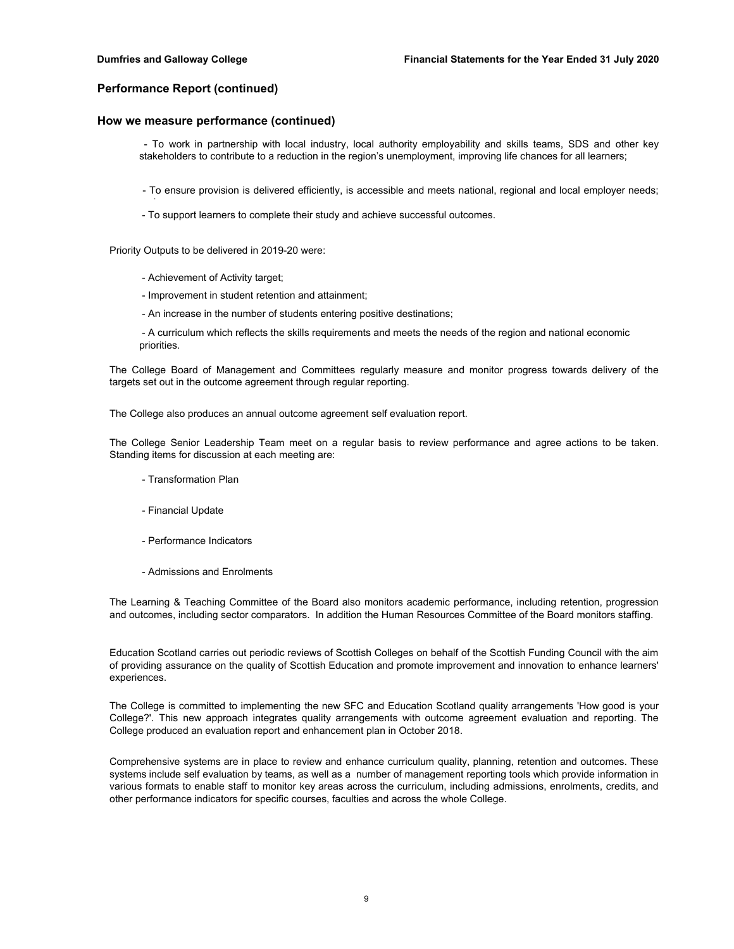d

## **Performance Report (continued)**

## **How we measure performance (continued)**

- To work in partnership with local industry, local authority employability and skills teams, SDS and other key stakeholders to contribute to a reduction in the region's unemployment, improving life chances for all learners;

- To ensure provision is delivered efficiently, is accessible and meets national, regional and local employer needs;
- To support learners to complete their study and achieve successful outcomes.

Priority Outputs to be delivered in 2019-20 were:

- Achievement of Activity target;
- Improvement in student retention and attainment;
- An increase in the number of students entering positive destinations;

 - A curriculum which reflects the skills requirements and meets the needs of the region and national economic priorities.

The College Board of Management and Committees regularly measure and monitor progress towards delivery of the targets set out in the outcome agreement through regular reporting.

The College also produces an annual outcome agreement self evaluation report.

The College Senior Leadership Team meet on a regular basis to review performance and agree actions to be taken. Standing items for discussion at each meeting are:

- Transformation Plan
- Financial Update
- Performance Indicators
- Admissions and Enrolments

The Learning & Teaching Committee of the Board also monitors academic performance, including retention, progression and outcomes, including sector comparators. In addition the Human Resources Committee of the Board monitors staffing.

Education Scotland carries out periodic reviews of Scottish Colleges on behalf of the Scottish Funding Council with the aim of providing assurance on the quality of Scottish Education and promote improvement and innovation to enhance learners' experiences.

The College is committed to implementing the new SFC and Education Scotland quality arrangements 'How good is your College?'. This new approach integrates quality arrangements with outcome agreement evaluation and reporting. The College produced an evaluation report and enhancement plan in October 2018.

Comprehensive systems are in place to review and enhance curriculum quality, planning, retention and outcomes. These systems include self evaluation by teams, as well as a number of management reporting tools which provide information in various formats to enable staff to monitor key areas across the curriculum, including admissions, enrolments, credits, and other performance indicators for specific courses, faculties and across the whole College.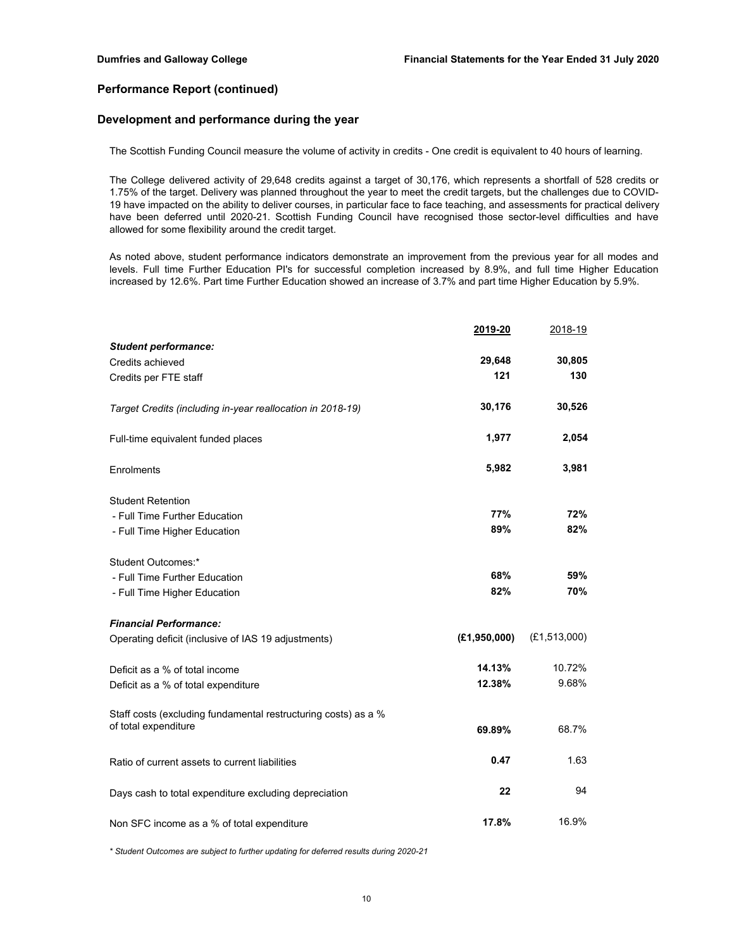## **Development and performance during the year**

The Scottish Funding Council measure the volume of activity in credits - One credit is equivalent to 40 hours of learning.

The College delivered activity of 29,648 credits against a target of 30,176, which represents a shortfall of 528 credits or 1.75% of the target. Delivery was planned throughout the year to meet the credit targets, but the challenges due to COVID-19 have impacted on the ability to deliver courses, in particular face to face teaching, and assessments for practical delivery have been deferred until 2020-21. Scottish Funding Council have recognised those sector-level difficulties and have allowed for some flexibility around the credit target.

As noted above, student performance indicators demonstrate an improvement from the previous year for all modes and levels. Full time Further Education PI's for successful completion increased by 8.9%, and full time Higher Education increased by 12.6%. Part time Further Education showed an increase of 3.7% and part time Higher Education by 5.9%.

|                                                                | 2019-20      | 2018-19        |
|----------------------------------------------------------------|--------------|----------------|
| <b>Student performance:</b>                                    |              |                |
| Credits achieved                                               | 29,648       | 30,805         |
| Credits per FTE staff                                          | 121          | 130            |
| Target Credits (including in-year reallocation in 2018-19)     | 30,176       | 30,526         |
| Full-time equivalent funded places                             | 1,977        | 2,054          |
| Enrolments                                                     | 5,982        | 3,981          |
| <b>Student Retention</b>                                       |              |                |
| - Full Time Further Education                                  | 77%          | 72%            |
| - Full Time Higher Education                                   | 89%          | 82%            |
| Student Outcomes:*                                             |              |                |
| - Full Time Further Education                                  | 68%          | 59%            |
| - Full Time Higher Education                                   | 82%          | 70%            |
| <b>Financial Performance:</b>                                  |              |                |
| Operating deficit (inclusive of IAS 19 adjustments)            | (E1,950,000) | (E1, 513, 000) |
| Deficit as a % of total income                                 | 14.13%       | 10.72%         |
| Deficit as a % of total expenditure                            | 12.38%       | 9.68%          |
| Staff costs (excluding fundamental restructuring costs) as a % |              |                |
| of total expenditure                                           | 69.89%       | 68.7%          |
| Ratio of current assets to current liabilities                 | 0.47         | 1.63           |
| Days cash to total expenditure excluding depreciation          | 22           | 94             |
| Non SFC income as a % of total expenditure                     | 17.8%        | 16.9%          |

*\* Student Outcomes are subject to further updating for deferred results during 2020-21*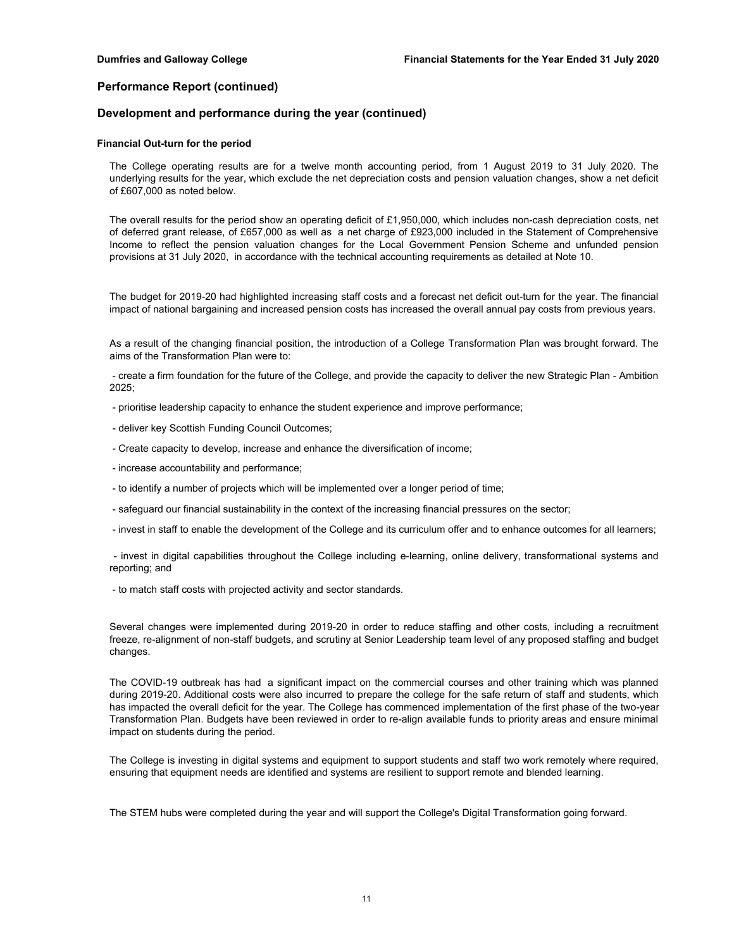## **Development and performance during the year (continued)**

#### **Financial Out-turn for the period**

The College operating results are for a twelve month accounting period, from 1 August 2019 to 31 July 2020. The underlying results for the year, which exclude the net depreciation costs and pension valuation changes, show a net deficit of £607,000 as noted below.

The overall results for the period show an operating deficit of £1,950,000, which includes non-cash depreciation costs, net of deferred grant release, of £657,000 as well as a net charge of £923,000 included in the Statement of Comprehensive Income to reflect the pension valuation changes for the Local Government Pension Scheme and unfunded pension provisions at 31 July 2020, in accordance with the technical accounting requirements as detailed at Note 10.

The budget for 2019-20 had highlighted increasing staff costs and a forecast net deficit out-turn for the year. The financial impact of national bargaining and increased pension costs has increased the overall annual pay costs from previous years.

As a result of the changing financial position, the introduction of a College Transformation Plan was brought forward. The aims of the Transformation Plan were to:

- create a firm foundation for the future of the College, and provide the capacity to deliver the new Strategic Plan - Ambition 2025;

- prioritise leadership capacity to enhance the student experience and improve performance;
- deliver key Scottish Funding Council Outcomes;
- Create capacity to develop, increase and enhance the diversification of income;
- increase accountability and performance;
- to identify a number of projects which will be implemented over a longer period of time;
- safeguard our financial sustainability in the context of the increasing financial pressures on the sector;
- invest in staff to enable the development of the College and its curriculum offer and to enhance outcomes for all learners;

- invest in digital capabilities throughout the College including e-learning, online delivery, transformational systems and reporting; and

- to match staff costs with projected activity and sector standards.

Several changes were implemented during 2019-20 in order to reduce staffing and other costs, including a recruitment freeze, re-alignment of non-staff budgets, and scrutiny at Senior Leadership team level of any proposed staffing and budget changes.

The COVID-19 outbreak has had a significant impact on the commercial courses and other training which was planned during 2019-20. Additional costs were also incurred to prepare the college for the safe return of staff and students, which has impacted the overall deficit for the year. The College has commenced implementation of the first phase of the two-year Transformation Plan. Budgets have been reviewed in order to re-align available funds to priority areas and ensure minimal impact on students during the period.

The College is investing in digital systems and equipment to support students and staff two work remotely where required, ensuring that equipment needs are identified and systems are resilient to support remote and blended learning.

The STEM hubs were completed during the year and will support the College's Digital Transformation going forward.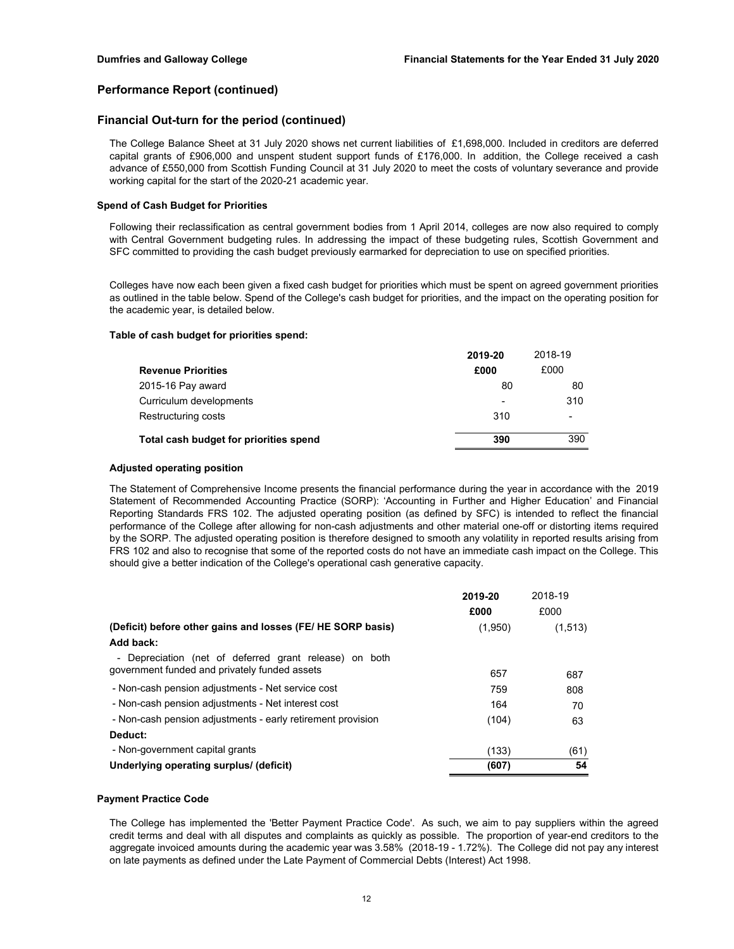## **Financial Out-turn for the period (continued)**

The College Balance Sheet at 31 July 2020 shows net current liabilities of £1,698,000. Included in creditors are deferred capital grants of £906,000 and unspent student support funds of £176,000. In addition, the College received a cash advance of £550,000 from Scottish Funding Council at 31 July 2020 to meet the costs of voluntary severance and provide working capital for the start of the 2020-21 academic year.

#### **Spend of Cash Budget for Priorities**

Following their reclassification as central government bodies from 1 April 2014, colleges are now also required to comply with Central Government budgeting rules. In addressing the impact of these budgeting rules, Scottish Government and SFC committed to providing the cash budget previously earmarked for depreciation to use on specified priorities.

Colleges have now each been given a fixed cash budget for priorities which must be spent on agreed government priorities as outlined in the table below. Spend of the College's cash budget for priorities, and the impact on the operating position for the academic year, is detailed below.

#### **Table of cash budget for priorities spend:**

|                                        | 2019-20 | 2018-19 |
|----------------------------------------|---------|---------|
| <b>Revenue Priorities</b>              | £000    | £000    |
| 2015-16 Pay award                      | 80      | 80      |
| Curriculum developments                | -       | 310     |
| Restructuring costs                    | 310     | ٠       |
| Total cash budget for priorities spend | 390     | 390     |

#### **Adjusted operating position**

The Statement of Comprehensive Income presents the financial performance during the year in accordance with the 2019 Statement of Recommended Accounting Practice (SORP): 'Accounting in Further and Higher Education' and Financial Reporting Standards FRS 102. The adjusted operating position (as defined by SFC) is intended to reflect the financial performance of the College after allowing for non-cash adjustments and other material one-off or distorting items required by the SORP. The adjusted operating position is therefore designed to smooth any volatility in reported results arising from FRS 102 and also to recognise that some of the reported costs do not have an immediate cash impact on the College. This should give a better indication of the College's operational cash generative capacity.

|                                                             | 2019-20 | 2018-19 |
|-------------------------------------------------------------|---------|---------|
|                                                             | £000    | £000    |
| (Deficit) before other gains and losses (FE/HE SORP basis)  | (1,950) | (1,513) |
| Add back:                                                   |         |         |
| - Depreciation (net of deferred grant release) on both      |         |         |
| government funded and privately funded assets               | 657     | 687     |
| - Non-cash pension adjustments - Net service cost           | 759     | 808     |
| - Non-cash pension adjustments - Net interest cost          | 164     | 70      |
| - Non-cash pension adjustments - early retirement provision | (104)   | 63      |
| Deduct:                                                     |         |         |
| - Non-government capital grants                             | (133)   | (61)    |
| Underlying operating surplus/ (deficit)                     | (607)   | 54      |

#### **Payment Practice Code**

The College has implemented the 'Better Payment Practice Code'. As such, we aim to pay suppliers within the agreed credit terms and deal with all disputes and complaints as quickly as possible. The proportion of year-end creditors to the aggregate invoiced amounts during the academic year was 3.58% (2018-19 - 1.72%). The College did not pay any interest on late payments as defined under the Late Payment of Commercial Debts (Interest) Act 1998.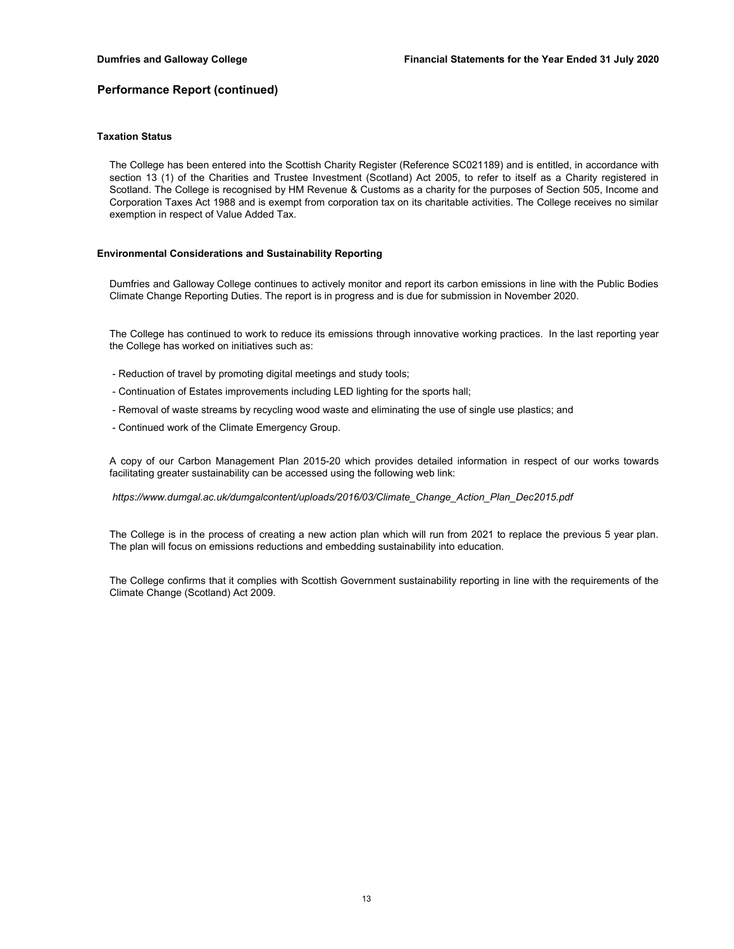## **Taxation Status**

The College has been entered into the Scottish Charity Register (Reference SC021189) and is entitled, in accordance with section 13 (1) of the Charities and Trustee Investment (Scotland) Act 2005, to refer to itself as a Charity registered in Scotland. The College is recognised by HM Revenue & Customs as a charity for the purposes of Section 505, Income and Corporation Taxes Act 1988 and is exempt from corporation tax on its charitable activities. The College receives no similar exemption in respect of Value Added Tax.

### **Environmental Considerations and Sustainability Reporting**

Dumfries and Galloway College continues to actively monitor and report its carbon emissions in line with the Public Bodies Climate Change Reporting Duties. The report is in progress and is due for submission in November 2020.

The College has continued to work to reduce its emissions through innovative working practices. In the last reporting year the College has worked on initiatives such as:

- Reduction of travel by promoting digital meetings and study tools;
- Continuation of Estates improvements including LED lighting for the sports hall;
- Removal of waste streams by recycling wood waste and eliminating the use of single use plastics; and
- Continued work of the Climate Emergency Group.

A copy of our Carbon Management Plan 2015-20 which provides detailed information in respect of our works towards facilitating greater sustainability can be accessed using the following web link:

### *https://www.dumgal.ac.uk/dumgalcontent/uploads/2016/03/Climate\_Change\_Action\_Plan\_Dec2015.pdf*

The College is in the process of creating a new action plan which will run from 2021 to replace the previous 5 year plan. The plan will focus on emissions reductions and embedding sustainability into education.

The College confirms that it complies with Scottish Government sustainability reporting in line with the requirements of the Climate Change (Scotland) Act 2009.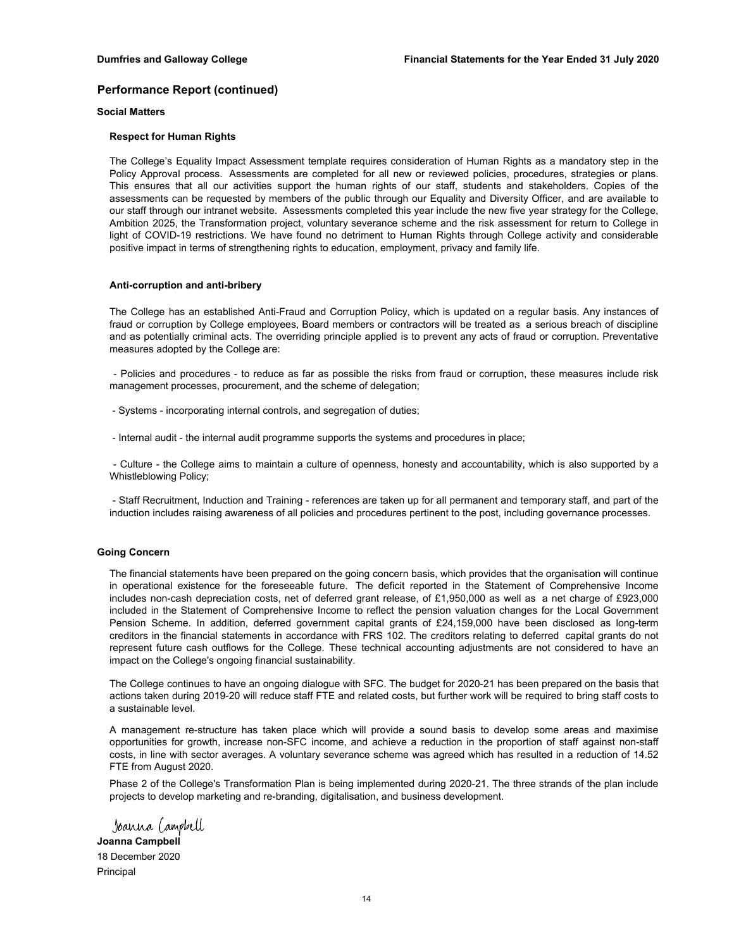## **Social Matters**

## **Respect for Human Rights**

The College's Equality Impact Assessment template requires consideration of Human Rights as a mandatory step in the Policy Approval process. Assessments are completed for all new or reviewed policies, procedures, strategies or plans. This ensures that all our activities support the human rights of our staff, students and stakeholders. Copies of the assessments can be requested by members of the public through our Equality and Diversity Officer, and are available to our staff through our intranet website. Assessments completed this year include the new five year strategy for the College, Ambition 2025, the Transformation project, voluntary severance scheme and the risk assessment for return to College in light of COVID-19 restrictions. We have found no detriment to Human Rights through College activity and considerable positive impact in terms of strengthening rights to education, employment, privacy and family life.

#### **Anti-corruption and anti-bribery**

The College has an established Anti-Fraud and Corruption Policy, which is updated on a regular basis. Any instances of fraud or corruption by College employees, Board members or contractors will be treated as a serious breach of discipline and as potentially criminal acts. The overriding principle applied is to prevent any acts of fraud or corruption. Preventative measures adopted by the College are:

- Policies and procedures - to reduce as far as possible the risks from fraud or corruption, these measures include risk management processes, procurement, and the scheme of delegation;

- Systems - incorporating internal controls, and segregation of duties;

- Internal audit - the internal audit programme supports the systems and procedures in place;

- Culture - the College aims to maintain a culture of openness, honesty and accountability, which is also supported by a Whistleblowing Policy;

- Staff Recruitment, Induction and Training - references are taken up for all permanent and temporary staff, and part of the induction includes raising awareness of all policies and procedures pertinent to the post, including governance processes.

#### **Going Concern**

The financial statements have been prepared on the going concern basis, which provides that the organisation will continue in operational existence for the foreseeable future. The deficit reported in the Statement of Comprehensive Income includes non-cash depreciation costs, net of deferred grant release, of £1,950,000 as well as a net charge of £923,000 included in the Statement of Comprehensive Income to reflect the pension valuation changes for the Local Government Pension Scheme. In addition, deferred government capital grants of £24,159,000 have been disclosed as long-term creditors in the financial statements in accordance with FRS 102. The creditors relating to deferred capital grants do not represent future cash outflows for the College. These technical accounting adjustments are not considered to have an impact on the College's ongoing financial sustainability.

The College continues to have an ongoing dialogue with SFC. The budget for 2020-21 has been prepared on the basis that actions taken during 2019-20 will reduce staff FTE and related costs, but further work will be required to bring staff costs to a sustainable level.

A management re-structure has taken place which will provide a sound basis to develop some areas and maximise opportunities for growth, increase non-SFC income, and achieve a reduction in the proportion of staff against non-staff costs, in line with sector averages. A voluntary severance scheme was agreed which has resulted in a reduction of 14.52 FTE from August 2020.

Phase 2 of the College's Transformation Plan is being implemented during 2020-21. The three strands of the plan include projects to develop marketing and re-branding, digitalisation, and business development.

Joanna (ampbell **Joanna Campbell** 18 December 2020Principal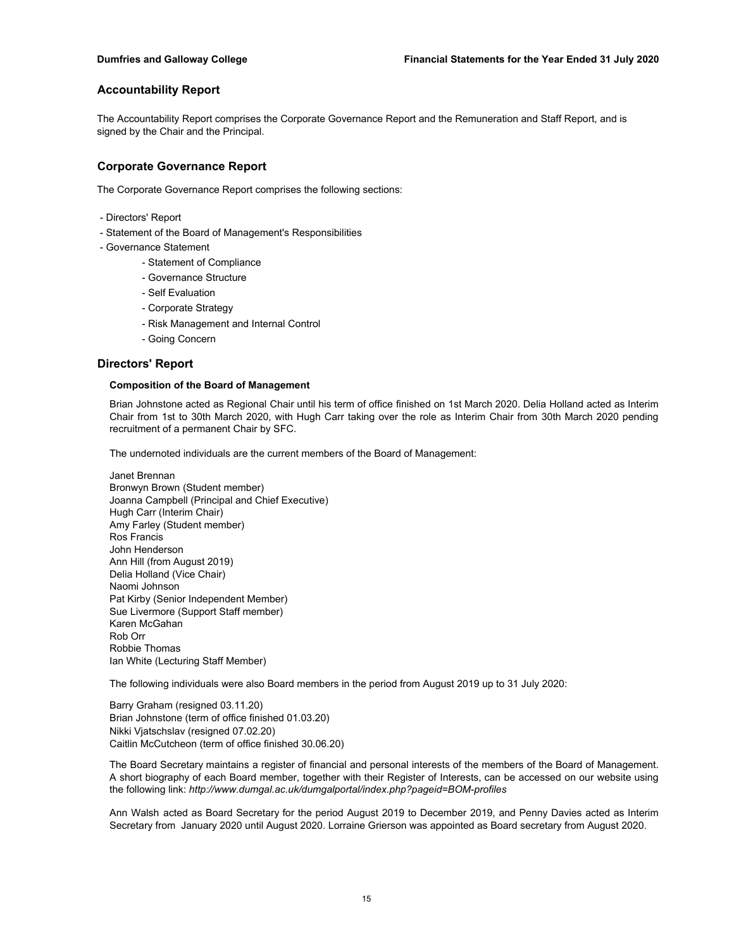The Accountability Report comprises the Corporate Governance Report and the Remuneration and Staff Report, and is signed by the Chair and the Principal.

## **Corporate Governance Report**

The Corporate Governance Report comprises the following sections:

- Directors' Report
- Statement of the Board of Management's Responsibilities
- Governance Statement
	- Statement of Compliance
	- Governance Structure
	- Self Evaluation
	- Corporate Strategy
	- Risk Management and Internal Control
	- Going Concern

## **Directors' Report**

### **Composition of the Board of Management**

Brian Johnstone acted as Regional Chair until his term of office finished on 1st March 2020. Delia Holland acted as Interim Chair from 1st to 30th March 2020, with Hugh Carr taking over the role as Interim Chair from 30th March 2020 pending recruitment of a permanent Chair by SFC.

The undernoted individuals are the current members of the Board of Management:

Janet Brennan Bronwyn Brown (Student member) Joanna Campbell (Principal and Chief Executive) Hugh Carr (Interim Chair) Amy Farley (Student member) Ros Francis John Henderson Ann Hill (from August 2019) Delia Holland (Vice Chair) Naomi Johnson Pat Kirby (Senior Independent Member) Sue Livermore (Support Staff member) Karen McGahan Rob Orr Robbie Thomas Ian White (Lecturing Staff Member)

The following individuals were also Board members in the period from August 2019 up to 31 July 2020:

Brian Johnstone (term of office finished 01.03.20) Nikki Vjatschslav (resigned 07.02.20) Caitlin McCutcheon (term of office finished 30.06.20) Barry Graham (resigned 03.11.20)

The Board Secretary maintains a register of financial and personal interests of the members of the Board of Management. A short biography of each Board member, together with their Register of Interests, can be accessed on our website using the following link: *http://www.dumgal.ac.uk/dumgalportal/index.php?pageid=BOM-profiles*

Ann Walsh acted as Board Secretary for the period August 2019 to December 2019, and Penny Davies acted as Interim Secretary from January 2020 until August 2020. Lorraine Grierson was appointed as Board secretary from August 2020.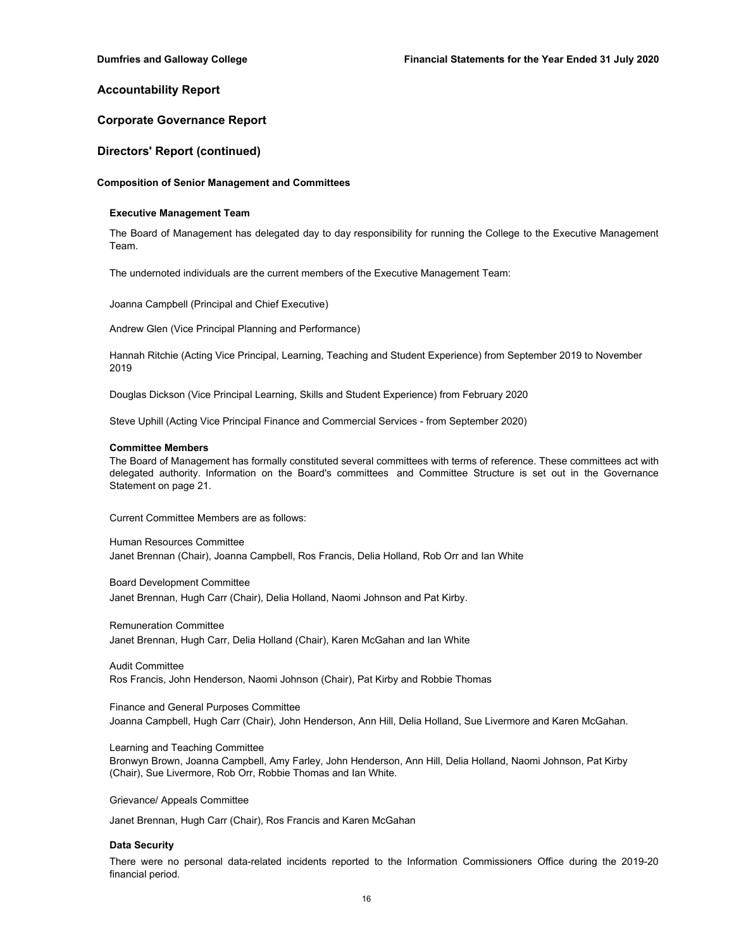## **Corporate Governance Report**

## **Directors' Report (continued)**

#### **Composition of Senior Management and Committees**

#### **Executive Management Team**

The Board of Management has delegated day to day responsibility for running the College to the Executive Management Team.

The undernoted individuals are the current members of the Executive Management Team:

Joanna Campbell (Principal and Chief Executive)

Andrew Glen (Vice Principal Planning and Performance)

Hannah Ritchie (Acting Vice Principal, Learning, Teaching and Student Experience) from September 2019 to November 2019

Douglas Dickson (Vice Principal Learning, Skills and Student Experience) from February 2020

Steve Uphill (Acting Vice Principal Finance and Commercial Services - from September 2020)

#### **Committee Members**

The Board of Management has formally constituted several committees with terms of reference. These committees act with delegated authority. Information on the Board's committees and Committee Structure is set out in the Governance Statement on page 21.

Current Committee Members are as follows:

Human Resources Committee Janet Brennan (Chair), Joanna Campbell, Ros Francis, Delia Holland, Rob Orr and Ian White

Board Development Committee

Janet Brennan, Hugh Carr (Chair), Delia Holland, Naomi Johnson and Pat Kirby.

Remuneration Committee

Janet Brennan, Hugh Carr, Delia Holland (Chair), Karen McGahan and Ian White

Audit Committee Ros Francis, John Henderson, Naomi Johnson (Chair), Pat Kirby and Robbie Thomas

Finance and General Purposes Committee Joanna Campbell, Hugh Carr (Chair), John Henderson, Ann Hill, Delia Holland, Sue Livermore and Karen McGahan.

Learning and Teaching Committee

Bronwyn Brown, Joanna Campbell, Amy Farley, John Henderson, Ann Hill, Delia Holland, Naomi Johnson, Pat Kirby (Chair), Sue Livermore, Rob Orr, Robbie Thomas and Ian White.

Grievance/ Appeals Committee

Janet Brennan, Hugh Carr (Chair), Ros Francis and Karen McGahan

### **Data Security**

There were no personal data-related incidents reported to the Information Commissioners Office during the 2019-20 financial period.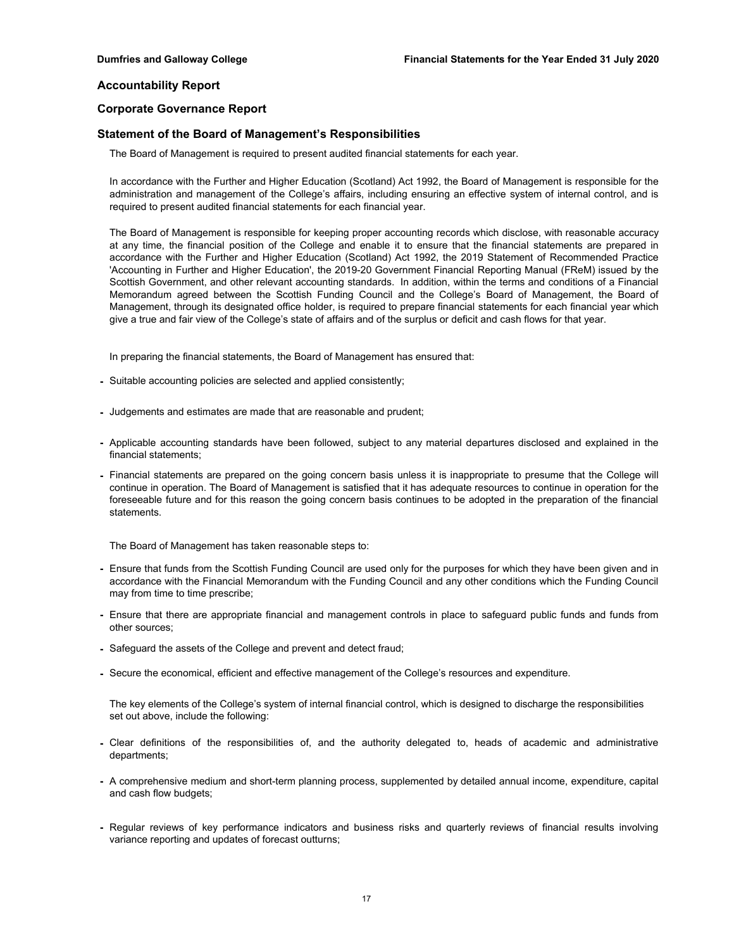## **Corporate Governance Report**

## **Statement of the Board of Management's Responsibilities**

The Board of Management is required to present audited financial statements for each year.

In accordance with the Further and Higher Education (Scotland) Act 1992, the Board of Management is responsible for the administration and management of the College's affairs, including ensuring an effective system of internal control, and is required to present audited financial statements for each financial year.

The Board of Management is responsible for keeping proper accounting records which disclose, with reasonable accuracy at any time, the financial position of the College and enable it to ensure that the financial statements are prepared in accordance with the Further and Higher Education (Scotland) Act 1992, the 2019 Statement of Recommended Practice 'Accounting in Further and Higher Education', the 2019-20 Government Financial Reporting Manual (FReM) issued by the Scottish Government, and other relevant accounting standards. In addition, within the terms and conditions of a Financial Memorandum agreed between the Scottish Funding Council and the College's Board of Management, the Board of Management, through its designated office holder, is required to prepare financial statements for each financial year which give a true and fair view of the College's state of affairs and of the surplus or deficit and cash flows for that year.

In preparing the financial statements, the Board of Management has ensured that:

- Suitable accounting policies are selected and applied consistently;
- Judgements and estimates are made that are reasonable and prudent;
- Applicable accounting standards have been followed, subject to any material departures disclosed and explained in the financial statements;
- Financial statements are prepared on the going concern basis unless it is inappropriate to presume that the College will continue in operation. The Board of Management is satisfied that it has adequate resources to continue in operation for the foreseeable future and for this reason the going concern basis continues to be adopted in the preparation of the financial statements.

The Board of Management has taken reasonable steps to:

- Ensure that funds from the Scottish Funding Council are used only for the purposes for which they have been given and in accordance with the Financial Memorandum with the Funding Council and any other conditions which the Funding Council may from time to time prescribe;
- Ensure that there are appropriate financial and management controls in place to safeguard public funds and funds from other sources;
- Safeguard the assets of the College and prevent and detect fraud;
- Secure the economical, efficient and effective management of the College's resources and expenditure.

The key elements of the College's system of internal financial control, which is designed to discharge the responsibilities set out above, include the following:

- Clear definitions of the responsibilities of, and the authority delegated to, heads of academic and administrative departments;
- A comprehensive medium and short-term planning process, supplemented by detailed annual income, expenditure, capital and cash flow budgets;
- Regular reviews of key performance indicators and business risks and quarterly reviews of financial results involving variance reporting and updates of forecast outturns;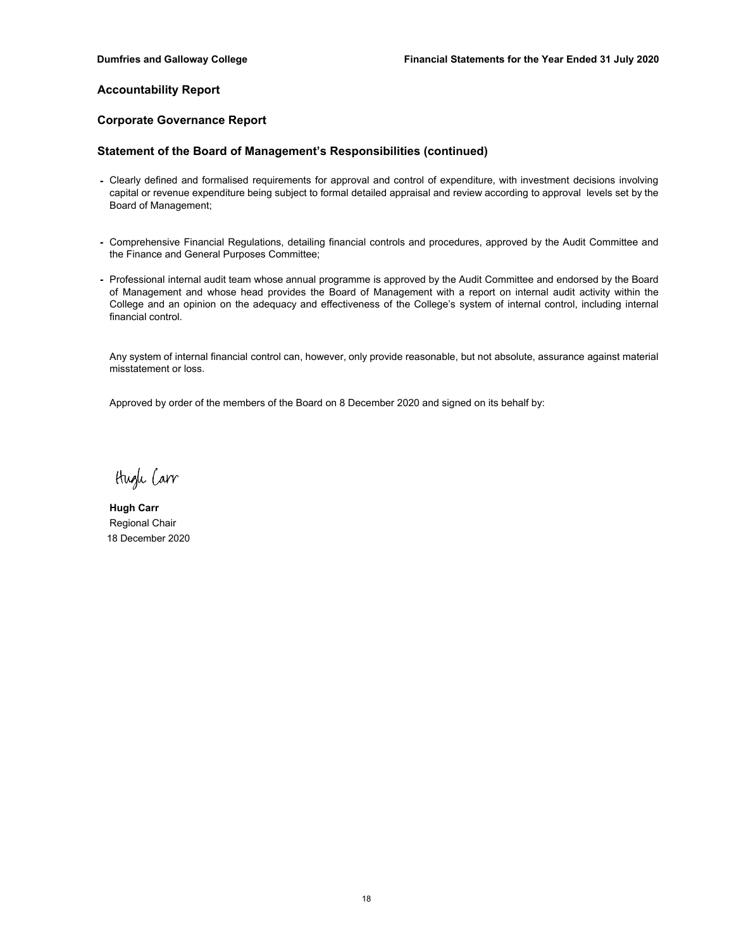## **Corporate Governance Report**

## **Statement of the Board of Management's Responsibilities (continued)**

- Clearly defined and formalised requirements for approval and control of expenditure, with investment decisions involving capital or revenue expenditure being subject to formal detailed appraisal and review according to approval levels set by the Board of Management;
- Comprehensive Financial Regulations, detailing financial controls and procedures, approved by the Audit Committee and the Finance and General Purposes Committee;
- Professional internal audit team whose annual programme is approved by the Audit Committee and endorsed by the Board of Management and whose head provides the Board of Management with a report on internal audit activity within the College and an opinion on the adequacy and effectiveness of the College's system of internal control, including internal financial control.

Any system of internal financial control can, however, only provide reasonable, but not absolute, assurance against material misstatement or loss.

Approved by order of the members of the Board on 8 December 2020 and signed on its behalf by:

Hugh Carr

**Hugh Carr** Regional Chair 18 December 2020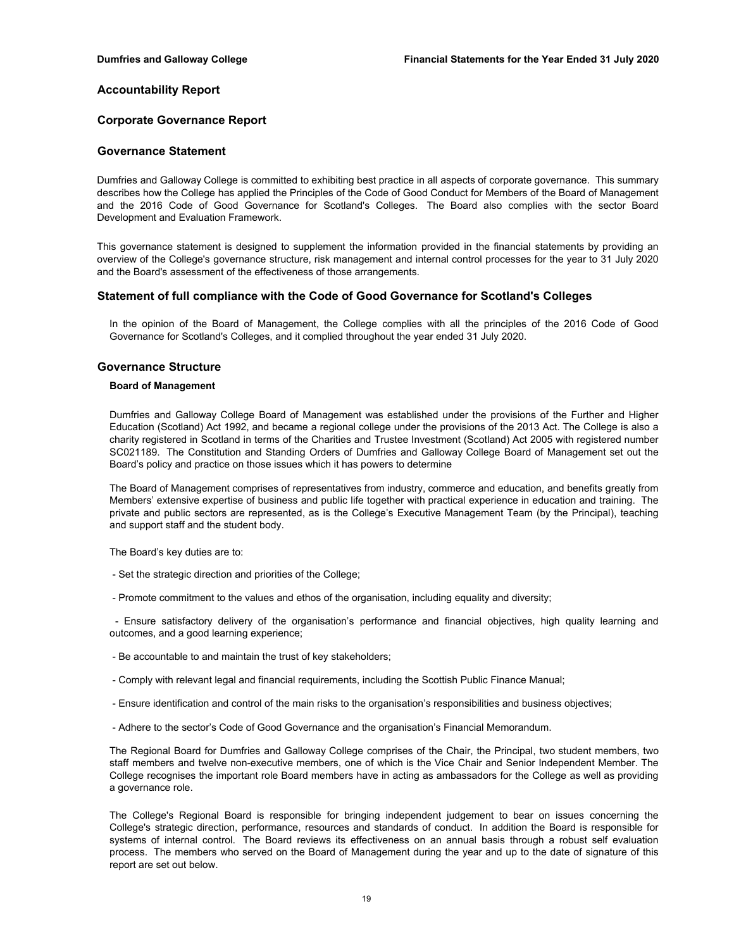## **Corporate Governance Report**

## **Governance Statement**

Dumfries and Galloway College is committed to exhibiting best practice in all aspects of corporate governance. This summary describes how the College has applied the Principles of the Code of Good Conduct for Members of the Board of Management and the 2016 Code of Good Governance for Scotland's Colleges. The Board also complies with the sector Board Development and Evaluation Framework.

This governance statement is designed to supplement the information provided in the financial statements by providing an overview of the College's governance structure, risk management and internal control processes for the year to 31 July 2020 and the Board's assessment of the effectiveness of those arrangements.

## **Statement of full compliance with the Code of Good Governance for Scotland's Colleges**

In the opinion of the Board of Management, the College complies with all the principles of the 2016 Code of Good Governance for Scotland's Colleges, and it complied throughout the year ended 31 July 2020.

## **Governance Structure**

#### **Board of Management**

Dumfries and Galloway College Board of Management was established under the provisions of the Further and Higher Education (Scotland) Act 1992, and became a regional college under the provisions of the 2013 Act. The College is also a charity registered in Scotland in terms of the Charities and Trustee Investment (Scotland) Act 2005 with registered number SC021189. The Constitution and Standing Orders of Dumfries and Galloway College Board of Management set out the Board's policy and practice on those issues which it has powers to determine

The Board of Management comprises of representatives from industry, commerce and education, and benefits greatly from Members' extensive expertise of business and public life together with practical experience in education and training. The private and public sectors are represented, as is the College's Executive Management Team (by the Principal), teaching and support staff and the student body.

The Board's key duties are to:

- Set the strategic direction and priorities of the College;
- Promote commitment to the values and ethos of the organisation, including equality and diversity;

- Ensure satisfactory delivery of the organisation's performance and financial objectives, high quality learning and outcomes, and a good learning experience;

- Be accountable to and maintain the trust of key stakeholders;
- Comply with relevant legal and financial requirements, including the Scottish Public Finance Manual;
- Ensure identification and control of the main risks to the organisation's responsibilities and business objectives;
- Adhere to the sector's Code of Good Governance and the organisation's Financial Memorandum.

The Regional Board for Dumfries and Galloway College comprises of the Chair, the Principal, two student members, two staff members and twelve non-executive members, one of which is the Vice Chair and Senior Independent Member. The College recognises the important role Board members have in acting as ambassadors for the College as well as providing a governance role.

The College's Regional Board is responsible for bringing independent judgement to bear on issues concerning the College's strategic direction, performance, resources and standards of conduct. In addition the Board is responsible for systems of internal control. The Board reviews its effectiveness on an annual basis through a robust self evaluation process. The members who served on the Board of Management during the year and up to the date of signature of this report are set out below.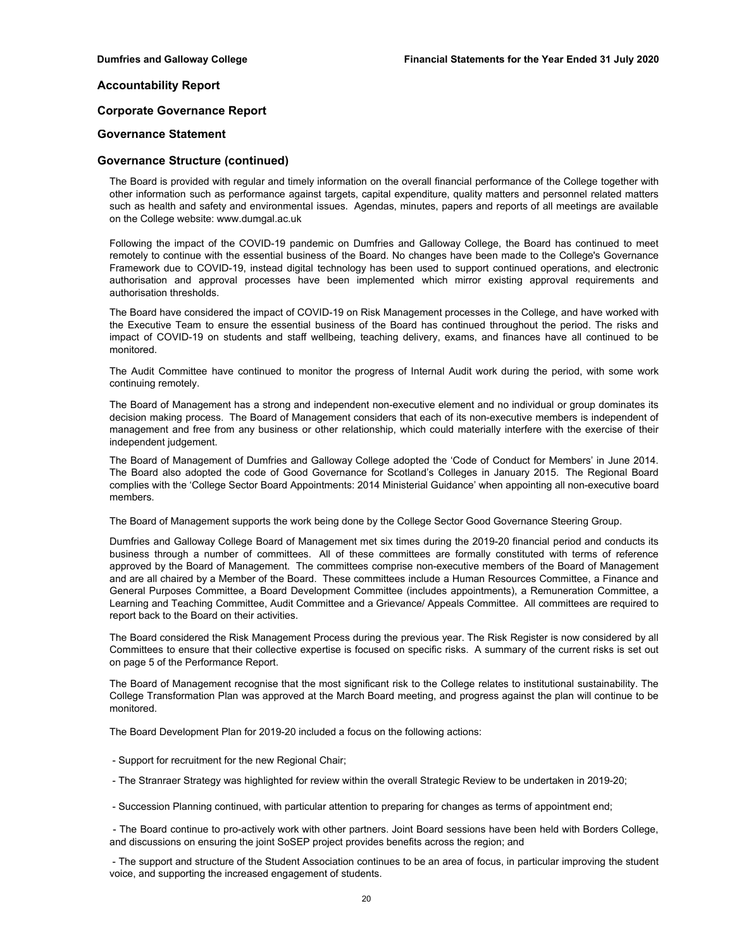## **Corporate Governance Report**

## **Governance Statement**

## **Governance Structure (continued)**

The Board is provided with regular and timely information on the overall financial performance of the College together with other information such as performance against targets, capital expenditure, quality matters and personnel related matters such as health and safety and environmental issues. Agendas, minutes, papers and reports of all meetings are available on the College website: www.dumgal.ac.uk

Following the impact of the COVID-19 pandemic on Dumfries and Galloway College, the Board has continued to meet remotely to continue with the essential business of the Board. No changes have been made to the College's Governance Framework due to COVID-19, instead digital technology has been used to support continued operations, and electronic authorisation and approval processes have been implemented which mirror existing approval requirements and authorisation thresholds.

The Board have considered the impact of COVID-19 on Risk Management processes in the College, and have worked with the Executive Team to ensure the essential business of the Board has continued throughout the period. The risks and impact of COVID-19 on students and staff wellbeing, teaching delivery, exams, and finances have all continued to be monitored.

The Audit Committee have continued to monitor the progress of Internal Audit work during the period, with some work continuing remotely.

The Board of Management has a strong and independent non-executive element and no individual or group dominates its decision making process. The Board of Management considers that each of its non-executive members is independent of management and free from any business or other relationship, which could materially interfere with the exercise of their independent judgement.

The Board of Management of Dumfries and Galloway College adopted the 'Code of Conduct for Members' in June 2014. The Board also adopted the code of Good Governance for Scotland's Colleges in January 2015. The Regional Board complies with the 'College Sector Board Appointments: 2014 Ministerial Guidance' when appointing all non-executive board members.

The Board of Management supports the work being done by the College Sector Good Governance Steering Group.

Dumfries and Galloway College Board of Management met six times during the 2019-20 financial period and conducts its business through a number of committees. All of these committees are formally constituted with terms of reference approved by the Board of Management. The committees comprise non-executive members of the Board of Management and are all chaired by a Member of the Board. These committees include a Human Resources Committee, a Finance and General Purposes Committee, a Board Development Committee (includes appointments), a Remuneration Committee, a Learning and Teaching Committee, Audit Committee and a Grievance/ Appeals Committee. All committees are required to report back to the Board on their activities.

The Board considered the Risk Management Process during the previous year. The Risk Register is now considered by all Committees to ensure that their collective expertise is focused on specific risks. A summary of the current risks is set out on page 5 of the Performance Report.

The Board of Management recognise that the most significant risk to the College relates to institutional sustainability. The College Transformation Plan was approved at the March Board meeting, and progress against the plan will continue to be monitored.

The Board Development Plan for 2019-20 included a focus on the following actions:

- Support for recruitment for the new Regional Chair;
- The Stranraer Strategy was highlighted for review within the overall Strategic Review to be undertaken in 2019-20;
- Succession Planning continued, with particular attention to preparing for changes as terms of appointment end;

- The Board continue to pro-actively work with other partners. Joint Board sessions have been held with Borders College, and discussions on ensuring the joint SoSEP project provides benefits across the region; and

- The support and structure of the Student Association continues to be an area of focus, in particular improving the student voice, and supporting the increased engagement of students.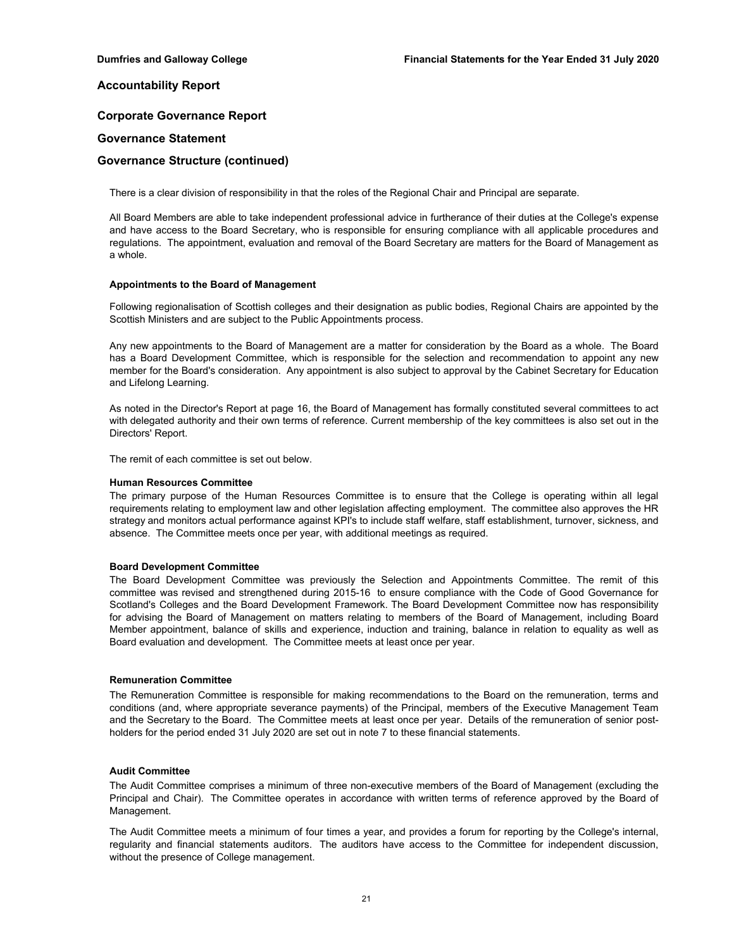## **Corporate Governance Report**

## **Governance Statement**

## **Governance Structure (continued)**

There is a clear division of responsibility in that the roles of the Regional Chair and Principal are separate.

All Board Members are able to take independent professional advice in furtherance of their duties at the College's expense and have access to the Board Secretary, who is responsible for ensuring compliance with all applicable procedures and regulations. The appointment, evaluation and removal of the Board Secretary are matters for the Board of Management as a whole.

#### **Appointments to the Board of Management**

Following regionalisation of Scottish colleges and their designation as public bodies, Regional Chairs are appointed by the Scottish Ministers and are subject to the Public Appointments process.

Any new appointments to the Board of Management are a matter for consideration by the Board as a whole. The Board has a Board Development Committee, which is responsible for the selection and recommendation to appoint any new member for the Board's consideration. Any appointment is also subject to approval by the Cabinet Secretary for Education and Lifelong Learning.

As noted in the Director's Report at page 16, the Board of Management has formally constituted several committees to act with delegated authority and their own terms of reference. Current membership of the key committees is also set out in the Directors' Report.

The remit of each committee is set out below.

#### **Human Resources Committee**

The primary purpose of the Human Resources Committee is to ensure that the College is operating within all legal requirements relating to employment law and other legislation affecting employment. The committee also approves the HR strategy and monitors actual performance against KPI's to include staff welfare, staff establishment, turnover, sickness, and absence. The Committee meets once per year, with additional meetings as required.

## **Board Development Committee**

The Board Development Committee was previously the Selection and Appointments Committee. The remit of this committee was revised and strengthened during 2015-16 to ensure compliance with the Code of Good Governance for Scotland's Colleges and the Board Development Framework. The Board Development Committee now has responsibility for advising the Board of Management on matters relating to members of the Board of Management, including Board Member appointment, balance of skills and experience, induction and training, balance in relation to equality as well as Board evaluation and development. The Committee meets at least once per year.

#### **Remuneration Committee**

The Remuneration Committee is responsible for making recommendations to the Board on the remuneration, terms and conditions (and, where appropriate severance payments) of the Principal, members of the Executive Management Team and the Secretary to the Board. The Committee meets at least once per year. Details of the remuneration of senior postholders for the period ended 31 July 2020 are set out in note 7 to these financial statements.

#### **Audit Committee**

The Audit Committee comprises a minimum of three non-executive members of the Board of Management (excluding the Principal and Chair). The Committee operates in accordance with written terms of reference approved by the Board of Management.

The Audit Committee meets a minimum of four times a year, and provides a forum for reporting by the College's internal, regularity and financial statements auditors. The auditors have access to the Committee for independent discussion, without the presence of College management.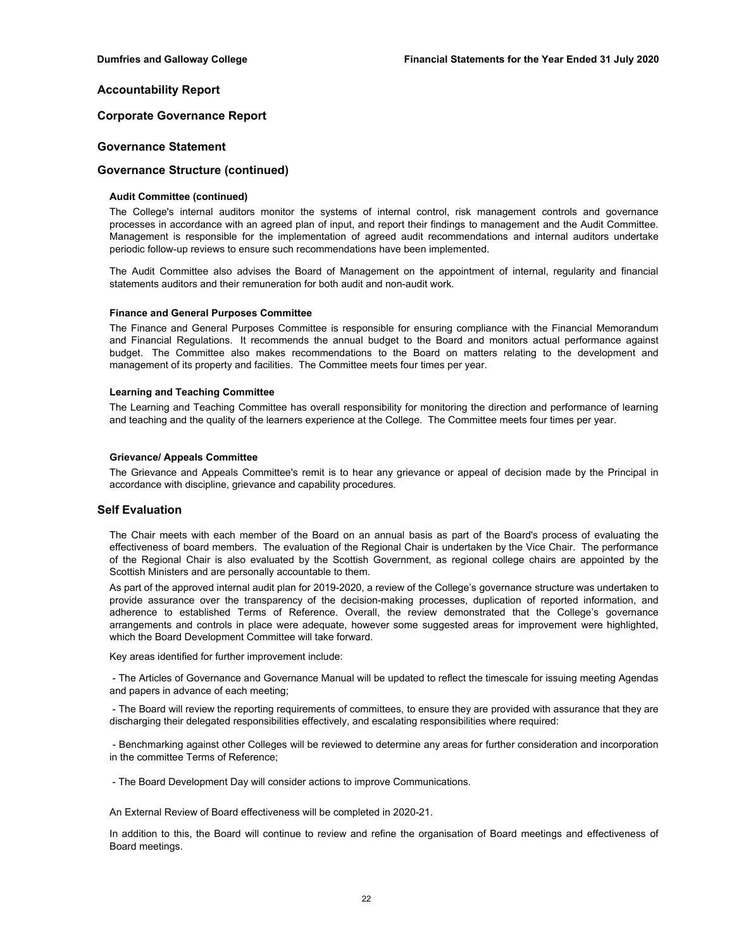## **Corporate Governance Report**

## **Governance Statement**

## **Governance Structure (continued)**

### **Audit Committee (continued)**

The College's internal auditors monitor the systems of internal control, risk management controls and governance processes in accordance with an agreed plan of input, and report their findings to management and the Audit Committee. Management is responsible for the implementation of agreed audit recommendations and internal auditors undertake periodic follow-up reviews to ensure such recommendations have been implemented.

The Audit Committee also advises the Board of Management on the appointment of internal, regularity and financial statements auditors and their remuneration for both audit and non-audit work.

#### **Finance and General Purposes Committee**

The Finance and General Purposes Committee is responsible for ensuring compliance with the Financial Memorandum and Financial Regulations. It recommends the annual budget to the Board and monitors actual performance against budget. The Committee also makes recommendations to the Board on matters relating to the development and management of its property and facilities. The Committee meets four times per year.

#### **Learning and Teaching Committee**

The Learning and Teaching Committee has overall responsibility for monitoring the direction and performance of learning and teaching and the quality of the learners experience at the College. The Committee meets four times per year.

#### **Grievance/ Appeals Committee**

The Grievance and Appeals Committee's remit is to hear any grievance or appeal of decision made by the Principal in accordance with discipline, grievance and capability procedures.

## **Self Evaluation**

The Chair meets with each member of the Board on an annual basis as part of the Board's process of evaluating the effectiveness of board members. The evaluation of the Regional Chair is undertaken by the Vice Chair. The performance of the Regional Chair is also evaluated by the Scottish Government, as regional college chairs are appointed by the Scottish Ministers and are personally accountable to them.

As part of the approved internal audit plan for 2019-2020, a review of the College's governance structure was undertaken to provide assurance over the transparency of the decision-making processes, duplication of reported information, and adherence to established Terms of Reference. Overall, the review demonstrated that the College's governance arrangements and controls in place were adequate, however some suggested areas for improvement were highlighted, which the Board Development Committee will take forward.

Key areas identified for further improvement include:

- The Articles of Governance and Governance Manual will be updated to reflect the timescale for issuing meeting Agendas and papers in advance of each meeting;

- The Board will review the reporting requirements of committees, to ensure they are provided with assurance that they are discharging their delegated responsibilities effectively, and escalating responsibilities where required:

- Benchmarking against other Colleges will be reviewed to determine any areas for further consideration and incorporation in the committee Terms of Reference;

- The Board Development Day will consider actions to improve Communications.

An External Review of Board effectiveness will be completed in 2020-21.

In addition to this, the Board will continue to review and refine the organisation of Board meetings and effectiveness of Board meetings.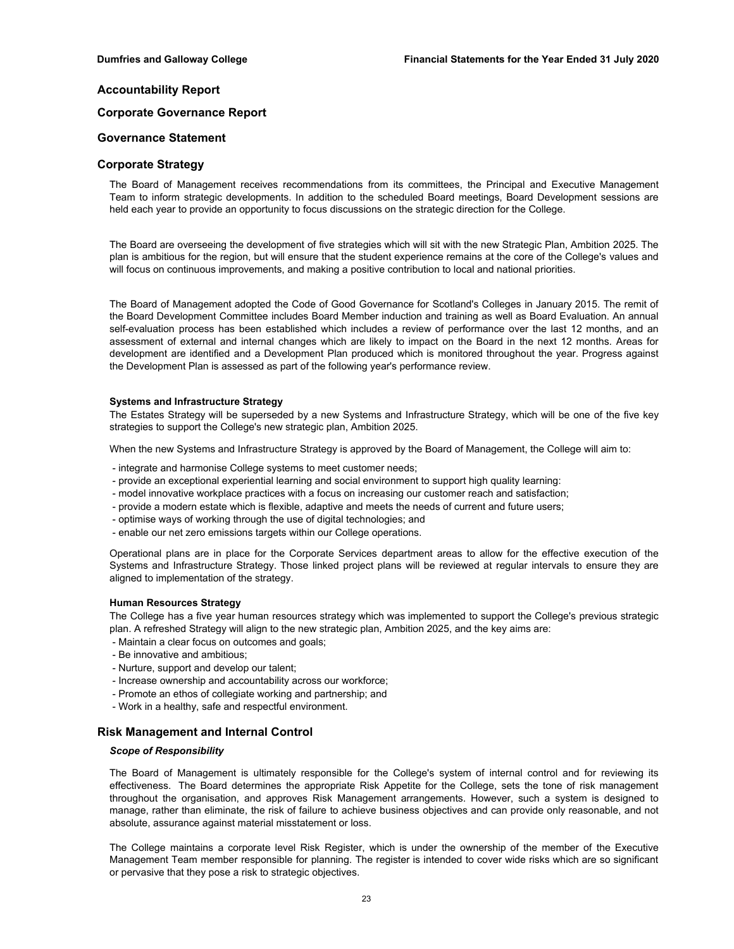## **Corporate Governance Report**

## **Governance Statement**

## **Corporate Strategy**

The Board of Management receives recommendations from its committees, the Principal and Executive Management Team to inform strategic developments. In addition to the scheduled Board meetings, Board Development sessions are held each year to provide an opportunity to focus discussions on the strategic direction for the College.

The Board are overseeing the development of five strategies which will sit with the new Strategic Plan, Ambition 2025. The plan is ambitious for the region, but will ensure that the student experience remains at the core of the College's values and will focus on continuous improvements, and making a positive contribution to local and national priorities.

The Board of Management adopted the Code of Good Governance for Scotland's Colleges in January 2015. The remit of the Board Development Committee includes Board Member induction and training as well as Board Evaluation. An annual self-evaluation process has been established which includes a review of performance over the last 12 months, and an assessment of external and internal changes which are likely to impact on the Board in the next 12 months. Areas for development are identified and a Development Plan produced which is monitored throughout the year. Progress against the Development Plan is assessed as part of the following year's performance review.

#### **Systems and Infrastructure Strategy**

The Estates Strategy will be superseded by a new Systems and Infrastructure Strategy, which will be one of the five key strategies to support the College's new strategic plan, Ambition 2025.

When the new Systems and Infrastructure Strategy is approved by the Board of Management, the College will aim to:

- integrate and harmonise College systems to meet customer needs;
- provide an exceptional experiential learning and social environment to support high quality learning:
- model innovative workplace practices with a focus on increasing our customer reach and satisfaction;
- provide a modern estate which is flexible, adaptive and meets the needs of current and future users;
- optimise ways of working through the use of digital technologies; and
- enable our net zero emissions targets within our College operations.

Operational plans are in place for the Corporate Services department areas to allow for the effective execution of the Systems and Infrastructure Strategy. Those linked project plans will be reviewed at regular intervals to ensure they are aligned to implementation of the strategy.

### **Human Resources Strategy**

The College has a five year human resources strategy which was implemented to support the College's previous strategic plan. A refreshed Strategy will align to the new strategic plan, Ambition 2025, and the key aims are:

- Maintain a clear focus on outcomes and goals;
- Be innovative and ambitious;
- Nurture, support and develop our talent;
- Increase ownership and accountability across our workforce;
- Promote an ethos of collegiate working and partnership; and
- Work in a healthy, safe and respectful environment.

## **Risk Management and Internal Control**

### *Scope of Responsibility*

The Board of Management is ultimately responsible for the College's system of internal control and for reviewing its effectiveness. The Board determines the appropriate Risk Appetite for the College, sets the tone of risk management throughout the organisation, and approves Risk Management arrangements. However, such a system is designed to manage, rather than eliminate, the risk of failure to achieve business objectives and can provide only reasonable, and not absolute, assurance against material misstatement or loss.

The College maintains a corporate level Risk Register, which is under the ownership of the member of the Executive Management Team member responsible for planning. The register is intended to cover wide risks which are so significant or pervasive that they pose a risk to strategic objectives.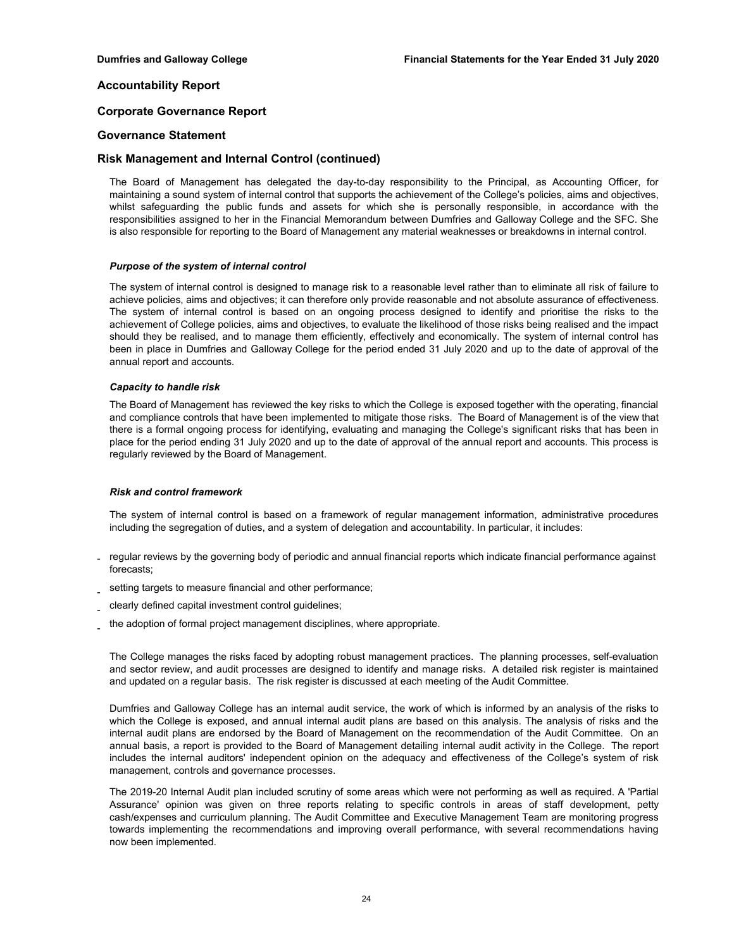## **Corporate Governance Report**

## **Governance Statement**

## **Risk Management and Internal Control (continued)**

The Board of Management has delegated the day-to-day responsibility to the Principal, as Accounting Officer, for maintaining a sound system of internal control that supports the achievement of the College's policies, aims and objectives, whilst safeguarding the public funds and assets for which she is personally responsible, in accordance with the responsibilities assigned to her in the Financial Memorandum between Dumfries and Galloway College and the SFC. She is also responsible for reporting to the Board of Management any material weaknesses or breakdowns in internal control.

### *Purpose of the system of internal control*

The system of internal control is designed to manage risk to a reasonable level rather than to eliminate all risk of failure to achieve policies, aims and objectives; it can therefore only provide reasonable and not absolute assurance of effectiveness. The system of internal control is based on an ongoing process designed to identify and prioritise the risks to the achievement of College policies, aims and objectives, to evaluate the likelihood of those risks being realised and the impact should they be realised, and to manage them efficiently, effectively and economically. The system of internal control has been in place in Dumfries and Galloway College for the period ended 31 July 2020 and up to the date of approval of the annual report and accounts.

### *Capacity to handle risk*

The Board of Management has reviewed the key risks to which the College is exposed together with the operating, financial and compliance controls that have been implemented to mitigate those risks. The Board of Management is of the view that there is a formal ongoing process for identifying, evaluating and managing the College's significant risks that has been in place for the period ending 31 July 2020 and up to the date of approval of the annual report and accounts. This process is regularly reviewed by the Board of Management.

### *Risk and control framework*

The system of internal control is based on a framework of regular management information, administrative procedures including the segregation of duties, and a system of delegation and accountability. In particular, it includes:

- regular reviews by the governing body of periodic and annual financial reports which indicate financial performance against forecasts;
- setting targets to measure financial and other performance;
- clearly defined capital investment control guidelines;
- the adoption of formal project management disciplines, where appropriate.

The College manages the risks faced by adopting robust management practices. The planning processes, self-evaluation and sector review, and audit processes are designed to identify and manage risks. A detailed risk register is maintained and updated on a regular basis. The risk register is discussed at each meeting of the Audit Committee.

Dumfries and Galloway College has an internal audit service, the work of which is informed by an analysis of the risks to which the College is exposed, and annual internal audit plans are based on this analysis. The analysis of risks and the internal audit plans are endorsed by the Board of Management on the recommendation of the Audit Committee. On an annual basis, a report is provided to the Board of Management detailing internal audit activity in the College. The report includes the internal auditors' independent opinion on the adequacy and effectiveness of the College's system of risk management, controls and governance processes.

The 2019-20 Internal Audit plan included scrutiny of some areas which were not performing as well as required. A 'Partial Assurance' opinion was given on three reports relating to specific controls in areas of staff development, petty cash/expenses and curriculum planning. The Audit Committee and Executive Management Team are monitoring progress towards implementing the recommendations and improving overall performance, with several recommendations having now been implemented.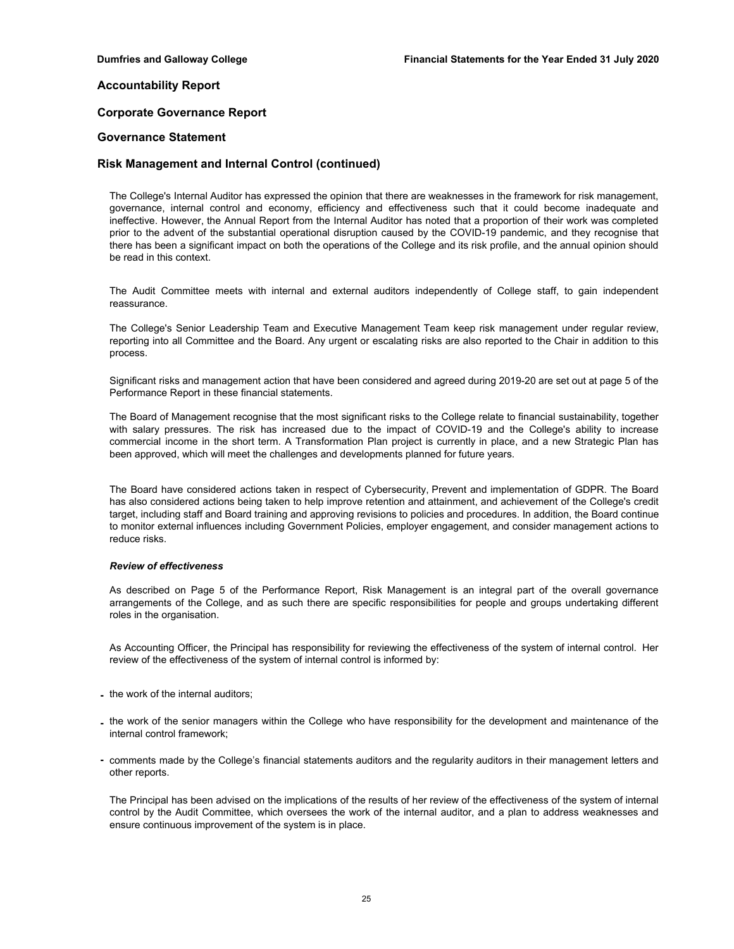## **Corporate Governance Report**

## **Governance Statement**

## **Risk Management and Internal Control (continued)**

The College's Internal Auditor has expressed the opinion that there are weaknesses in the framework for risk management, governance, internal control and economy, efficiency and effectiveness such that it could become inadequate and ineffective. However, the Annual Report from the Internal Auditor has noted that a proportion of their work was completed prior to the advent of the substantial operational disruption caused by the COVID-19 pandemic, and they recognise that there has been a significant impact on both the operations of the College and its risk profile, and the annual opinion should be read in this context.

The Audit Committee meets with internal and external auditors independently of College staff, to gain independent reassurance.

The College's Senior Leadership Team and Executive Management Team keep risk management under regular review, reporting into all Committee and the Board. Any urgent or escalating risks are also reported to the Chair in addition to this process.

Significant risks and management action that have been considered and agreed during 2019-20 are set out at page 5 of the Performance Report in these financial statements.

The Board of Management recognise that the most significant risks to the College relate to financial sustainability, together with salary pressures. The risk has increased due to the impact of COVID-19 and the College's ability to increase commercial income in the short term. A Transformation Plan project is currently in place, and a new Strategic Plan has been approved, which will meet the challenges and developments planned for future years.

The Board have considered actions taken in respect of Cybersecurity, Prevent and implementation of GDPR. The Board has also considered actions being taken to help improve retention and attainment, and achievement of the College's credit target, including staff and Board training and approving revisions to policies and procedures. In addition, the Board continue to monitor external influences including Government Policies, employer engagement, and consider management actions to reduce risks.

### *Review of effectiveness*

As described on Page 5 of the Performance Report, Risk Management is an integral part of the overall governance arrangements of the College, and as such there are specific responsibilities for people and groups undertaking different roles in the organisation.

As Accounting Officer, the Principal has responsibility for reviewing the effectiveness of the system of internal control. Her review of the effectiveness of the system of internal control is informed by:

- **-** the work of the internal auditors;
- **-** the work of the senior managers within the College who have responsibility for the development and maintenance of the internal control framework;
- **-** comments made by the College's financial statements auditors and the regularity auditors in their management letters and other reports.

The Principal has been advised on the implications of the results of her review of the effectiveness of the system of internal control by the Audit Committee, which oversees the work of the internal auditor, and a plan to address weaknesses and ensure continuous improvement of the system is in place.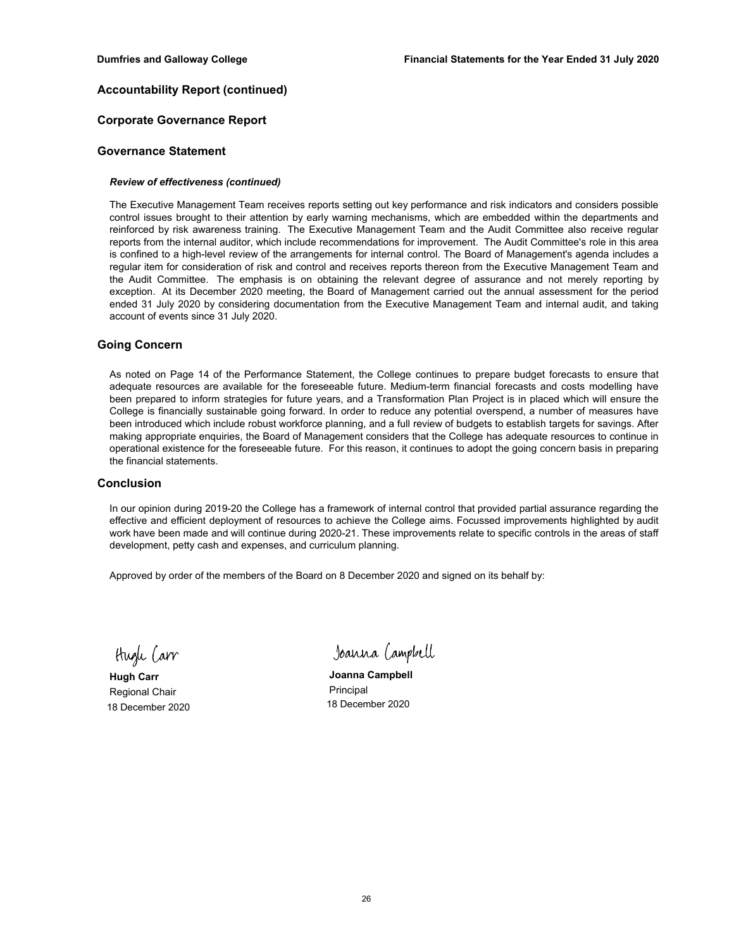## **Accountability Report (continued)**

## **Corporate Governance Report**

## **Governance Statement**

## *Review of effectiveness (continued)*

The Executive Management Team receives reports setting out key performance and risk indicators and considers possible control issues brought to their attention by early warning mechanisms, which are embedded within the departments and reinforced by risk awareness training. The Executive Management Team and the Audit Committee also receive regular reports from the internal auditor, which include recommendations for improvement. The Audit Committee's role in this area is confined to a high-level review of the arrangements for internal control. The Board of Management's agenda includes a regular item for consideration of risk and control and receives reports thereon from the Executive Management Team and the Audit Committee. The emphasis is on obtaining the relevant degree of assurance and not merely reporting by exception. At its December 2020 meeting, the Board of Management carried out the annual assessment for the period ended 31 July 2020 by considering documentation from the Executive Management Team and internal audit, and taking account of events since 31 July 2020.

## **Going Concern**

As noted on Page 14 of the Performance Statement, the College continues to prepare budget forecasts to ensure that adequate resources are available for the foreseeable future. Medium-term financial forecasts and costs modelling have been prepared to inform strategies for future years, and a Transformation Plan Project is in placed which will ensure the College is financially sustainable going forward. In order to reduce any potential overspend, a number of measures have been introduced which include robust workforce planning, and a full review of budgets to establish targets for savings. After making appropriate enquiries, the Board of Management considers that the College has adequate resources to continue in operational existence for the foreseeable future. For this reason, it continues to adopt the going concern basis in preparing the financial statements.

## **Conclusion**

In our opinion during 2019-20 the College has a framework of internal control that provided partial assurance regarding the effective and efficient deployment of resources to achieve the College aims. Focussed improvements highlighted by audit work have been made and will continue during 2020-21. These improvements relate to specific controls in the areas of staff development, petty cash and expenses, and curriculum planning.

Approved by order of the members of the Board on 8 December 2020 and signed on its behalf by:

Hugh Carr

Regional Chair **Principal** Principal 18 December 2020 18 December 2020

Joanna Campbell

**Hugh Carr Joanna Campbell**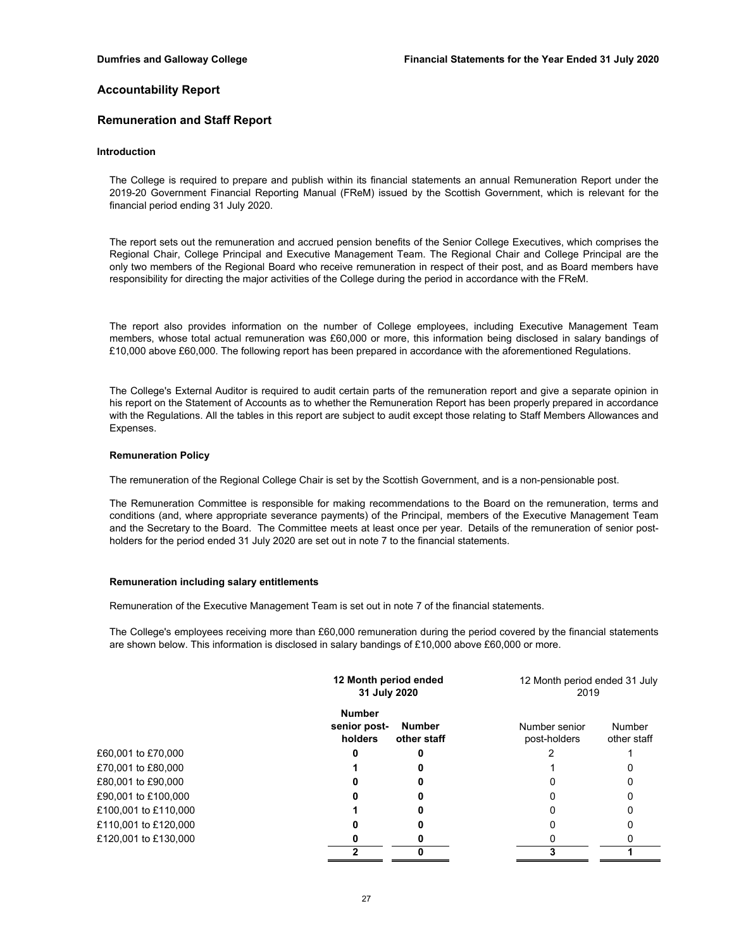## **Remuneration and Staff Report**

### **Introduction**

The College is required to prepare and publish within its financial statements an annual Remuneration Report under the 2019-20 Government Financial Reporting Manual (FReM) issued by the Scottish Government, which is relevant for the financial period ending 31 July 2020.

The report sets out the remuneration and accrued pension benefits of the Senior College Executives, which comprises the Regional Chair, College Principal and Executive Management Team. The Regional Chair and College Principal are the only two members of the Regional Board who receive remuneration in respect of their post, and as Board members have responsibility for directing the major activities of the College during the period in accordance with the FReM.

The report also provides information on the number of College employees, including Executive Management Team members, whose total actual remuneration was £60,000 or more, this information being disclosed in salary bandings of £10,000 above £60,000. The following report has been prepared in accordance with the aforementioned Regulations.

The College's External Auditor is required to audit certain parts of the remuneration report and give a separate opinion in his report on the Statement of Accounts as to whether the Remuneration Report has been properly prepared in accordance with the Regulations. All the tables in this report are subject to audit except those relating to Staff Members Allowances and Expenses.

#### **Remuneration Policy**

The remuneration of the Regional College Chair is set by the Scottish Government, and is a non-pensionable post.

The Remuneration Committee is responsible for making recommendations to the Board on the remuneration, terms and conditions (and, where appropriate severance payments) of the Principal, members of the Executive Management Team and the Secretary to the Board. The Committee meets at least once per year. Details of the remuneration of senior postholders for the period ended 31 July 2020 are set out in note 7 to the financial statements.

### **Remuneration including salary entitlements**

Remuneration of the Executive Management Team is set out in note 7 of the financial statements.

The College's employees receiving more than £60,000 remuneration during the period covered by the financial statements are shown below. This information is disclosed in salary bandings of £10,000 above £60,000 or more.

|                      | 12 Month period ended<br>31 July 2020    |                              | 12 Month period ended 31 July<br>2019 |                       |
|----------------------|------------------------------------------|------------------------------|---------------------------------------|-----------------------|
|                      | <b>Number</b><br>senior post-<br>holders | <b>Number</b><br>other staff | Number senior<br>post-holders         | Number<br>other staff |
| £60,001 to £70,000   |                                          |                              |                                       |                       |
| £70,001 to £80,000   |                                          |                              |                                       |                       |
| £80,001 to £90,000   |                                          |                              |                                       |                       |
| £90,001 to £100,000  |                                          |                              |                                       |                       |
| £100,001 to £110,000 |                                          |                              |                                       |                       |
| £110,001 to £120,000 |                                          |                              |                                       |                       |
| £120,001 to £130,000 |                                          |                              |                                       |                       |
|                      |                                          |                              |                                       |                       |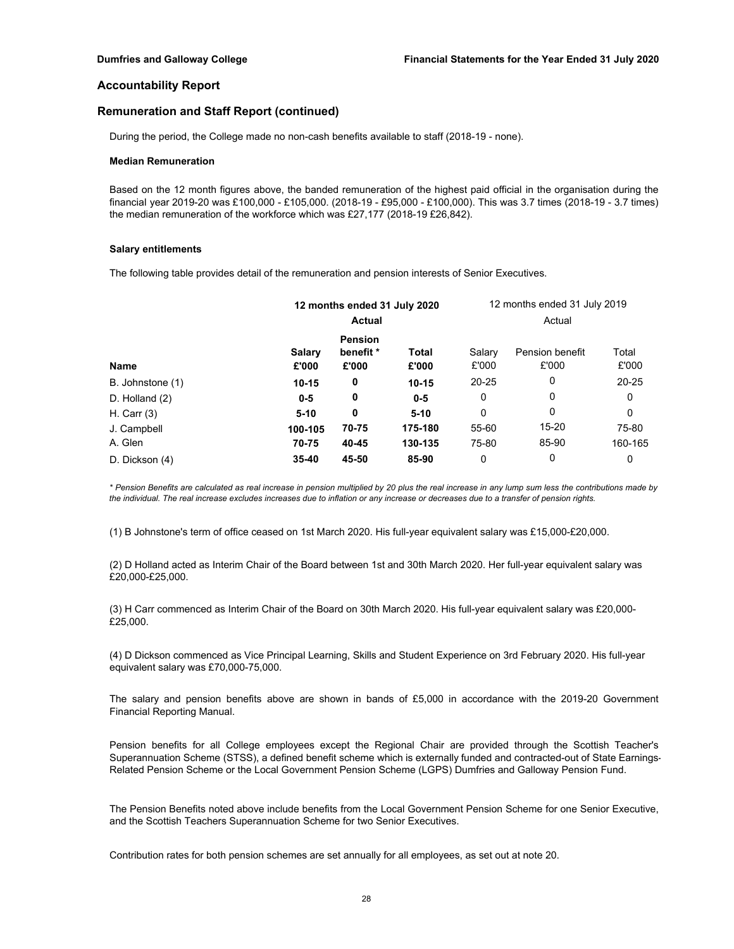## **Remuneration and Staff Report (continued)**

During the period, the College made no non-cash benefits available to staff (2018-19 - none).

#### **Median Remuneration**

Based on the 12 month figures above, the banded remuneration of the highest paid official in the organisation during the financial year 2019-20 was £100,000 - £105,000. (2018-19 - £95,000 - £100,000). This was 3.7 times (2018-19 - 3.7 times) the median remuneration of the workforce which was £27,177 (2018-19 £26,842).

#### **Salary entitlements**

The following table provides detail of the remuneration and pension interests of Senior Executives.

|                  | 12 months ended 31 July 2020 |                    |                | 12 months ended 31 July 2019 |                          |                |
|------------------|------------------------------|--------------------|----------------|------------------------------|--------------------------|----------------|
|                  |                              | <b>Actual</b>      |                |                              | Actual                   |                |
|                  |                              | <b>Pension</b>     |                |                              |                          |                |
| <b>Name</b>      | Salary<br>£'000              | benefit *<br>£'000 | Total<br>£'000 | Salary<br>£'000              | Pension benefit<br>£'000 | Total<br>£'000 |
| B. Johnstone (1) | $10 - 15$                    | 0                  | $10 - 15$      | $20 - 25$                    | 0                        | $20 - 25$      |
| D. Holland $(2)$ | $0-5$                        | 0                  | $0 - 5$        | 0                            | 0                        | 0              |
| H. Carr $(3)$    | $5 - 10$                     | 0                  | $5 - 10$       | 0                            | 0                        | 0              |
| J. Campbell      | 100-105                      | 70-75              | 175-180        | 55-60                        | 15-20                    | 75-80          |
| A. Glen          | 70-75                        | 40-45              | 130-135        | 75-80                        | 85-90                    | 160-165        |
| D. Dickson (4)   | $35 - 40$                    | 45-50              | 85-90          | 0                            | 0                        | 0              |

*\* Pension Benefits are calculated as real increase in pension multiplied by 20 plus the real increase in any lump sum less the contributions made by the individual. The real increase excludes increases due to inflation or any increase or decreases due to a transfer of pension rights.*

(1) B Johnstone's term of office ceased on 1st March 2020. His full-year equivalent salary was £15,000-£20,000.

(2) D Holland acted as Interim Chair of the Board between 1st and 30th March 2020. Her full-year equivalent salary was £20,000-£25,000.

(3) H Carr commenced as Interim Chair of the Board on 30th March 2020. His full-year equivalent salary was £20,000- £25,000.

(4) D Dickson commenced as Vice Principal Learning, Skills and Student Experience on 3rd February 2020. His full-year equivalent salary was £70,000-75,000.

The salary and pension benefits above are shown in bands of £5,000 in accordance with the 2019-20 Government Financial Reporting Manual.

Pension benefits for all College employees except the Regional Chair are provided through the Scottish Teacher's Superannuation Scheme (STSS), a defined benefit scheme which is externally funded and contracted-out of State Earnings-Related Pension Scheme or the Local Government Pension Scheme (LGPS) Dumfries and Galloway Pension Fund.

The Pension Benefits noted above include benefits from the Local Government Pension Scheme for one Senior Executive, and the Scottish Teachers Superannuation Scheme for two Senior Executives.

Contribution rates for both pension schemes are set annually for all employees, as set out at note 20.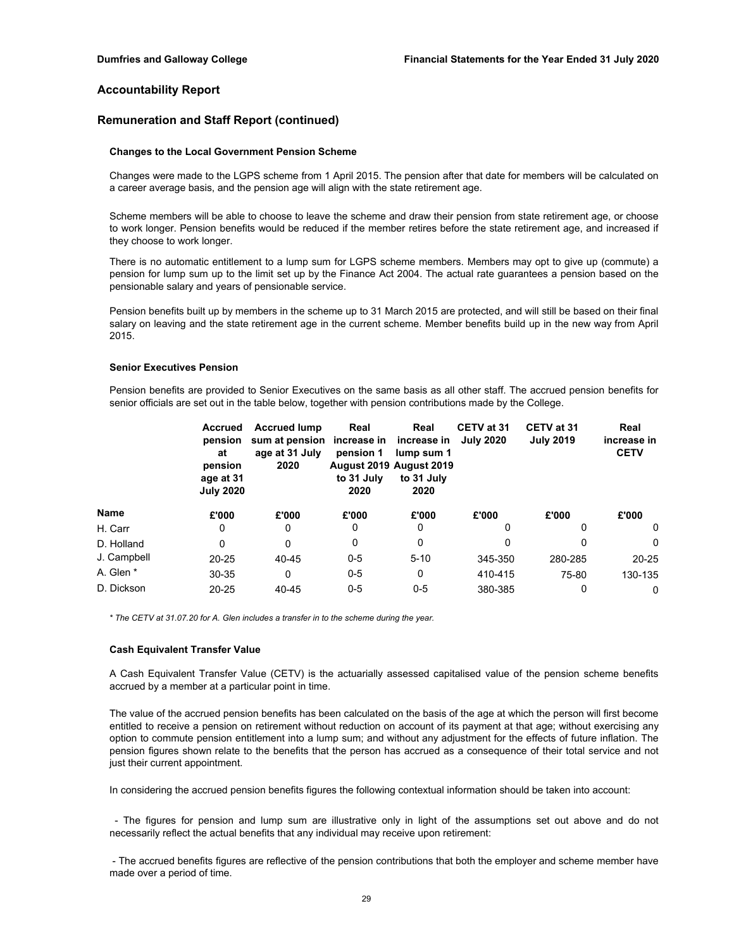## **Remuneration and Staff Report (continued)**

#### **Changes to the Local Government Pension Scheme**

Changes were made to the LGPS scheme from 1 April 2015. The pension after that date for members will be calculated on a career average basis, and the pension age will align with the state retirement age.

Scheme members will be able to choose to leave the scheme and draw their pension from state retirement age, or choose to work longer. Pension benefits would be reduced if the member retires before the state retirement age, and increased if they choose to work longer.

There is no automatic entitlement to a lump sum for LGPS scheme members. Members may opt to give up (commute) a pension for lump sum up to the limit set up by the Finance Act 2004. The actual rate guarantees a pension based on the pensionable salary and years of pensionable service.

Pension benefits built up by members in the scheme up to 31 March 2015 are protected, and will still be based on their final salary on leaving and the state retirement age in the current scheme. Member benefits build up in the new way from April 2015.

### **Senior Executives Pension**

Pension benefits are provided to Senior Executives on the same basis as all other staff. The accrued pension benefits for senior officials are set out in the table below, together with pension contributions made by the College.

|             | Accrued<br>pension<br>at<br>pension<br>age at 31<br><b>July 2020</b> | <b>Accrued lump</b><br>sum at pension<br>age at 31 July<br>2020 | Real<br>increase in<br>pension 1<br>to 31 July<br>2020 | Real<br>increase in<br>lump sum 1<br>August 2019 August 2019<br>to 31 July<br>2020 | CETV at 31<br><b>July 2020</b> | CETV at 31<br><b>July 2019</b> | Real<br>increase in<br><b>CETV</b> |
|-------------|----------------------------------------------------------------------|-----------------------------------------------------------------|--------------------------------------------------------|------------------------------------------------------------------------------------|--------------------------------|--------------------------------|------------------------------------|
| Name        | £'000                                                                | £'000                                                           | £'000                                                  | £'000                                                                              | £'000                          | £'000                          | £'000                              |
| H. Carr     | 0                                                                    | 0                                                               | 0                                                      | 0                                                                                  | 0                              | 0                              | 0                                  |
| D. Holland  | 0                                                                    | 0                                                               | 0                                                      | 0                                                                                  | 0                              | 0                              | $\Omega$                           |
| J. Campbell | $20 - 25$                                                            | 40-45                                                           | $0 - 5$                                                | $5 - 10$                                                                           | 345-350                        | 280-285                        | $20 - 25$                          |
| A. Glen *   | 30-35                                                                | 0                                                               | $0 - 5$                                                | 0                                                                                  | 410-415                        | 75-80                          | 130-135                            |
| D. Dickson  | $20 - 25$                                                            | 40-45                                                           | $0-5$                                                  | $0-5$                                                                              | 380-385                        | 0                              | 0                                  |

*\* The CETV at 31.07.20 for A. Glen includes a transfer in to the scheme during the year.*

### **Cash Equivalent Transfer Value**

A Cash Equivalent Transfer Value (CETV) is the actuarially assessed capitalised value of the pension scheme benefits accrued by a member at a particular point in time.

The value of the accrued pension benefits has been calculated on the basis of the age at which the person will first become entitled to receive a pension on retirement without reduction on account of its payment at that age; without exercising any option to commute pension entitlement into a lump sum; and without any adjustment for the effects of future inflation. The pension figures shown relate to the benefits that the person has accrued as a consequence of their total service and not just their current appointment.

In considering the accrued pension benefits figures the following contextual information should be taken into account:

- The figures for pension and lump sum are illustrative only in light of the assumptions set out above and do not necessarily reflect the actual benefits that any individual may receive upon retirement:

- The accrued benefits figures are reflective of the pension contributions that both the employer and scheme member have made over a period of time.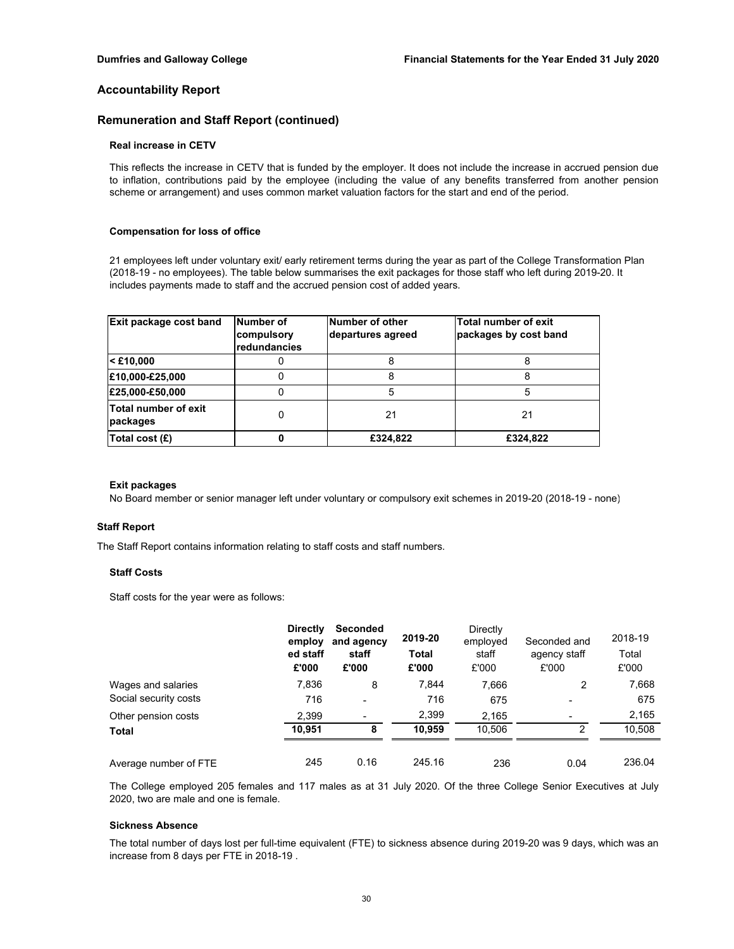## **Remuneration and Staff Report (continued)**

### **Real increase in CETV**

This reflects the increase in CETV that is funded by the employer. It does not include the increase in accrued pension due to inflation, contributions paid by the employee (including the value of any benefits transferred from another pension scheme or arrangement) and uses common market valuation factors for the start and end of the period.

#### **Compensation for loss of office**

21 employees left under voluntary exit/ early retirement terms during the year as part of the College Transformation Plan (2018-19 - no employees). The table below summarises the exit packages for those staff who left during 2019-20. It includes payments made to staff and the accrued pension cost of added years.

| Exit package cost band                  | Number of<br>compulsory<br>redundancies | Number of other<br>departures agreed | Total number of exit<br>packages by cost band |
|-----------------------------------------|-----------------------------------------|--------------------------------------|-----------------------------------------------|
| $\leq$ £10,000                          |                                         |                                      |                                               |
| £10,000-£25,000                         | O                                       | 8                                    |                                               |
| £25,000-£50,000                         |                                         | 5                                    | 5                                             |
| <b>Total number of exit</b><br>packages | 0                                       | 21                                   | 21                                            |
| Total cost (£)                          |                                         | £324,822                             | £324,822                                      |

### **Exit packages**

No Board member or senior manager left under voluntary or compulsory exit schemes in 2019-20 (2018-19 - none)

### **Staff Report**

The Staff Report contains information relating to staff costs and staff numbers.

#### **Staff Costs**

Staff costs for the year were as follows:

|                       | <b>Directly</b><br>employ<br>ed staff<br>£'000 | <b>Seconded</b><br>and agency<br>staff<br>£'000 | 2019-20<br><b>Total</b><br>£'000 | Directly<br>employed<br>staff<br>£'000 | Seconded and<br>agency staff<br>£'000 | 2018-19<br>Total<br>£'000 |
|-----------------------|------------------------------------------------|-------------------------------------------------|----------------------------------|----------------------------------------|---------------------------------------|---------------------------|
| Wages and salaries    | 7,836                                          | 8                                               | 7.844                            | 7.666                                  | 2                                     | 7,668                     |
| Social security costs | 716                                            | $\overline{\phantom{0}}$                        | 716                              | 675                                    |                                       | 675                       |
| Other pension costs   | 2.399                                          | $\overline{\phantom{0}}$                        | 2,399                            | 2,165                                  |                                       | 2,165                     |
| <b>Total</b>          | 10,951                                         | 8                                               | 10.959                           | 10,506                                 | 2                                     | 10,508                    |
| Average number of FTE | 245                                            | 0.16                                            | 245.16                           | 236                                    | 0.04                                  | 236.04                    |

The College employed 205 females and 117 males as at 31 July 2020. Of the three College Senior Executives at July 2020, two are male and one is female.

#### **Sickness Absence**

The total number of days lost per full-time equivalent (FTE) to sickness absence during 2019-20 was 9 days, which was an increase from 8 days per FTE in 2018-19 .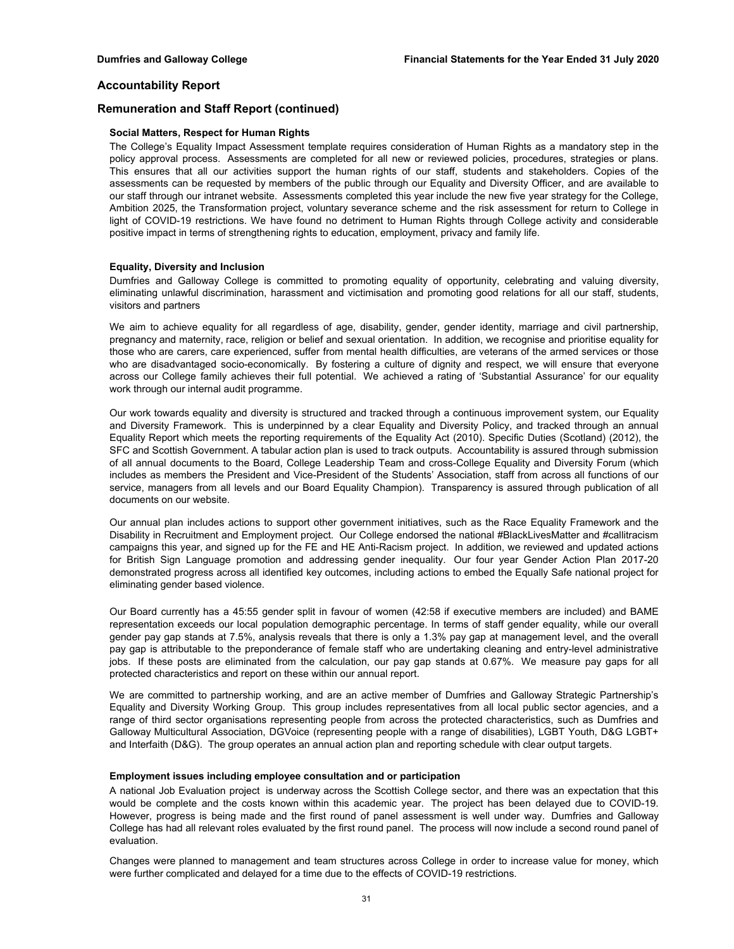## **Remuneration and Staff Report (continued)**

### **Social Matters, Respect for Human Rights**

The College's Equality Impact Assessment template requires consideration of Human Rights as a mandatory step in the policy approval process. Assessments are completed for all new or reviewed policies, procedures, strategies or plans. This ensures that all our activities support the human rights of our staff, students and stakeholders. Copies of the assessments can be requested by members of the public through our Equality and Diversity Officer, and are available to our staff through our intranet website. Assessments completed this year include the new five year strategy for the College, Ambition 2025, the Transformation project, voluntary severance scheme and the risk assessment for return to College in light of COVID-19 restrictions. We have found no detriment to Human Rights through College activity and considerable positive impact in terms of strengthening rights to education, employment, privacy and family life.

## **Equality, Diversity and Inclusion**

Dumfries and Galloway College is committed to promoting equality of opportunity, celebrating and valuing diversity, eliminating unlawful discrimination, harassment and victimisation and promoting good relations for all our staff, students, visitors and partners

We aim to achieve equality for all regardless of age, disability, gender, gender identity, marriage and civil partnership, pregnancy and maternity, race, religion or belief and sexual orientation. In addition, we recognise and prioritise equality for those who are carers, care experienced, suffer from mental health difficulties, are veterans of the armed services or those who are disadvantaged socio-economically. By fostering a culture of dignity and respect, we will ensure that everyone across our College family achieves their full potential. We achieved a rating of 'Substantial Assurance' for our equality work through our internal audit programme.

Our work towards equality and diversity is structured and tracked through a continuous improvement system, our Equality and Diversity Framework. This is underpinned by a clear Equality and Diversity Policy, and tracked through an annual Equality Report which meets the reporting requirements of the Equality Act (2010). Specific Duties (Scotland) (2012), the SFC and Scottish Government. A tabular action plan is used to track outputs. Accountability is assured through submission of all annual documents to the Board, College Leadership Team and cross-College Equality and Diversity Forum (which includes as members the President and Vice-President of the Students' Association, staff from across all functions of our service, managers from all levels and our Board Equality Champion). Transparency is assured through publication of all documents on our website.

Our annual plan includes actions to support other government initiatives, such as the Race Equality Framework and the Disability in Recruitment and Employment project. Our College endorsed the national #BlackLivesMatter and #callitracism campaigns this year, and signed up for the FE and HE Anti-Racism project. In addition, we reviewed and updated actions for British Sign Language promotion and addressing gender inequality. Our four year Gender Action Plan 2017-20 demonstrated progress across all identified key outcomes, including actions to embed the Equally Safe national project for eliminating gender based violence.

Our Board currently has a 45:55 gender split in favour of women (42:58 if executive members are included) and BAME representation exceeds our local population demographic percentage. In terms of staff gender equality, while our overall gender pay gap stands at 7.5%, analysis reveals that there is only a 1.3% pay gap at management level, and the overall pay gap is attributable to the preponderance of female staff who are undertaking cleaning and entry-level administrative jobs. If these posts are eliminated from the calculation, our pay gap stands at 0.67%. We measure pay gaps for all protected characteristics and report on these within our annual report.

We are committed to partnership working, and are an active member of Dumfries and Galloway Strategic Partnership's Equality and Diversity Working Group. This group includes representatives from all local public sector agencies, and a range of third sector organisations representing people from across the protected characteristics, such as Dumfries and Galloway Multicultural Association, DGVoice (representing people with a range of disabilities), LGBT Youth, D&G LGBT+ and Interfaith (D&G). The group operates an annual action plan and reporting schedule with clear output targets.

### **Employment issues including employee consultation and or participation**

A national Job Evaluation project is underway across the Scottish College sector, and there was an expectation that this would be complete and the costs known within this academic year. The project has been delayed due to COVID-19. However, progress is being made and the first round of panel assessment is well under way. Dumfries and Galloway College has had all relevant roles evaluated by the first round panel. The process will now include a second round panel of evaluation.

Changes were planned to management and team structures across College in order to increase value for money, which were further complicated and delayed for a time due to the effects of COVID-19 restrictions.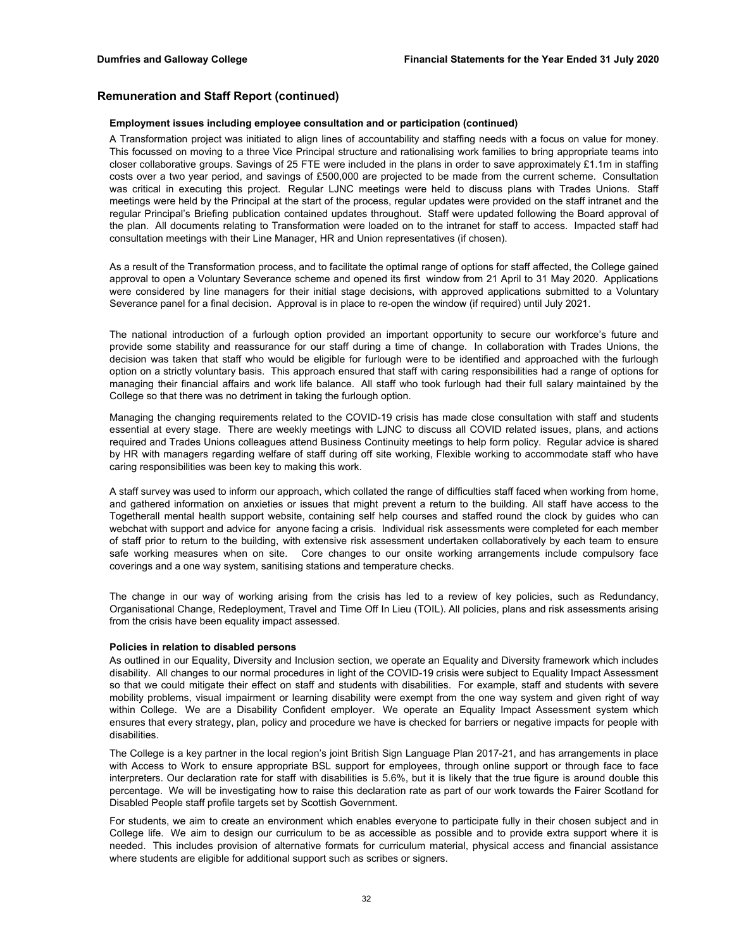## **Remuneration and Staff Report (continued)**

#### **Employment issues including employee consultation and or participation (continued)**

A Transformation project was initiated to align lines of accountability and staffing needs with a focus on value for money. This focussed on moving to a three Vice Principal structure and rationalising work families to bring appropriate teams into closer collaborative groups. Savings of 25 FTE were included in the plans in order to save approximately £1.1m in staffing costs over a two year period, and savings of £500,000 are projected to be made from the current scheme. Consultation was critical in executing this project. Regular LJNC meetings were held to discuss plans with Trades Unions. Staff meetings were held by the Principal at the start of the process, regular updates were provided on the staff intranet and the regular Principal's Briefing publication contained updates throughout. Staff were updated following the Board approval of the plan. All documents relating to Transformation were loaded on to the intranet for staff to access. Impacted staff had consultation meetings with their Line Manager, HR and Union representatives (if chosen).

As a result of the Transformation process, and to facilitate the optimal range of options for staff affected, the College gained approval to open a Voluntary Severance scheme and opened its first window from 21 April to 31 May 2020. Applications were considered by line managers for their initial stage decisions, with approved applications submitted to a Voluntary Severance panel for a final decision. Approval is in place to re-open the window (if required) until July 2021.

The national introduction of a furlough option provided an important opportunity to secure our workforce's future and provide some stability and reassurance for our staff during a time of change. In collaboration with Trades Unions, the decision was taken that staff who would be eligible for furlough were to be identified and approached with the furlough option on a strictly voluntary basis. This approach ensured that staff with caring responsibilities had a range of options for managing their financial affairs and work life balance. All staff who took furlough had their full salary maintained by the College so that there was no detriment in taking the furlough option.

Managing the changing requirements related to the COVID-19 crisis has made close consultation with staff and students essential at every stage. There are weekly meetings with LJNC to discuss all COVID related issues, plans, and actions required and Trades Unions colleagues attend Business Continuity meetings to help form policy. Regular advice is shared by HR with managers regarding welfare of staff during off site working, Flexible working to accommodate staff who have caring responsibilities was been key to making this work.

A staff survey was used to inform our approach, which collated the range of difficulties staff faced when working from home, and gathered information on anxieties or issues that might prevent a return to the building. All staff have access to the Togetherall mental health support website, containing self help courses and staffed round the clock by guides who can webchat with support and advice for anyone facing a crisis. Individual risk assessments were completed for each member of staff prior to return to the building, with extensive risk assessment undertaken collaboratively by each team to ensure safe working measures when on site. Core changes to our onsite working arrangements include compulsory face coverings and a one way system, sanitising stations and temperature checks.

The change in our way of working arising from the crisis has led to a review of key policies, such as Redundancy, Organisational Change, Redeployment, Travel and Time Off In Lieu (TOIL). All policies, plans and risk assessments arising from the crisis have been equality impact assessed.

#### **Policies in relation to disabled persons**

As outlined in our Equality, Diversity and Inclusion section, we operate an Equality and Diversity framework which includes disability. All changes to our normal procedures in light of the COVID-19 crisis were subject to Equality Impact Assessment so that we could mitigate their effect on staff and students with disabilities. For example, staff and students with severe mobility problems, visual impairment or learning disability were exempt from the one way system and given right of way within College. We are a Disability Confident employer. We operate an Equality Impact Assessment system which ensures that every strategy, plan, policy and procedure we have is checked for barriers or negative impacts for people with disabilities.

The College is a key partner in the local region's joint British Sign Language Plan 2017-21, and has arrangements in place with Access to Work to ensure appropriate BSL support for employees, through online support or through face to face interpreters. Our declaration rate for staff with disabilities is 5.6%, but it is likely that the true figure is around double this percentage. We will be investigating how to raise this declaration rate as part of our work towards the Fairer Scotland for Disabled People staff profile targets set by Scottish Government.

For students, we aim to create an environment which enables everyone to participate fully in their chosen subject and in College life. We aim to design our curriculum to be as accessible as possible and to provide extra support where it is needed. This includes provision of alternative formats for curriculum material, physical access and financial assistance where students are eligible for additional support such as scribes or signers.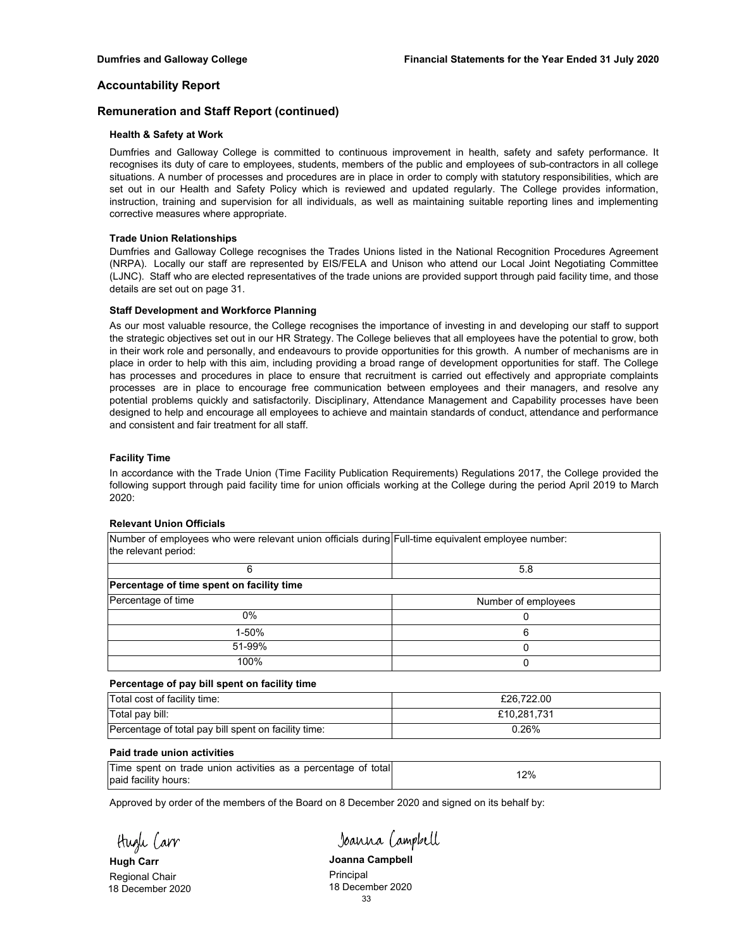## **Remuneration and Staff Report (continued)**

## **Health & Safety at Work**

Dumfries and Galloway College is committed to continuous improvement in health, safety and safety performance. It recognises its duty of care to employees, students, members of the public and employees of sub-contractors in all college situations. A number of processes and procedures are in place in order to comply with statutory responsibilities, which are set out in our Health and Safety Policy which is reviewed and updated regularly. The College provides information, instruction, training and supervision for all individuals, as well as maintaining suitable reporting lines and implementing corrective measures where appropriate.

## **Trade Union Relationships**

Dumfries and Galloway College recognises the Trades Unions listed in the National Recognition Procedures Agreement (NRPA). Locally our staff are represented by EIS/FELA and Unison who attend our Local Joint Negotiating Committee (LJNC). Staff who are elected representatives of the trade unions are provided support through paid facility time, and those details are set out on page 31.

## **Staff Development and Workforce Planning**

As our most valuable resource, the College recognises the importance of investing in and developing our staff to support the strategic objectives set out in our HR Strategy. The College believes that all employees have the potential to grow, both in their work role and personally, and endeavours to provide opportunities for this growth. A number of mechanisms are in place in order to help with this aim, including providing a broad range of development opportunities for staff. The College has processes and procedures in place to ensure that recruitment is carried out effectively and appropriate complaints processes are in place to encourage free communication between employees and their managers, and resolve any potential problems quickly and satisfactorily. Disciplinary, Attendance Management and Capability processes have been designed to help and encourage all employees to achieve and maintain standards of conduct, attendance and performance and consistent and fair treatment for all staff.

## **Facility Time**

In accordance with the Trade Union (Time Facility Publication Requirements) Regulations 2017, the College provided the following support through paid facility time for union officials working at the College during the period April 2019 to March 2020:

## **Relevant Union Officials**

| Number of employees who were relevant union officials during Full-time equivalent employee number: |                     |
|----------------------------------------------------------------------------------------------------|---------------------|
| the relevant period:                                                                               |                     |
|                                                                                                    | 5.8                 |
| Percentage of time spent on facility time                                                          |                     |
| Percentage of time                                                                                 | Number of employees |
| $0\%$                                                                                              |                     |
| 1-50%                                                                                              | 6                   |
| 51-99%                                                                                             |                     |
| 100%                                                                                               | 0                   |

## **Percentage of pay bill spent on facility time**

| Total cost of facility time:                         | £26.722.00  |
|------------------------------------------------------|-------------|
| Total pay bill:                                      | £10.281.731 |
| Percentage of total pay bill spent on facility time: | ን.26%       |

### **Paid trade union activities**

| Time spent on trade union activities as a percentage of total |     |
|---------------------------------------------------------------|-----|
| paid facility hours:                                          | 12% |

Approved by order of the members of the Board on 8 December 2020 and signed on its behalf by:

Hugh Carr

18 December 2020

Joanna Campbell

**Hugh Carr Joanna Campbell** Regional Chair **Chair Chair Chair Chair Chair Chair Principal**<br>18 December 2020 33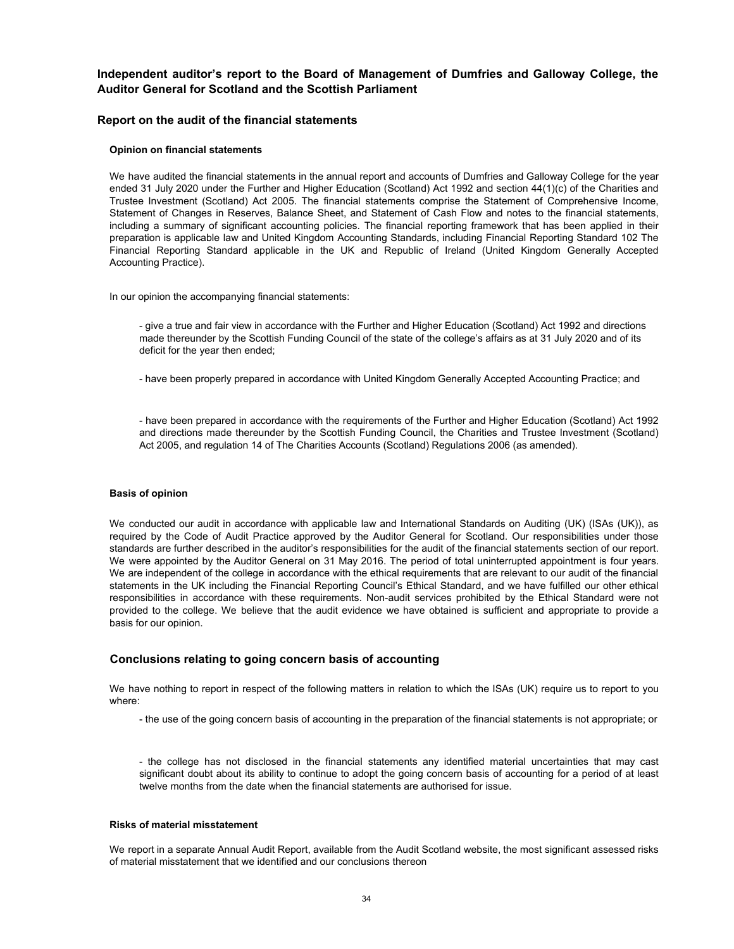**Independent auditor's report to the Board of Management of Dumfries and Galloway College, the Auditor General for Scotland and the Scottish Parliament**

## **Report on the audit of the financial statements**

#### **Opinion on financial statements**

We have audited the financial statements in the annual report and accounts of Dumfries and Galloway College for the year ended 31 July 2020 under the Further and Higher Education (Scotland) Act 1992 and section 44(1)(c) of the Charities and Trustee Investment (Scotland) Act 2005. The financial statements comprise the Statement of Comprehensive Income, Statement of Changes in Reserves, Balance Sheet, and Statement of Cash Flow and notes to the financial statements, including a summary of significant accounting policies. The financial reporting framework that has been applied in their preparation is applicable law and United Kingdom Accounting Standards, including Financial Reporting Standard 102 The Financial Reporting Standard applicable in the UK and Republic of Ireland (United Kingdom Generally Accepted Accounting Practice).

In our opinion the accompanying financial statements:

- give a true and fair view in accordance with the Further and Higher Education (Scotland) Act 1992 and directions made thereunder by the Scottish Funding Council of the state of the college's affairs as at 31 July 2020 and of its deficit for the year then ended;

- have been properly prepared in accordance with United Kingdom Generally Accepted Accounting Practice; and

- have been prepared in accordance with the requirements of the Further and Higher Education (Scotland) Act 1992 and directions made thereunder by the Scottish Funding Council, the Charities and Trustee Investment (Scotland) Act 2005, and regulation 14 of The Charities Accounts (Scotland) Regulations 2006 (as amended).

#### **Basis of opinion**

We conducted our audit in accordance with applicable law and International Standards on Auditing (UK) (ISAs (UK)), as required by the Code of Audit Practice approved by the Auditor General for Scotland. Our responsibilities under those standards are further described in the auditor's responsibilities for the audit of the financial statements section of our report. We were appointed by the Auditor General on 31 May 2016. The period of total uninterrupted appointment is four years. We are independent of the college in accordance with the ethical requirements that are relevant to our audit of the financial statements in the UK including the Financial Reporting Council's Ethical Standard, and we have fulfilled our other ethical responsibilities in accordance with these requirements. Non-audit services prohibited by the Ethical Standard were not provided to the college. We believe that the audit evidence we have obtained is sufficient and appropriate to provide a basis for our opinion.

## **Conclusions relating to going concern basis of accounting**

We have nothing to report in respect of the following matters in relation to which the ISAs (UK) require us to report to you where:

- the use of the going concern basis of accounting in the preparation of the financial statements is not appropriate; or

- the college has not disclosed in the financial statements any identified material uncertainties that may cast significant doubt about its ability to continue to adopt the going concern basis of accounting for a period of at least twelve months from the date when the financial statements are authorised for issue.

#### **Risks of material misstatement**

We report in a separate Annual Audit Report, available from the Audit Scotland website, the most significant assessed risks of material misstatement that we identified and our conclusions thereon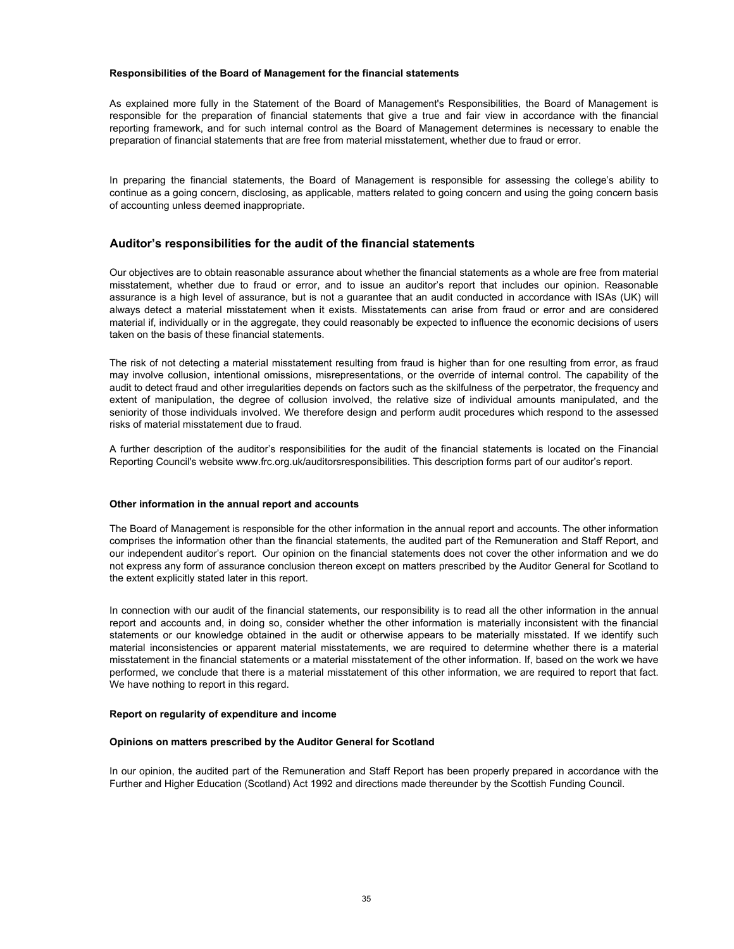#### **Responsibilities of the Board of Management for the financial statements**

As explained more fully in the Statement of the Board of Management's Responsibilities, the Board of Management is responsible for the preparation of financial statements that give a true and fair view in accordance with the financial reporting framework, and for such internal control as the Board of Management determines is necessary to enable the preparation of financial statements that are free from material misstatement, whether due to fraud or error.

In preparing the financial statements, the Board of Management is responsible for assessing the college's ability to continue as a going concern, disclosing, as applicable, matters related to going concern and using the going concern basis of accounting unless deemed inappropriate.

## **Auditor's responsibilities for the audit of the financial statements**

Our objectives are to obtain reasonable assurance about whether the financial statements as a whole are free from material misstatement, whether due to fraud or error, and to issue an auditor's report that includes our opinion. Reasonable assurance is a high level of assurance, but is not a guarantee that an audit conducted in accordance with ISAs (UK) will always detect a material misstatement when it exists. Misstatements can arise from fraud or error and are considered material if, individually or in the aggregate, they could reasonably be expected to influence the economic decisions of users taken on the basis of these financial statements.

The risk of not detecting a material misstatement resulting from fraud is higher than for one resulting from error, as fraud may involve collusion, intentional omissions, misrepresentations, or the override of internal control. The capability of the audit to detect fraud and other irregularities depends on factors such as the skilfulness of the perpetrator, the frequency and extent of manipulation, the degree of collusion involved, the relative size of individual amounts manipulated, and the seniority of those individuals involved. We therefore design and perform audit procedures which respond to the assessed risks of material misstatement due to fraud.

A further description of the auditor's responsibilities for the audit of the financial statements is located on the Financial Reporting Council's website www.frc.org.uk/auditorsresponsibilities. This description forms part of our auditor's report.

#### **Other information in the annual report and accounts**

The Board of Management is responsible for the other information in the annual report and accounts. The other information comprises the information other than the financial statements, the audited part of the Remuneration and Staff Report, and our independent auditor's report. Our opinion on the financial statements does not cover the other information and we do not express any form of assurance conclusion thereon except on matters prescribed by the Auditor General for Scotland to the extent explicitly stated later in this report.

In connection with our audit of the financial statements, our responsibility is to read all the other information in the annual report and accounts and, in doing so, consider whether the other information is materially inconsistent with the financial statements or our knowledge obtained in the audit or otherwise appears to be materially misstated. If we identify such material inconsistencies or apparent material misstatements, we are required to determine whether there is a material misstatement in the financial statements or a material misstatement of the other information. If, based on the work we have performed, we conclude that there is a material misstatement of this other information, we are required to report that fact. We have nothing to report in this regard.

#### **Report on regularity of expenditure and income**

#### **Opinions on matters prescribed by the Auditor General for Scotland**

In our opinion, the audited part of the Remuneration and Staff Report has been properly prepared in accordance with the Further and Higher Education (Scotland) Act 1992 and directions made thereunder by the Scottish Funding Council.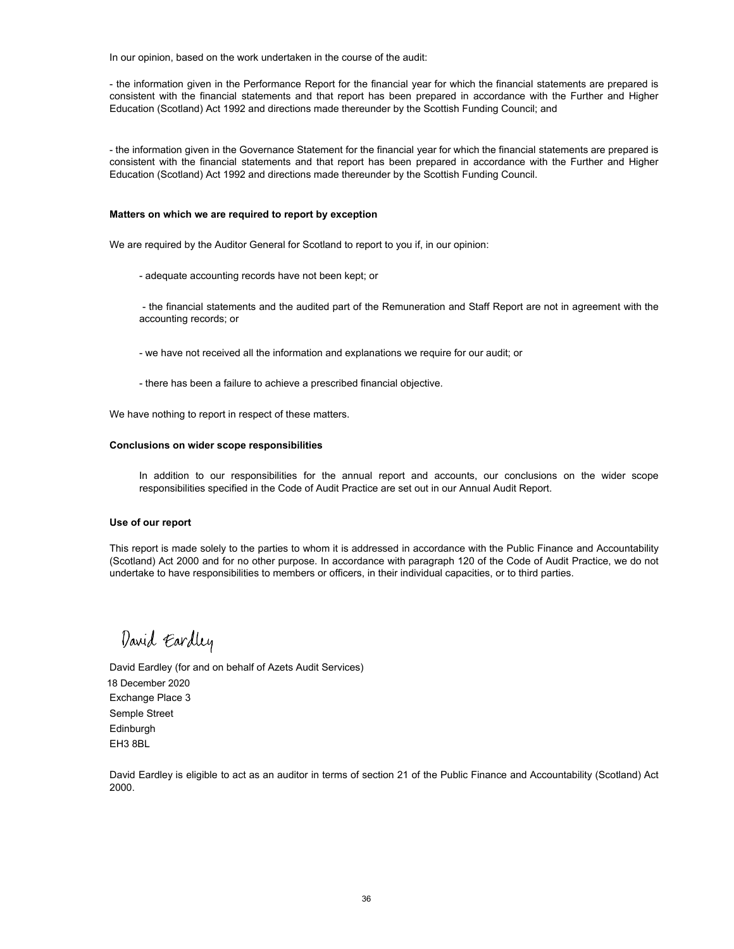In our opinion, based on the work undertaken in the course of the audit:

- the information given in the Performance Report for the financial year for which the financial statements are prepared is consistent with the financial statements and that report has been prepared in accordance with the Further and Higher Education (Scotland) Act 1992 and directions made thereunder by the Scottish Funding Council; and

- the information given in the Governance Statement for the financial year for which the financial statements are prepared is consistent with the financial statements and that report has been prepared in accordance with the Further and Higher Education (Scotland) Act 1992 and directions made thereunder by the Scottish Funding Council.

### **Matters on which we are required to report by exception**

We are required by the Auditor General for Scotland to report to you if, in our opinion:

- adequate accounting records have not been kept; or

- the financial statements and the audited part of the Remuneration and Staff Report are not in agreement with the accounting records; or

- we have not received all the information and explanations we require for our audit; or
- there has been a failure to achieve a prescribed financial objective.

We have nothing to report in respect of these matters.

#### **Conclusions on wider scope responsibilities**

In addition to our responsibilities for the annual report and accounts, our conclusions on the wider scope responsibilities specified in the Code of Audit Practice are set out in our Annual Audit Report.

### **Use of our report**

This report is made solely to the parties to whom it is addressed in accordance with the Public Finance and Accountability (Scotland) Act 2000 and for no other purpose. In accordance with paragraph 120 of the Code of Audit Practice, we do not undertake to have responsibilities to members or officers, in their individual capacities, or to third parties.

David Eardley

Exchange Place 3 Semple Street Edinburgh EH3 8BL David Eardley (for and on behalf of Azets Audit Services) 18 December 2020

David Eardley is eligible to act as an auditor in terms of section 21 of the Public Finance and Accountability (Scotland) Act 2000.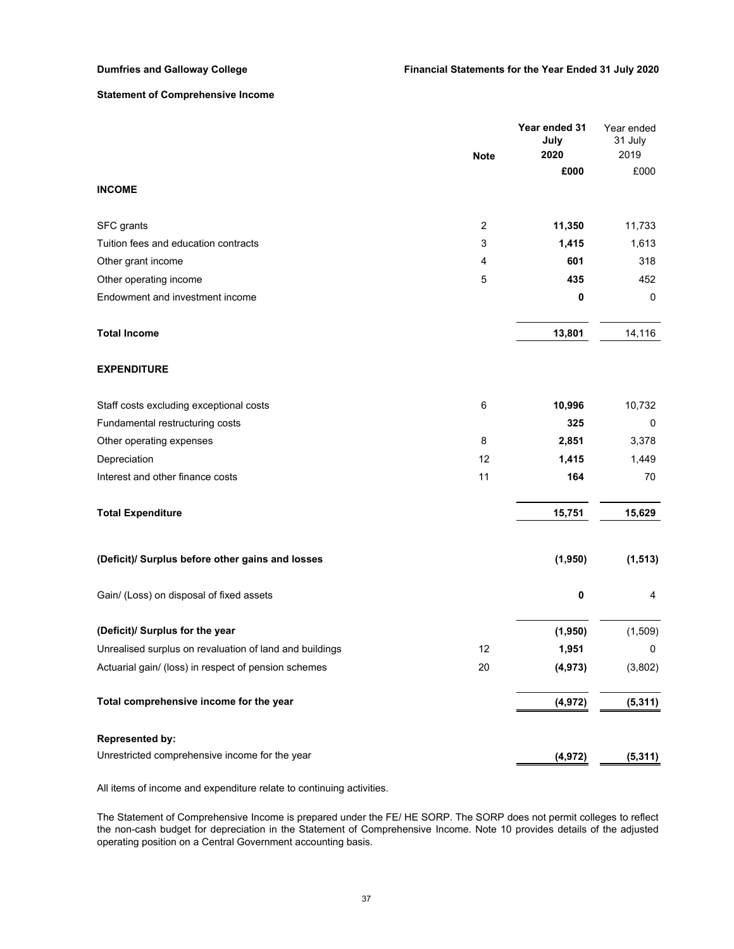## **Statement of Comprehensive Income**

|                                                         | <b>Note</b>    | Year ended 31<br>July<br>2020 | Year ended<br>31 July<br>2019 |
|---------------------------------------------------------|----------------|-------------------------------|-------------------------------|
|                                                         |                | £000                          | £000                          |
| <b>INCOME</b>                                           |                |                               |                               |
| SFC grants                                              | $\overline{2}$ | 11,350                        | 11,733                        |
| Tuition fees and education contracts                    | 3              | 1,415                         | 1,613                         |
| Other grant income                                      | 4              | 601                           | 318                           |
| Other operating income                                  | 5              | 435                           | 452                           |
| Endowment and investment income                         |                | 0                             | 0                             |
| <b>Total Income</b>                                     |                | 13,801                        | 14,116                        |
| <b>EXPENDITURE</b>                                      |                |                               |                               |
| Staff costs excluding exceptional costs                 | 6              | 10,996                        | 10,732                        |
| Fundamental restructuring costs                         |                | 325                           | $\mathbf 0$                   |
| Other operating expenses                                | 8              | 2,851                         | 3,378                         |
| Depreciation                                            | 12             | 1,415                         | 1,449                         |
| Interest and other finance costs                        | 11             | 164                           | 70                            |
| <b>Total Expenditure</b>                                |                | 15,751                        | 15,629                        |
| (Deficit)/ Surplus before other gains and losses        |                | (1,950)                       | (1, 513)                      |
| Gain/ (Loss) on disposal of fixed assets                |                | 0                             | 4                             |
| (Deficit)/ Surplus for the year                         |                | (1,950)                       | (1,509)                       |
| Unrealised surplus on revaluation of land and buildings | 12             | 1,951                         | 0                             |
| Actuarial gain/ (loss) in respect of pension schemes    | 20             | (4, 973)                      | (3,802)                       |
| Total comprehensive income for the year                 |                | (4, 972)                      | (5, 311)                      |
| <b>Represented by:</b>                                  |                |                               |                               |
| Unrestricted comprehensive income for the year          |                | (4, 972)                      | (5, 311)                      |

All items of income and expenditure relate to continuing activities.

The Statement of Comprehensive Income is prepared under the FE/ HE SORP. The SORP does not permit colleges to reflect the non-cash budget for depreciation in the Statement of Comprehensive Income. Note 10 provides details of the adjusted operating position on a Central Government accounting basis.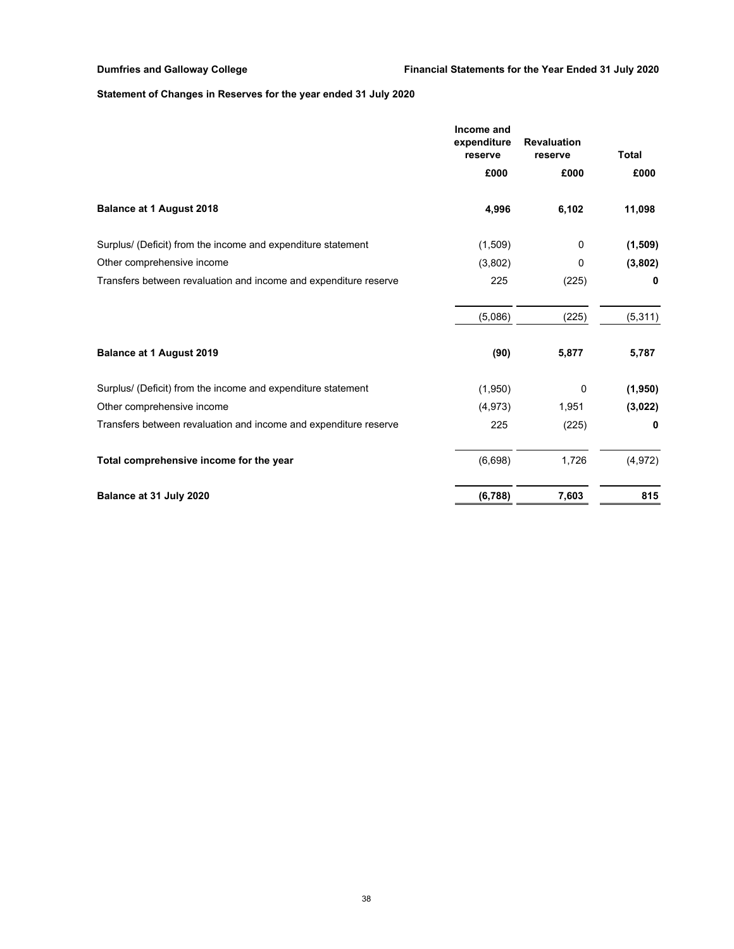# **Statement of Changes in Reserves for the year ended 31 July 2020**

|                                                                  | Income and<br>expenditure<br>reserve | <b>Revaluation</b><br>reserve |          |  | <b>Total</b> |
|------------------------------------------------------------------|--------------------------------------|-------------------------------|----------|--|--------------|
|                                                                  | £000                                 | £000                          | £000     |  |              |
| <b>Balance at 1 August 2018</b>                                  | 4,996                                | 6,102                         | 11,098   |  |              |
| Surplus/ (Deficit) from the income and expenditure statement     | (1,509)                              | 0                             | (1,509)  |  |              |
| Other comprehensive income                                       | (3,802)                              | 0                             | (3,802)  |  |              |
| Transfers between revaluation and income and expenditure reserve | 225                                  | (225)                         | 0        |  |              |
|                                                                  | (5,086)                              | (225)                         | (5, 311) |  |              |
| <b>Balance at 1 August 2019</b>                                  | (90)                                 | 5,877                         | 5,787    |  |              |
| Surplus/ (Deficit) from the income and expenditure statement     | (1,950)                              | 0                             | (1,950)  |  |              |
| Other comprehensive income                                       | (4, 973)                             | 1,951                         | (3,022)  |  |              |
| Transfers between revaluation and income and expenditure reserve | 225                                  | (225)                         | 0        |  |              |
| Total comprehensive income for the year                          | (6,698)                              | 1,726                         | (4, 972) |  |              |
| Balance at 31 July 2020                                          | (6, 788)                             | 7,603                         | 815      |  |              |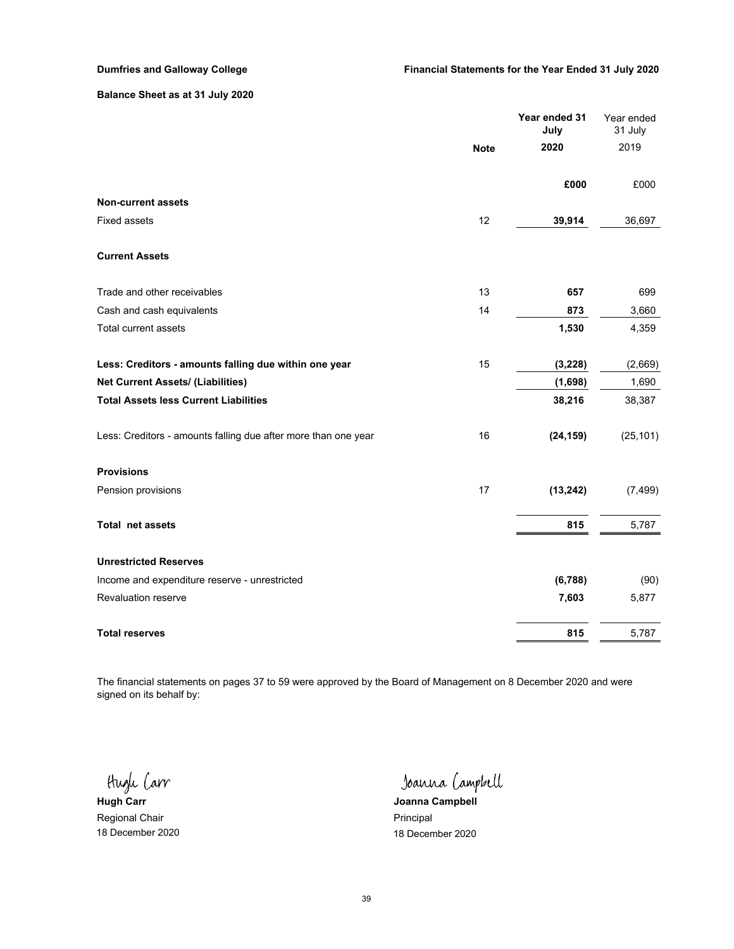## **Balance Sheet as at 31 July 2020**

|                                                                | <b>Note</b> | Year ended 31<br>July | Year ended<br>31 July |
|----------------------------------------------------------------|-------------|-----------------------|-----------------------|
|                                                                |             | 2020                  | 2019                  |
|                                                                |             | £000                  | £000                  |
| <b>Non-current assets</b>                                      |             |                       |                       |
| <b>Fixed assets</b>                                            | 12          | 39,914                | 36,697                |
| <b>Current Assets</b>                                          |             |                       |                       |
| Trade and other receivables                                    | 13          | 657                   | 699                   |
| Cash and cash equivalents                                      | 14          | 873                   | 3,660                 |
| <b>Total current assets</b>                                    |             | 1,530                 | 4,359                 |
| Less: Creditors - amounts falling due within one year          | 15          | (3, 228)              | (2,669)               |
| <b>Net Current Assets/ (Liabilities)</b>                       |             | (1,698)               | 1,690                 |
| <b>Total Assets less Current Liabilities</b>                   |             | 38,216                | 38,387                |
| Less: Creditors - amounts falling due after more than one year | 16          | (24, 159)             | (25, 101)             |
| <b>Provisions</b>                                              |             |                       |                       |
| Pension provisions                                             | 17          | (13, 242)             | (7, 499)              |
| Total net assets                                               |             | 815                   | 5,787                 |
| <b>Unrestricted Reserves</b>                                   |             |                       |                       |
| Income and expenditure reserve - unrestricted                  |             | (6, 788)              | (90)                  |
| Revaluation reserve                                            |             | 7,603                 | 5,877                 |
| <b>Total reserves</b>                                          |             | 815                   | 5,787                 |

The financial statements on pages 37 to 59 were approved by the Board of Management on 8 December 2020 and were signed on its behalf by:

Hugh Carr

Regional Chair **Principal** Regional Chair

Joanna Campbell

**Hugh Carr Joanna Campbell** 18 December 2020 18 December 2020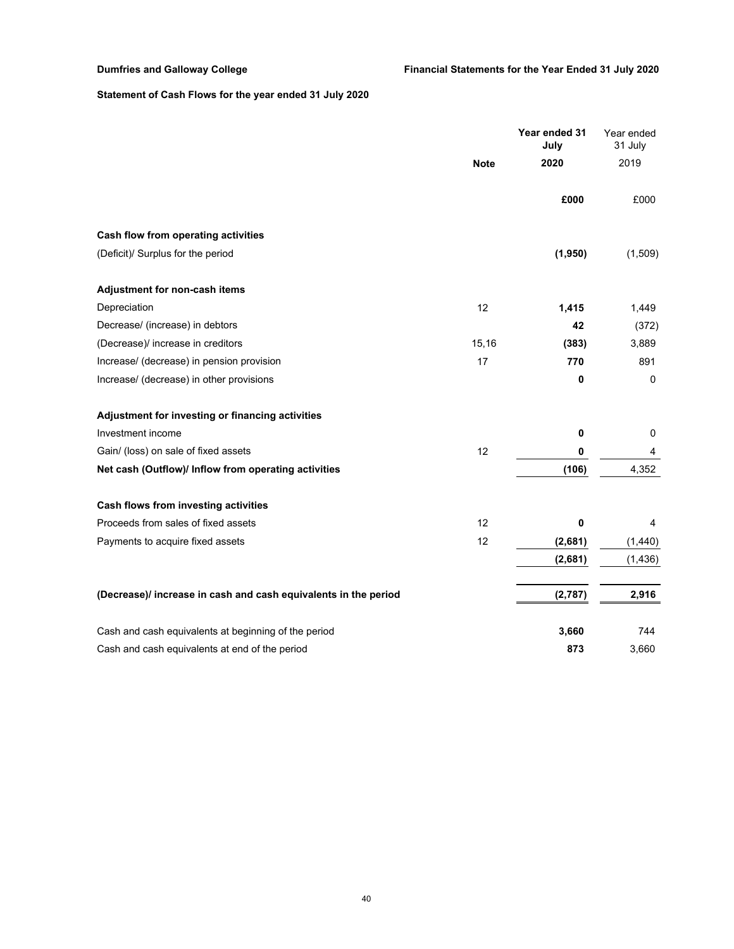# **Statement of Cash Flows for the year ended 31 July 2020**

|                                                                 |             | Year ended 31<br>July | Year ended<br>31 July |
|-----------------------------------------------------------------|-------------|-----------------------|-----------------------|
|                                                                 | <b>Note</b> | 2020                  | 2019                  |
|                                                                 |             | £000                  | £000                  |
| Cash flow from operating activities                             |             |                       |                       |
| (Deficit)/ Surplus for the period                               |             | (1,950)               | (1,509)               |
| Adjustment for non-cash items                                   |             |                       |                       |
| Depreciation                                                    | 12          | 1,415                 | 1,449                 |
| Decrease/ (increase) in debtors                                 |             | 42                    | (372)                 |
| (Decrease)/ increase in creditors                               | 15,16       | (383)                 | 3,889                 |
| Increase/ (decrease) in pension provision                       | 17          | 770                   | 891                   |
| Increase/ (decrease) in other provisions                        |             | $\mathbf 0$           | 0                     |
| Adjustment for investing or financing activities                |             |                       |                       |
| Investment income                                               |             | $\pmb{0}$             | 0                     |
| Gain/ (loss) on sale of fixed assets                            | 12          | 0                     | 4                     |
| Net cash (Outflow)/ Inflow from operating activities            |             | (106)                 | 4,352                 |
| Cash flows from investing activities                            |             |                       |                       |
| Proceeds from sales of fixed assets                             | 12          | 0                     | 4                     |
| Payments to acquire fixed assets                                | 12          | (2,681)               | (1,440)               |
|                                                                 |             | (2,681)               | (1, 436)              |
| (Decrease)/ increase in cash and cash equivalents in the period |             | (2,787)               | 2,916                 |
| Cash and cash equivalents at beginning of the period            |             | 3,660                 | 744                   |
| Cash and cash equivalents at end of the period                  |             | 873                   | 3,660                 |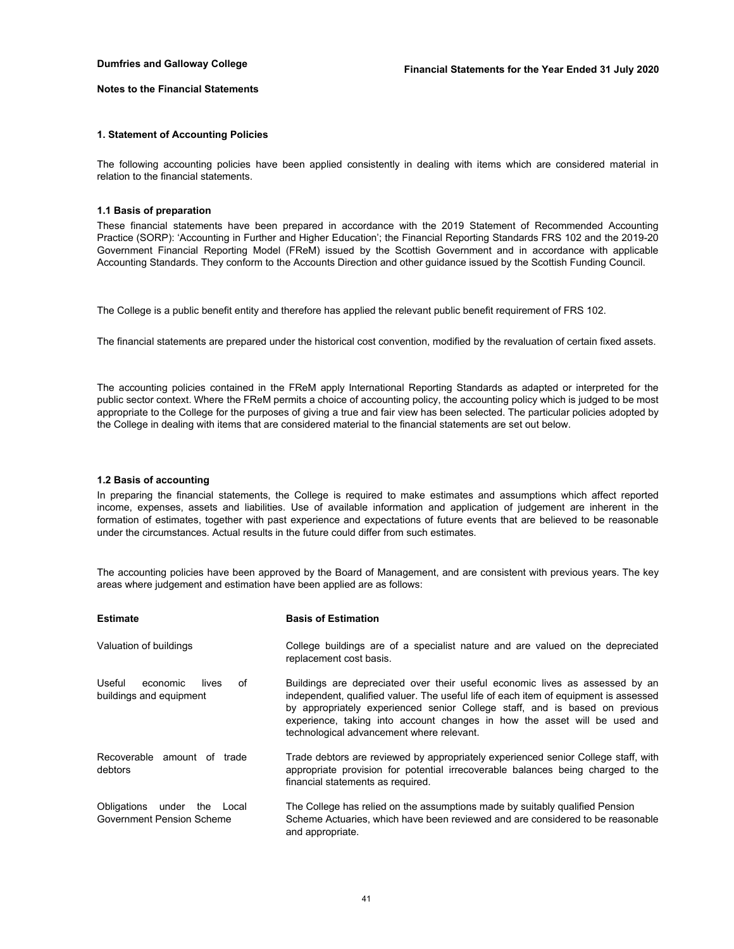#### **Notes to the Financial Statements**

#### **1. Statement of Accounting Policies**

The following accounting policies have been applied consistently in dealing with items which are considered material in relation to the financial statements.

### **1.1 Basis of preparation**

These financial statements have been prepared in accordance with the 2019 Statement of Recommended Accounting Practice (SORP): 'Accounting in Further and Higher Education'; the Financial Reporting Standards FRS 102 and the 2019-20 Government Financial Reporting Model (FReM) issued by the Scottish Government and in accordance with applicable Accounting Standards. They conform to the Accounts Direction and other guidance issued by the Scottish Funding Council.

The College is a public benefit entity and therefore has applied the relevant public benefit requirement of FRS 102.

The financial statements are prepared under the historical cost convention, modified by the revaluation of certain fixed assets.

The accounting policies contained in the FReM apply International Reporting Standards as adapted or interpreted for the public sector context. Where the FReM permits a choice of accounting policy, the accounting policy which is judged to be most appropriate to the College for the purposes of giving a true and fair view has been selected. The particular policies adopted by the College in dealing with items that are considered material to the financial statements are set out below.

### **1.2 Basis of accounting**

In preparing the financial statements, the College is required to make estimates and assumptions which affect reported income, expenses, assets and liabilities. Use of available information and application of judgement are inherent in the formation of estimates, together with past experience and expectations of future events that are believed to be reasonable under the circumstances. Actual results in the future could differ from such estimates.

The accounting policies have been approved by the Board of Management, and are consistent with previous years. The key areas where judgement and estimation have been applied are as follows:

| <b>Estimate</b>                                                 | <b>Basis of Estimation</b>                                                                                                                                                                                                                                                                                                                                                    |
|-----------------------------------------------------------------|-------------------------------------------------------------------------------------------------------------------------------------------------------------------------------------------------------------------------------------------------------------------------------------------------------------------------------------------------------------------------------|
| Valuation of buildings                                          | College buildings are of a specialist nature and are valued on the depreciated<br>replacement cost basis.                                                                                                                                                                                                                                                                     |
| Useful<br>lives<br>оf<br>economic<br>buildings and equipment    | Buildings are depreciated over their useful economic lives as assessed by an<br>independent, qualified valuer. The useful life of each item of equipment is assessed<br>by appropriately experienced senior College staff, and is based on previous<br>experience, taking into account changes in how the asset will be used and<br>technological advancement where relevant. |
| Recoverable amount of trade<br>debtors                          | Trade debtors are reviewed by appropriately experienced senior College staff, with<br>appropriate provision for potential irrecoverable balances being charged to the<br>financial statements as required.                                                                                                                                                                    |
| Obligations under the Local<br><b>Government Pension Scheme</b> | The College has relied on the assumptions made by suitably qualified Pension<br>Scheme Actuaries, which have been reviewed and are considered to be reasonable<br>and appropriate.                                                                                                                                                                                            |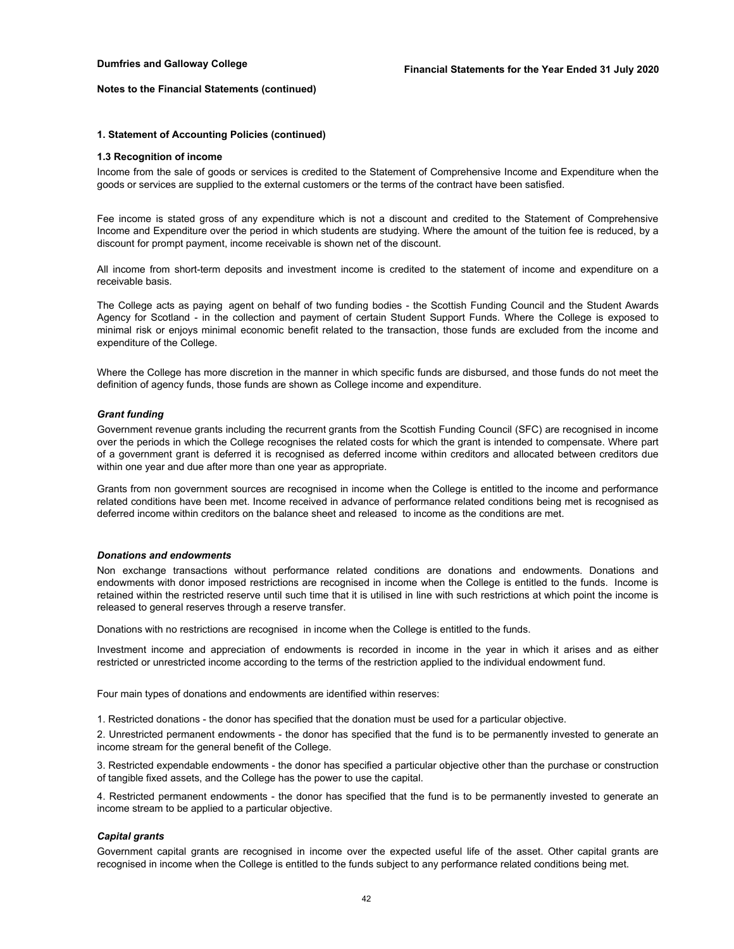#### **1. Statement of Accounting Policies (continued)**

#### **1.3 Recognition of income**

Income from the sale of goods or services is credited to the Statement of Comprehensive Income and Expenditure when the goods or services are supplied to the external customers or the terms of the contract have been satisfied.

Fee income is stated gross of any expenditure which is not a discount and credited to the Statement of Comprehensive Income and Expenditure over the period in which students are studying. Where the amount of the tuition fee is reduced, by a discount for prompt payment, income receivable is shown net of the discount.

All income from short-term deposits and investment income is credited to the statement of income and expenditure on a receivable basis.

The College acts as paying agent on behalf of two funding bodies - the Scottish Funding Council and the Student Awards Agency for Scotland - in the collection and payment of certain Student Support Funds. Where the College is exposed to minimal risk or enjoys minimal economic benefit related to the transaction, those funds are excluded from the income and expenditure of the College.

Where the College has more discretion in the manner in which specific funds are disbursed, and those funds do not meet the definition of agency funds, those funds are shown as College income and expenditure.

### *Grant funding*

Government revenue grants including the recurrent grants from the Scottish Funding Council (SFC) are recognised in income over the periods in which the College recognises the related costs for which the grant is intended to compensate. Where part of a government grant is deferred it is recognised as deferred income within creditors and allocated between creditors due within one year and due after more than one year as appropriate.

Grants from non government sources are recognised in income when the College is entitled to the income and performance related conditions have been met. Income received in advance of performance related conditions being met is recognised as deferred income within creditors on the balance sheet and released to income as the conditions are met.

#### *Donations and endowments*

Non exchange transactions without performance related conditions are donations and endowments. Donations and endowments with donor imposed restrictions are recognised in income when the College is entitled to the funds. Income is retained within the restricted reserve until such time that it is utilised in line with such restrictions at which point the income is released to general reserves through a reserve transfer.

Donations with no restrictions are recognised in income when the College is entitled to the funds.

Investment income and appreciation of endowments is recorded in income in the year in which it arises and as either restricted or unrestricted income according to the terms of the restriction applied to the individual endowment fund.

Four main types of donations and endowments are identified within reserves:

1. Restricted donations - the donor has specified that the donation must be used for a particular objective.

2. Unrestricted permanent endowments - the donor has specified that the fund is to be permanently invested to generate an income stream for the general benefit of the College.

3. Restricted expendable endowments - the donor has specified a particular objective other than the purchase or construction of tangible fixed assets, and the College has the power to use the capital.

4. Restricted permanent endowments - the donor has specified that the fund is to be permanently invested to generate an income stream to be applied to a particular objective.

#### *Capital grants*

Government capital grants are recognised in income over the expected useful life of the asset. Other capital grants are recognised in income when the College is entitled to the funds subject to any performance related conditions being met.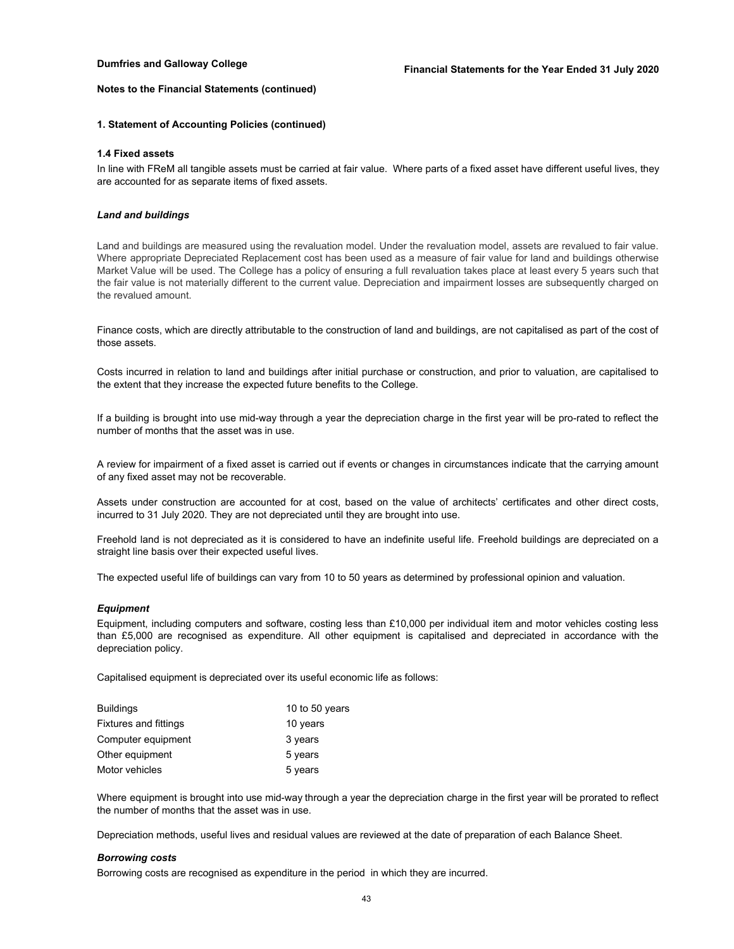### **1. Statement of Accounting Policies (continued)**

#### **1.4 Fixed assets**

In line with FReM all tangible assets must be carried at fair value. Where parts of a fixed asset have different useful lives, they are accounted for as separate items of fixed assets.

#### *Land and buildings*

Land and buildings are measured using the revaluation model. Under the revaluation model, assets are revalued to fair value. Where appropriate Depreciated Replacement cost has been used as a measure of fair value for land and buildings otherwise Market Value will be used. The College has a policy of ensuring a full revaluation takes place at least every 5 years such that the fair value is not materially different to the current value. Depreciation and impairment losses are subsequently charged on the revalued amount.

Finance costs, which are directly attributable to the construction of land and buildings, are not capitalised as part of the cost of those assets.

Costs incurred in relation to land and buildings after initial purchase or construction, and prior to valuation, are capitalised to the extent that they increase the expected future benefits to the College.

If a building is brought into use mid-way through a year the depreciation charge in the first year will be pro-rated to reflect the number of months that the asset was in use.

A review for impairment of a fixed asset is carried out if events or changes in circumstances indicate that the carrying amount of any fixed asset may not be recoverable.

Assets under construction are accounted for at cost, based on the value of architects' certificates and other direct costs, incurred to 31 July 2020. They are not depreciated until they are brought into use.

Freehold land is not depreciated as it is considered to have an indefinite useful life. Freehold buildings are depreciated on a straight line basis over their expected useful lives.

The expected useful life of buildings can vary from 10 to 50 years as determined by professional opinion and valuation.

#### *Equipment*

Equipment, including computers and software, costing less than £10,000 per individual item and motor vehicles costing less than £5,000 are recognised as expenditure. All other equipment is capitalised and depreciated in accordance with the depreciation policy.

Capitalised equipment is depreciated over its useful economic life as follows:

| Buildings                    | 10 to 50 years |
|------------------------------|----------------|
| <b>Fixtures and fittings</b> | 10 years       |
| Computer equipment           | 3 years        |
| Other equipment              | 5 years        |
| Motor vehicles               | 5 years        |

Where equipment is brought into use mid-way through a year the depreciation charge in the first year will be prorated to reflect the number of months that the asset was in use.

Depreciation methods, useful lives and residual values are reviewed at the date of preparation of each Balance Sheet.

#### *Borrowing costs*

Borrowing costs are recognised as expenditure in the period in which they are incurred.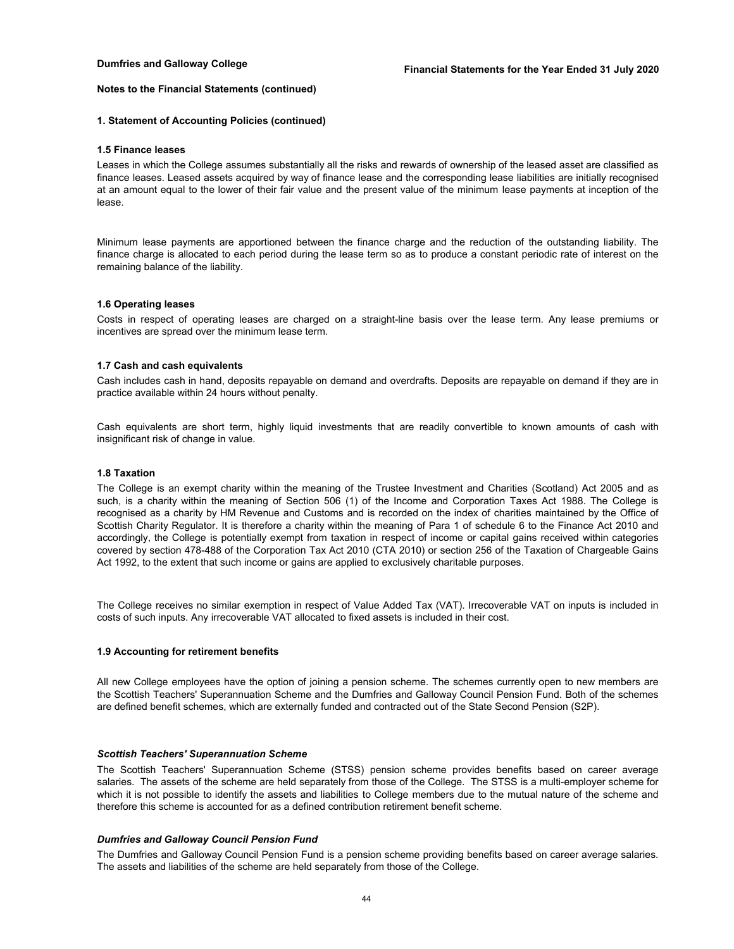#### **1. Statement of Accounting Policies (continued)**

#### **1.5 Finance leases**

Leases in which the College assumes substantially all the risks and rewards of ownership of the leased asset are classified as finance leases. Leased assets acquired by way of finance lease and the corresponding lease liabilities are initially recognised at an amount equal to the lower of their fair value and the present value of the minimum lease payments at inception of the lease.

Minimum lease payments are apportioned between the finance charge and the reduction of the outstanding liability. The finance charge is allocated to each period during the lease term so as to produce a constant periodic rate of interest on the remaining balance of the liability.

### **1.6 Operating leases**

Costs in respect of operating leases are charged on a straight-line basis over the lease term. Any lease premiums or incentives are spread over the minimum lease term.

#### **1.7 Cash and cash equivalents**

Cash includes cash in hand, deposits repayable on demand and overdrafts. Deposits are repayable on demand if they are in practice available within 24 hours without penalty.

Cash equivalents are short term, highly liquid investments that are readily convertible to known amounts of cash with insignificant risk of change in value.

#### **1.8 Taxation**

The College is an exempt charity within the meaning of the Trustee Investment and Charities (Scotland) Act 2005 and as such, is a charity within the meaning of Section 506 (1) of the Income and Corporation Taxes Act 1988. The College is recognised as a charity by HM Revenue and Customs and is recorded on the index of charities maintained by the Office of Scottish Charity Regulator. It is therefore a charity within the meaning of Para 1 of schedule 6 to the Finance Act 2010 and accordingly, the College is potentially exempt from taxation in respect of income or capital gains received within categories covered by section 478-488 of the Corporation Tax Act 2010 (CTA 2010) or section 256 of the Taxation of Chargeable Gains Act 1992, to the extent that such income or gains are applied to exclusively charitable purposes.

The College receives no similar exemption in respect of Value Added Tax (VAT). Irrecoverable VAT on inputs is included in costs of such inputs. Any irrecoverable VAT allocated to fixed assets is included in their cost.

#### **1.9 Accounting for retirement benefits**

All new College employees have the option of joining a pension scheme. The schemes currently open to new members are the Scottish Teachers' Superannuation Scheme and the Dumfries and Galloway Council Pension Fund. Both of the schemes are defined benefit schemes, which are externally funded and contracted out of the State Second Pension (S2P).

#### *Scottish Teachers' Superannuation Scheme*

The Scottish Teachers' Superannuation Scheme (STSS) pension scheme provides benefits based on career average salaries. The assets of the scheme are held separately from those of the College. The STSS is a multi-employer scheme for which it is not possible to identify the assets and liabilities to College members due to the mutual nature of the scheme and therefore this scheme is accounted for as a defined contribution retirement benefit scheme.

#### *Dumfries and Galloway Council Pension Fund*

The Dumfries and Galloway Council Pension Fund is a pension scheme providing benefits based on career average salaries. The assets and liabilities of the scheme are held separately from those of the College.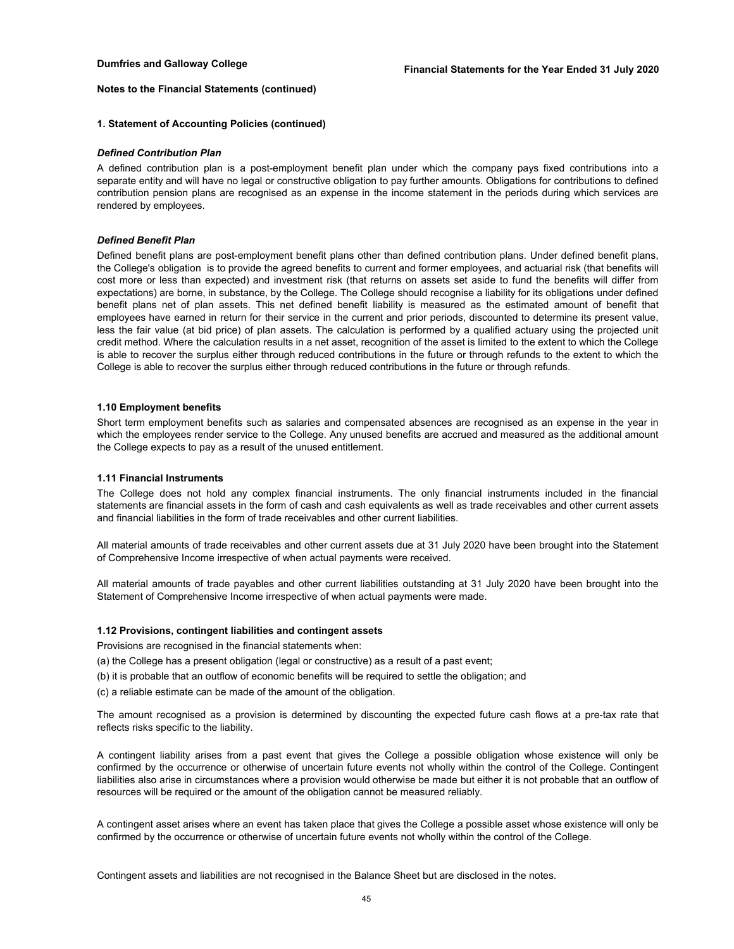### **1. Statement of Accounting Policies (continued)**

#### *Defined Contribution Plan*

A defined contribution plan is a post-employment benefit plan under which the company pays fixed contributions into a separate entity and will have no legal or constructive obligation to pay further amounts. Obligations for contributions to defined contribution pension plans are recognised as an expense in the income statement in the periods during which services are rendered by employees.

#### *Defined Benefit Plan*

Defined benefit plans are post-employment benefit plans other than defined contribution plans. Under defined benefit plans, the College's obligation is to provide the agreed benefits to current and former employees, and actuarial risk (that benefits will cost more or less than expected) and investment risk (that returns on assets set aside to fund the benefits will differ from expectations) are borne, in substance, by the College. The College should recognise a liability for its obligations under defined benefit plans net of plan assets. This net defined benefit liability is measured as the estimated amount of benefit that employees have earned in return for their service in the current and prior periods, discounted to determine its present value, less the fair value (at bid price) of plan assets. The calculation is performed by a qualified actuary using the projected unit credit method. Where the calculation results in a net asset, recognition of the asset is limited to the extent to which the College is able to recover the surplus either through reduced contributions in the future or through refunds to the extent to which the College is able to recover the surplus either through reduced contributions in the future or through refunds.

#### **1.10 Employment benefits**

Short term employment benefits such as salaries and compensated absences are recognised as an expense in the year in which the employees render service to the College. Any unused benefits are accrued and measured as the additional amount the College expects to pay as a result of the unused entitlement.

#### **1.11 Financial Instruments**

The College does not hold any complex financial instruments. The only financial instruments included in the financial statements are financial assets in the form of cash and cash equivalents as well as trade receivables and other current assets and financial liabilities in the form of trade receivables and other current liabilities.

All material amounts of trade receivables and other current assets due at 31 July 2020 have been brought into the Statement of Comprehensive Income irrespective of when actual payments were received.

All material amounts of trade payables and other current liabilities outstanding at 31 July 2020 have been brought into the Statement of Comprehensive Income irrespective of when actual payments were made.

#### **1.12 Provisions, contingent liabilities and contingent assets**

Provisions are recognised in the financial statements when:

(a) the College has a present obligation (legal or constructive) as a result of a past event;

- (b) it is probable that an outflow of economic benefits will be required to settle the obligation; and
- (c) a reliable estimate can be made of the amount of the obligation.

The amount recognised as a provision is determined by discounting the expected future cash flows at a pre-tax rate that reflects risks specific to the liability.

A contingent liability arises from a past event that gives the College a possible obligation whose existence will only be confirmed by the occurrence or otherwise of uncertain future events not wholly within the control of the College. Contingent liabilities also arise in circumstances where a provision would otherwise be made but either it is not probable that an outflow of resources will be required or the amount of the obligation cannot be measured reliably.

A contingent asset arises where an event has taken place that gives the College a possible asset whose existence will only be confirmed by the occurrence or otherwise of uncertain future events not wholly within the control of the College.

Contingent assets and liabilities are not recognised in the Balance Sheet but are disclosed in the notes.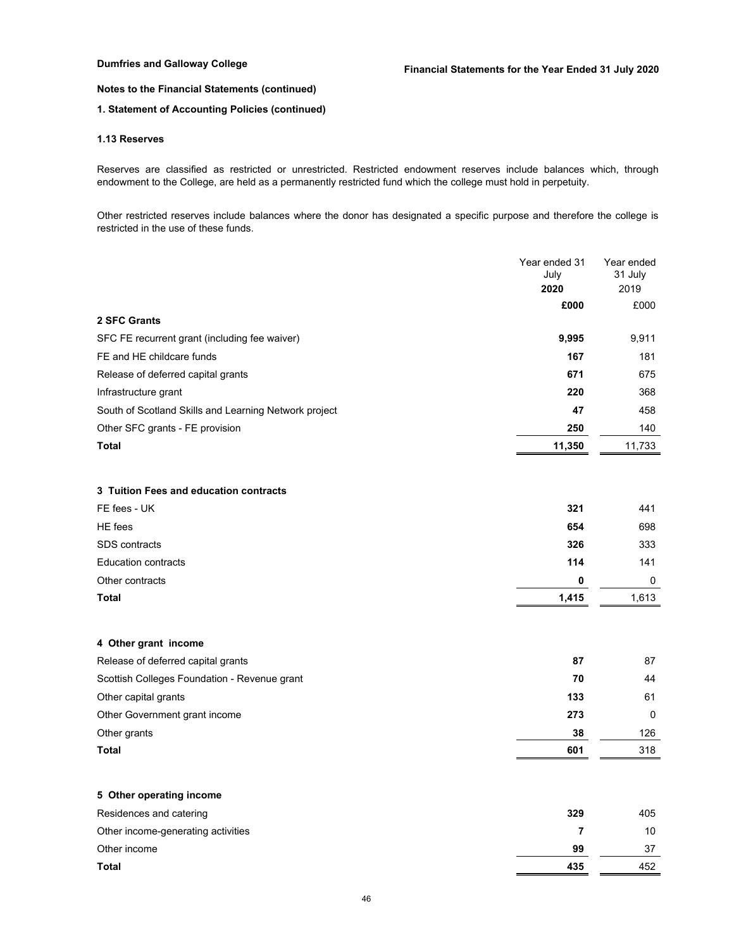## **1. Statement of Accounting Policies (continued)**

## **1.13 Reserves**

Reserves are classified as restricted or unrestricted. Restricted endowment reserves include balances which, through endowment to the College, are held as a permanently restricted fund which the college must hold in perpetuity.

Other restricted reserves include balances where the donor has designated a specific purpose and therefore the college is restricted in the use of these funds.

|                                                       | Year ended 31<br>July | Year ended<br>31 July |
|-------------------------------------------------------|-----------------------|-----------------------|
|                                                       | 2020                  | 2019                  |
|                                                       | £000                  | £000                  |
| 2 SFC Grants                                          |                       |                       |
| SFC FE recurrent grant (including fee waiver)         | 9,995                 | 9,911                 |
| FE and HE childcare funds                             | 167                   | 181                   |
| Release of deferred capital grants                    | 671                   | 675                   |
| Infrastructure grant                                  | 220                   | 368                   |
| South of Scotland Skills and Learning Network project | 47                    | 458                   |
| Other SFC grants - FE provision                       | 250                   | 140                   |
| <b>Total</b>                                          | 11,350                | 11,733                |
|                                                       |                       |                       |
| 3 Tuition Fees and education contracts                |                       |                       |
| FE fees - UK                                          | 321                   | 441                   |
| HE fees                                               | 654                   | 698                   |
| <b>SDS</b> contracts                                  | 326                   | 333                   |
| <b>Education contracts</b>                            | 114                   | 141                   |
| Other contracts                                       | 0                     | 0                     |
| <b>Total</b>                                          | 1,415                 | 1,613                 |
|                                                       |                       |                       |
| 4 Other grant income                                  |                       |                       |
| Release of deferred capital grants                    | 87                    | 87                    |
| Scottish Colleges Foundation - Revenue grant          | 70                    | 44                    |
| Other capital grants                                  | 133                   | 61                    |
| Other Government grant income                         | 273                   | 0                     |
| Other grants                                          | 38                    | 126                   |
| <b>Total</b>                                          | 601                   | 318                   |
|                                                       |                       |                       |
| 5 Other operating income                              |                       |                       |
| Residences and catering                               | 329                   | 405                   |
| Other income-generating activities                    | 7                     | 10                    |
| Other income                                          | 99                    | 37                    |
| Total                                                 | 435                   | 452                   |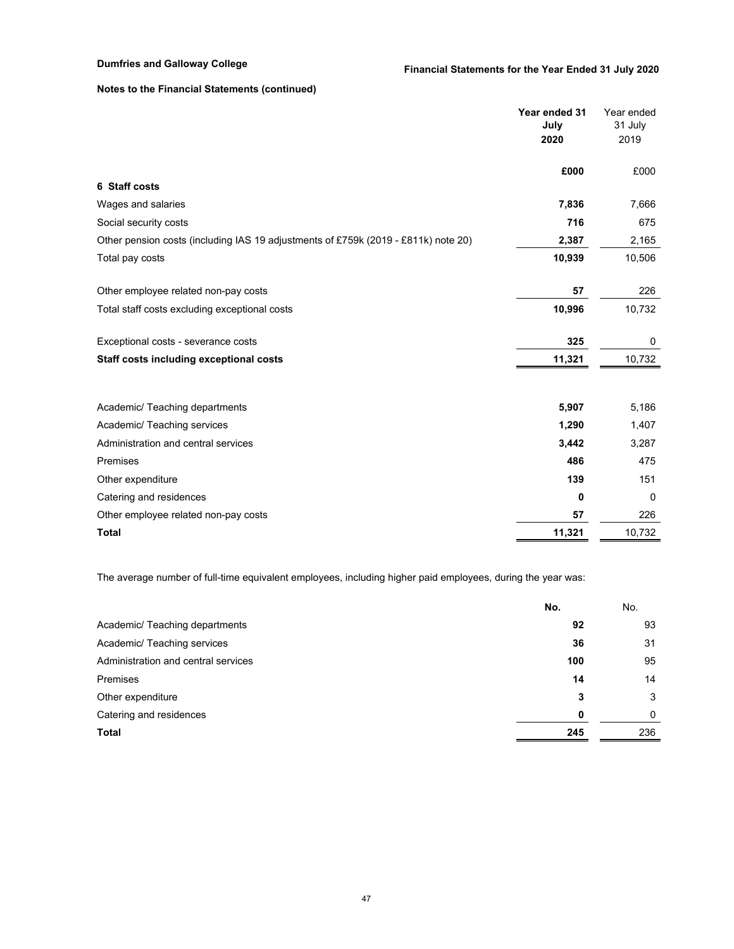|                                                                                    | Year ended 31<br>July<br>2020 | Year ended<br>31 July<br>2019 |
|------------------------------------------------------------------------------------|-------------------------------|-------------------------------|
|                                                                                    | £000                          | £000                          |
| 6 Staff costs                                                                      |                               |                               |
| Wages and salaries                                                                 | 7,836                         | 7,666                         |
| Social security costs                                                              | 716                           | 675                           |
| Other pension costs (including IAS 19 adjustments of £759k (2019 - £811k) note 20) | 2,387                         | 2,165                         |
| Total pay costs                                                                    | 10,939                        | 10,506                        |
| Other employee related non-pay costs                                               | 57                            | 226                           |
| Total staff costs excluding exceptional costs                                      | 10,996                        | 10,732                        |
| Exceptional costs - severance costs                                                | 325                           | 0                             |
| Staff costs including exceptional costs                                            | 11,321                        | 10,732                        |
|                                                                                    |                               |                               |
| Academic/ Teaching departments                                                     | 5,907                         | 5,186                         |
| Academic/ Teaching services                                                        | 1,290                         | 1,407                         |
| Administration and central services                                                | 3,442                         | 3,287                         |
| Premises                                                                           | 486                           | 475                           |
| Other expenditure                                                                  | 139                           | 151                           |
| Catering and residences                                                            | 0                             | $\Omega$                      |
| Other employee related non-pay costs                                               | 57                            | 226                           |
| <b>Total</b>                                                                       | 11,321                        | 10,732                        |

The average number of full-time equivalent employees, including higher paid employees, during the year was:

|                                     | No. | No.      |
|-------------------------------------|-----|----------|
| Academic/ Teaching departments      | 92  | 93       |
| Academic/ Teaching services         | 36  | 31       |
| Administration and central services | 100 | 95       |
| Premises                            | 14  | 14       |
| Other expenditure                   | 3   | 3        |
| Catering and residences             | 0   | $\Omega$ |
| Total                               | 245 | 236      |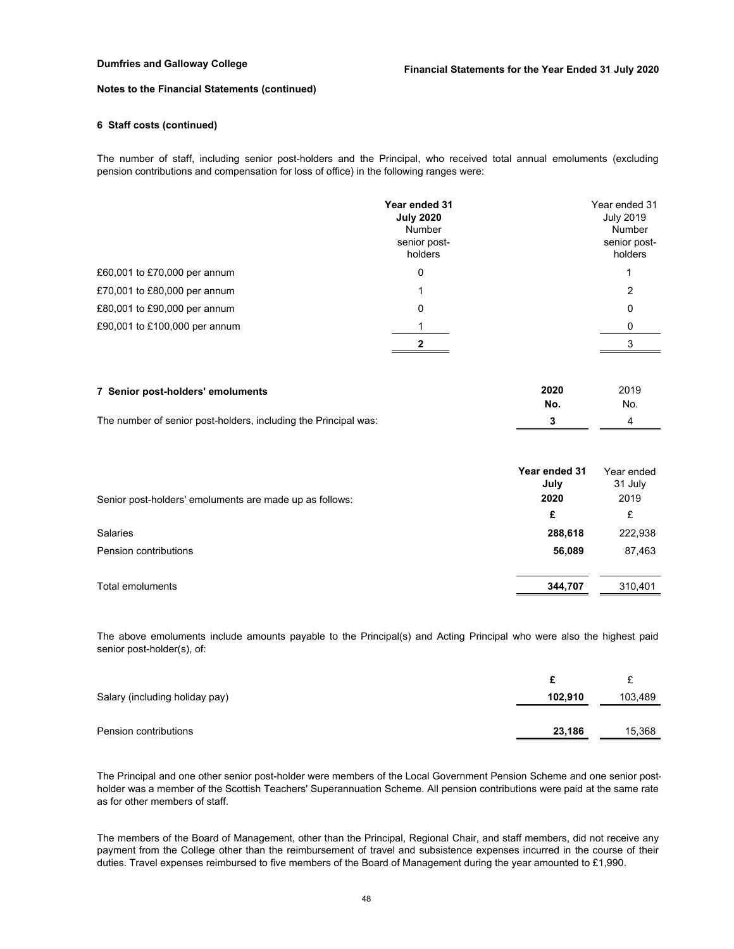### **6 Staff costs (continued)**

The number of staff, including senior post-holders and the Principal, who received total annual emoluments (excluding pension contributions and compensation for loss of office) in the following ranges were:

|                               | Year ended 31<br><b>July 2020</b><br>Number<br>senior post-<br>holders | Year ended 31<br><b>July 2019</b><br>Number<br>senior post-<br>holders |
|-------------------------------|------------------------------------------------------------------------|------------------------------------------------------------------------|
| £60,001 to £70,000 per annum  | 0                                                                      |                                                                        |
| £70,001 to £80,000 per annum  |                                                                        | 2                                                                      |
| £80,001 to £90,000 per annum  | 0                                                                      | 0                                                                      |
| £90,001 to £100,000 per annum |                                                                        |                                                                        |
|                               |                                                                        |                                                                        |

| 7 Senior post-holders' emoluments                               | 2020 | 2019 |
|-----------------------------------------------------------------|------|------|
|                                                                 | No.  | No.  |
| The number of senior post-holders, including the Principal was: |      |      |

|                                                         | Year ended 31<br>July | Year ended<br>31 July |
|---------------------------------------------------------|-----------------------|-----------------------|
| Senior post-holders' emoluments are made up as follows: | 2020                  | 2019                  |
|                                                         | £                     | £                     |
| Salaries                                                | 288,618               | 222,938               |
| Pension contributions                                   | 56,089                | 87,463                |
| Total emoluments                                        | 344,707               | 310,401               |

The above emoluments include amounts payable to the Principal(s) and Acting Principal who were also the highest paid senior post-holder(s), of:

| Salary (including holiday pay) | 102.910 | 103,489 |
|--------------------------------|---------|---------|
|                                |         |         |
| Pension contributions          | 23,186  | 15,368  |

The Principal and one other senior post-holder were members of the Local Government Pension Scheme and one senior postholder was a member of the Scottish Teachers' Superannuation Scheme. All pension contributions were paid at the same rate as for other members of staff.

The members of the Board of Management, other than the Principal, Regional Chair, and staff members, did not receive any payment from the College other than the reimbursement of travel and subsistence expenses incurred in the course of their duties. Travel expenses reimbursed to five members of the Board of Management during the year amounted to £1,990.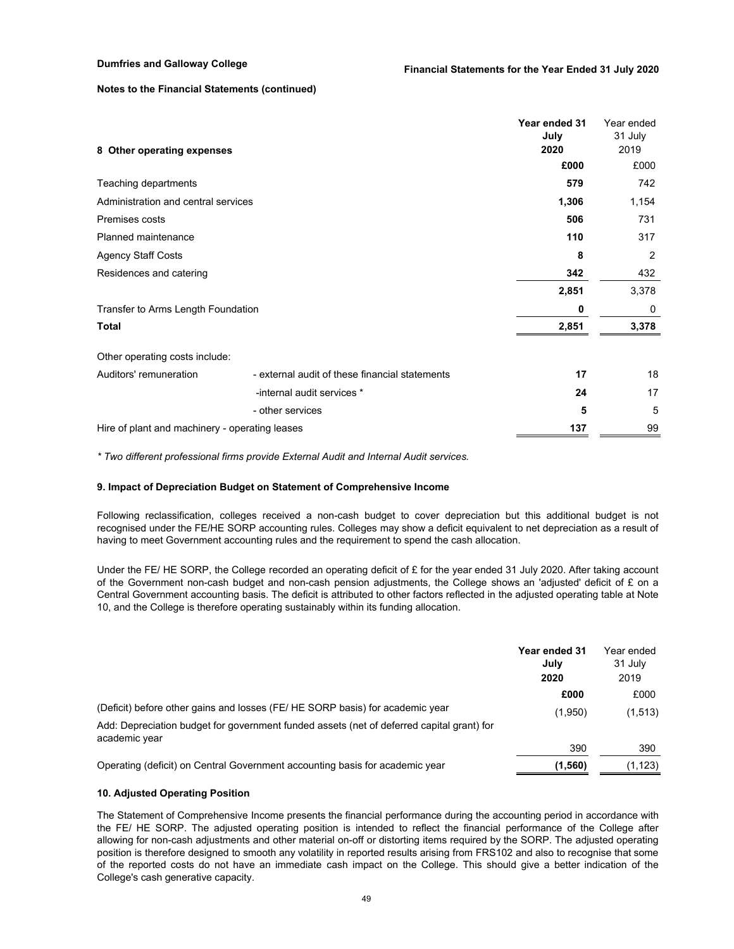| 8 Other operating expenses                     |                                                | Year ended 31<br>July<br>2020 | Year ended<br>31 July<br>2019 |
|------------------------------------------------|------------------------------------------------|-------------------------------|-------------------------------|
|                                                |                                                | £000                          | £000                          |
| Teaching departments                           |                                                | 579                           | 742                           |
| Administration and central services            |                                                | 1,306                         | 1,154                         |
| Premises costs                                 |                                                | 506                           | 731                           |
| Planned maintenance                            |                                                | 110                           | 317                           |
| <b>Agency Staff Costs</b>                      |                                                | 8                             | $\overline{2}$                |
| Residences and catering                        |                                                | 342                           | 432                           |
|                                                |                                                | 2,851                         | 3,378                         |
| Transfer to Arms Length Foundation             |                                                | 0                             | 0                             |
| <b>Total</b>                                   |                                                | 2,851                         | 3,378                         |
| Other operating costs include:                 |                                                |                               |                               |
| Auditors' remuneration                         | - external audit of these financial statements | 17                            | 18                            |
|                                                | -internal audit services *                     | 24                            | 17                            |
|                                                | - other services                               | 5                             | 5                             |
| Hire of plant and machinery - operating leases |                                                | 137                           | 99                            |

*\* Two different professional firms provide External Audit and Internal Audit services.*

#### **9. Impact of Depreciation Budget on Statement of Comprehensive Income**

Following reclassification, colleges received a non-cash budget to cover depreciation but this additional budget is not recognised under the FE/HE SORP accounting rules. Colleges may show a deficit equivalent to net depreciation as a result of having to meet Government accounting rules and the requirement to spend the cash allocation.

Under the FE/ HE SORP, the College recorded an operating deficit of  $E$  for the year ended 31 July 2020. After taking account of the Government non-cash budget and non-cash pension adjustments, the College shows an 'adjusted' deficit of  $E$  on a Central Government accounting basis. The deficit is attributed to other factors reflected in the adjusted operating table at Note 10, and the College is therefore operating sustainably within its funding allocation.

|                                                                                                            | Year ended 31<br>July<br>2020 | Year ended<br>31 July<br>2019 |
|------------------------------------------------------------------------------------------------------------|-------------------------------|-------------------------------|
|                                                                                                            | £000                          | £000                          |
| (Deficit) before other gains and losses (FE/HE SORP basis) for academic year                               | (1,950)                       | (1, 513)                      |
| Add: Depreciation budget for government funded assets (net of deferred capital grant) for<br>academic year |                               |                               |
|                                                                                                            | 390                           | 390                           |
| Operating (deficit) on Central Government accounting basis for academic year                               | (1,560)                       | (1,123)                       |

### **10. Adjusted Operating Position**

The Statement of Comprehensive Income presents the financial performance during the accounting period in accordance with the FE/ HE SORP. The adjusted operating position is intended to reflect the financial performance of the College after allowing for non-cash adjustments and other material on-off or distorting items required by the SORP. The adjusted operating position is therefore designed to smooth any volatility in reported results arising from FRS102 and also to recognise that some of the reported costs do not have an immediate cash impact on the College. This should give a better indication of the College's cash generative capacity.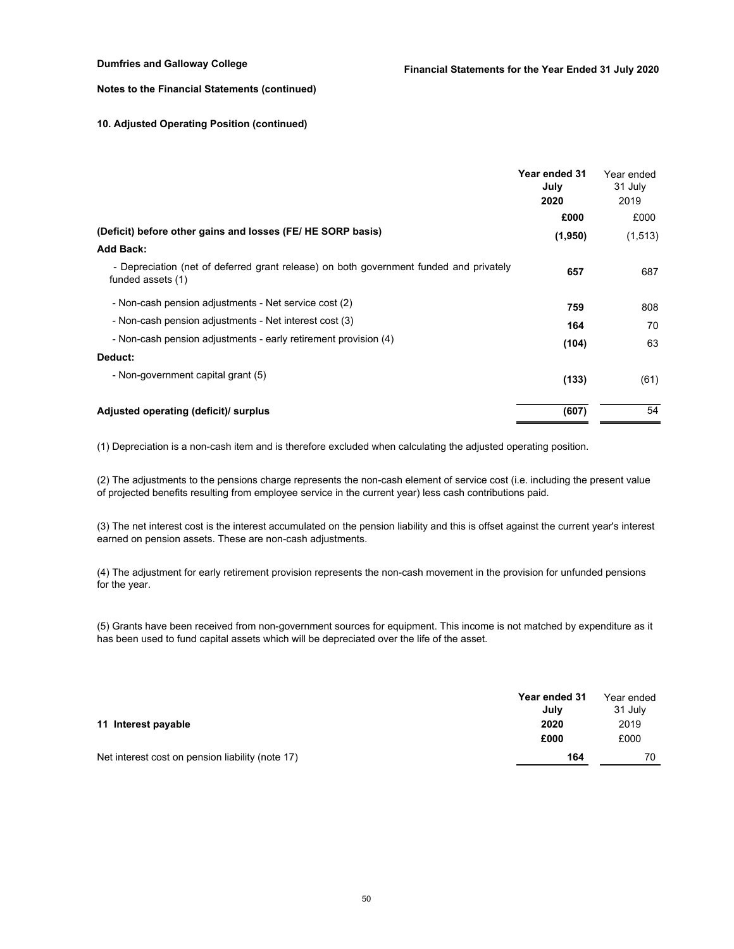### **10. Adjusted Operating Position (continued)**

|                                                                                                             | Year ended 31<br>July<br>2020 | Year ended<br>31 July<br>2019 |
|-------------------------------------------------------------------------------------------------------------|-------------------------------|-------------------------------|
|                                                                                                             | £000                          | £000                          |
| (Deficit) before other gains and losses (FE/HE SORP basis)                                                  | (1,950)                       | (1, 513)                      |
| <b>Add Back:</b>                                                                                            |                               |                               |
| - Depreciation (net of deferred grant release) on both government funded and privately<br>funded assets (1) | 657                           | 687                           |
| - Non-cash pension adjustments - Net service cost (2)                                                       | 759                           | 808                           |
| - Non-cash pension adjustments - Net interest cost (3)                                                      | 164                           | 70                            |
| - Non-cash pension adjustments - early retirement provision (4)                                             | (104)                         | 63                            |
| Deduct:                                                                                                     |                               |                               |
| - Non-government capital grant (5)                                                                          | (133)                         | (61)                          |
| Adjusted operating (deficit)/ surplus                                                                       | (607)                         | 54                            |

(1) Depreciation is a non-cash item and is therefore excluded when calculating the adjusted operating position.

(2) The adjustments to the pensions charge represents the non-cash element of service cost (i.e. including the present value of projected benefits resulting from employee service in the current year) less cash contributions paid.

(3) The net interest cost is the interest accumulated on the pension liability and this is offset against the current year's interest earned on pension assets. These are non-cash adjustments.

(4) The adjustment for early retirement provision represents the non-cash movement in the provision for unfunded pensions for the year.

(5) Grants have been received from non-government sources for equipment. This income is not matched by expenditure as it has been used to fund capital assets which will be depreciated over the life of the asset.

|                                                  | Year ended 31<br>July | Year ended<br>31 July |
|--------------------------------------------------|-----------------------|-----------------------|
| 11 Interest payable                              | 2020                  | 2019                  |
|                                                  | £000                  | £000                  |
| Net interest cost on pension liability (note 17) | 164                   | 70                    |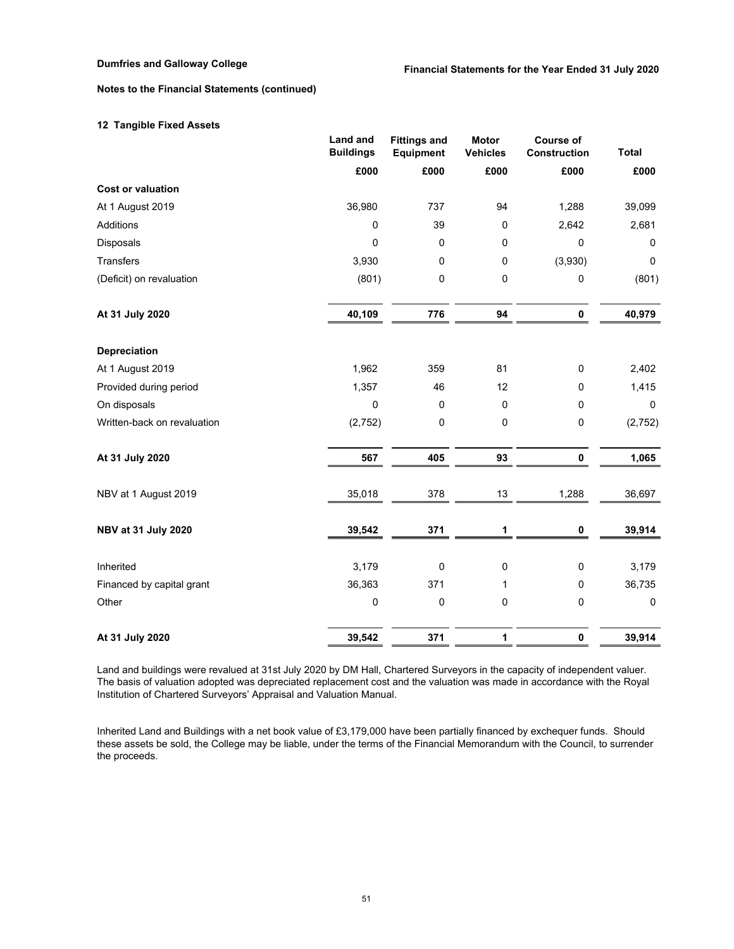## **12 Tangible Fixed Assets**

|                             | Land and<br><b>Buildings</b> | <b>Fittings and</b><br>Equipment | <b>Motor</b><br><b>Vehicles</b> | <b>Course of</b><br>Construction | <b>Total</b> |
|-----------------------------|------------------------------|----------------------------------|---------------------------------|----------------------------------|--------------|
|                             | £000                         | £000                             | £000                            | £000                             | £000         |
| <b>Cost or valuation</b>    |                              |                                  |                                 |                                  |              |
| At 1 August 2019            | 36,980                       | 737                              | 94                              | 1,288                            | 39,099       |
| Additions                   | 0                            | 39                               | $\pmb{0}$                       | 2,642                            | 2,681        |
| Disposals                   | $\mathbf 0$                  | 0                                | 0                               | 0                                | $\mathbf 0$  |
| <b>Transfers</b>            | 3,930                        | 0                                | 0                               | (3,930)                          | $\mathbf 0$  |
| (Deficit) on revaluation    | (801)                        | 0                                | $\pmb{0}$                       | 0                                | (801)        |
| At 31 July 2020             | 40,109                       | 776                              | 94                              | $\pmb{0}$                        | 40,979       |
| Depreciation                |                              |                                  |                                 |                                  |              |
| At 1 August 2019            | 1,962                        | 359                              | 81                              | 0                                | 2,402        |
| Provided during period      | 1,357                        | 46                               | 12                              | 0                                | 1,415        |
| On disposals                | $\mathbf 0$                  | 0                                | 0                               | 0                                | $\mathbf{0}$ |
| Written-back on revaluation | (2, 752)                     | 0                                | $\pmb{0}$                       | 0                                | (2, 752)     |
| At 31 July 2020             | 567                          | 405                              | 93                              | 0                                | 1,065        |
| NBV at 1 August 2019        | 35,018                       | 378                              | 13                              | 1,288                            | 36,697       |
| <b>NBV at 31 July 2020</b>  | 39,542                       | 371                              | 1                               | 0                                | 39,914       |
| Inherited                   | 3,179                        | 0                                | $\pmb{0}$                       | 0                                | 3,179        |
| Financed by capital grant   | 36,363                       | 371                              | 1                               | $\pmb{0}$                        | 36,735       |
| Other                       | $\pmb{0}$                    | 0                                | $\pmb{0}$                       | 0                                | $\mathbf 0$  |
| At 31 July 2020             | 39,542                       | 371                              | 1                               | $\pmb{0}$                        | 39,914       |

Land and buildings were revalued at 31st July 2020 by DM Hall, Chartered Surveyors in the capacity of independent valuer. The basis of valuation adopted was depreciated replacement cost and the valuation was made in accordance with the Royal Institution of Chartered Surveyors' Appraisal and Valuation Manual.

Inherited Land and Buildings with a net book value of £3,179,000 have been partially financed by exchequer funds. Should these assets be sold, the College may be liable, under the terms of the Financial Memorandum with the Council, to surrender the proceeds.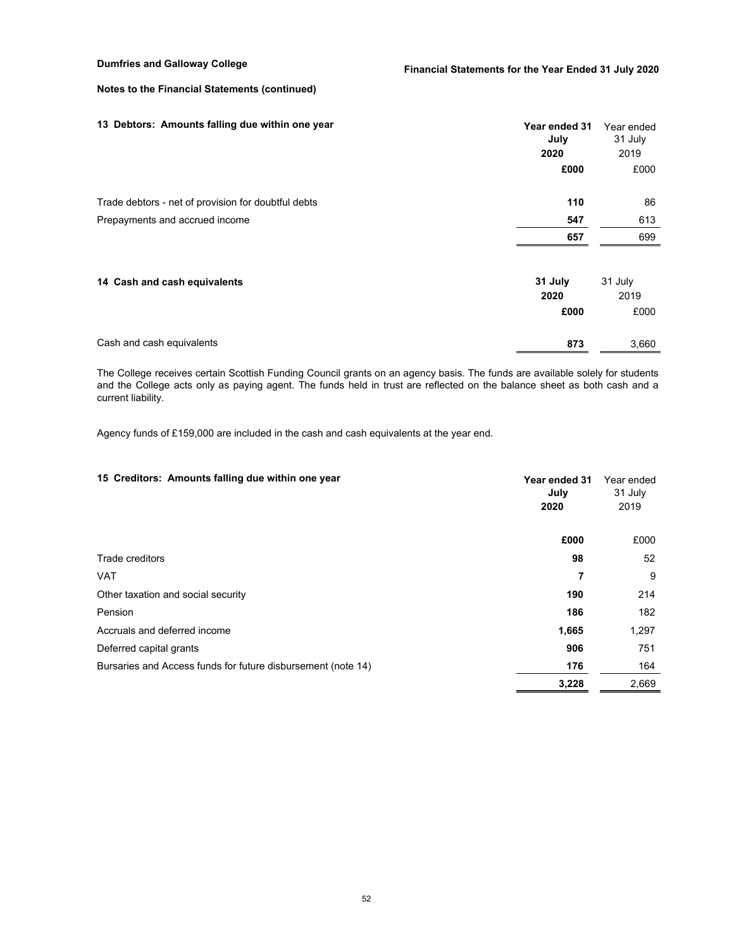| 13 Debtors: Amounts falling due within one year     | Year ended 31<br>July<br>2020<br>£000 | Year ended<br>31 July<br>2019<br>£000 |
|-----------------------------------------------------|---------------------------------------|---------------------------------------|
|                                                     |                                       |                                       |
| Trade debtors - net of provision for doubtful debts | 110                                   | 86                                    |
| Prepayments and accrued income                      | 547                                   | 613                                   |
|                                                     | 657                                   | 699                                   |
| 14 Cash and cash equivalents                        | 31 July                               | 31 July                               |
|                                                     | 2020                                  | 2019                                  |
|                                                     | £000                                  | £000                                  |
| Cash and cash equivalents                           | 873                                   | 3,660                                 |

The College receives certain Scottish Funding Council grants on an agency basis. The funds are available solely for students and the College acts only as paying agent. The funds held in trust are reflected on the balance sheet as both cash and a current liability.

Agency funds of £159,000 are included in the cash and cash equivalents at the year end.

| 15 Creditors: Amounts falling due within one year            | Year ended 31<br>July<br>2020 | Year ended<br>31 July<br>2019 |
|--------------------------------------------------------------|-------------------------------|-------------------------------|
|                                                              | £000                          | £000                          |
| Trade creditors                                              | 98                            | 52                            |
| <b>VAT</b>                                                   | 7                             | 9                             |
| Other taxation and social security                           | 190                           | 214                           |
| Pension                                                      | 186                           | 182                           |
| Accruals and deferred income                                 | 1,665                         | 1,297                         |
| Deferred capital grants                                      | 906                           | 751                           |
| Bursaries and Access funds for future disbursement (note 14) | 176                           | 164                           |
|                                                              | 3,228                         | 2,669                         |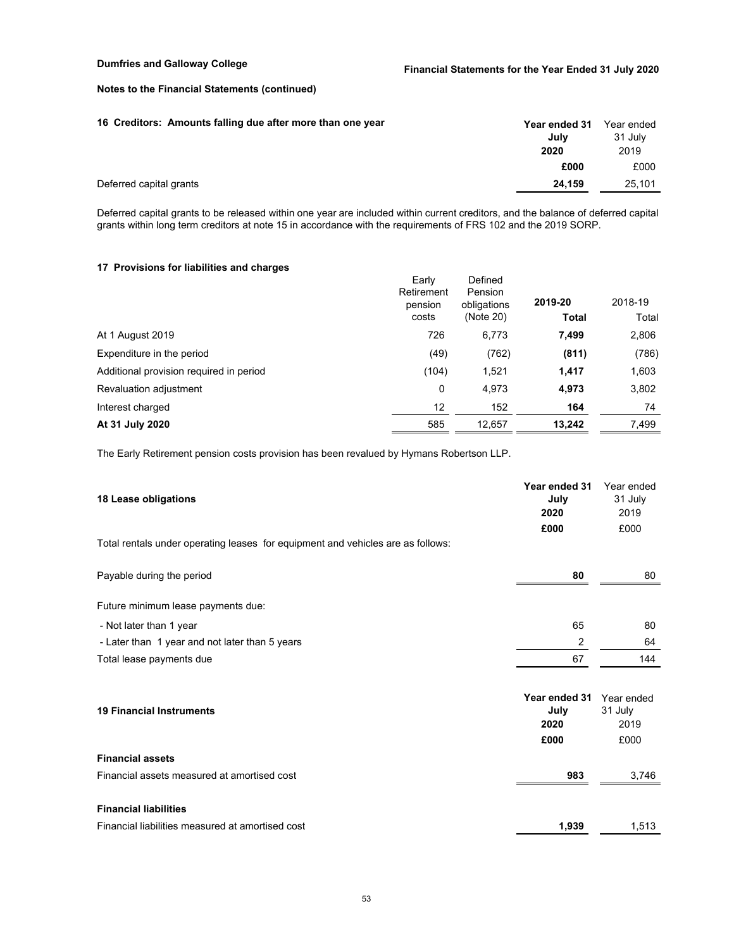| 16 Creditors: Amounts falling due after more than one year | Year ended 31<br>July<br>2020 | Year ended<br>31 July<br>2019 |
|------------------------------------------------------------|-------------------------------|-------------------------------|
|                                                            | £000                          | £000                          |
| Deferred capital grants                                    | 24.159                        | 25,101                        |

Deferred capital grants to be released within one year are included within current creditors, and the balance of deferred capital grants within long term creditors at note 15 in accordance with the requirements of FRS 102 and the 2019 SORP.

## **17 Provisions for liabilities and charges**

|                                         | Early<br>Retirement<br>pension<br>costs | Defined<br>Pension<br>obligations<br>(Note 20) | 2019-20<br>Total | 2018-19<br>Total |
|-----------------------------------------|-----------------------------------------|------------------------------------------------|------------------|------------------|
| At 1 August 2019                        | 726                                     | 6,773                                          | 7,499            | 2,806            |
| Expenditure in the period               | (49)                                    | (762)                                          | (811)            | (786)            |
| Additional provision required in period | (104)                                   | 1,521                                          | 1,417            | 1,603            |
| Revaluation adjustment                  | 0                                       | 4,973                                          | 4,973            | 3,802            |
| Interest charged                        | 12 <sup>°</sup>                         | 152                                            | 164              | 74               |
| At 31 July 2020                         | 585                                     | 12,657                                         | 13,242           | 7,499            |

The Early Retirement pension costs provision has been revalued by Hymans Robertson LLP.

| 18 Lease obligations                                                            | Year ended 31<br>July<br>2020         | Year ended<br>31 July<br>2019         |
|---------------------------------------------------------------------------------|---------------------------------------|---------------------------------------|
| Total rentals under operating leases for equipment and vehicles are as follows: | £000                                  | £000                                  |
| Payable during the period                                                       | 80                                    | 80                                    |
| Future minimum lease payments due:                                              |                                       |                                       |
| - Not later than 1 year                                                         | 65                                    | 80                                    |
| - Later than 1 year and not later than 5 years                                  | 2                                     | 64                                    |
| Total lease payments due                                                        | 67                                    | 144                                   |
| <b>19 Financial Instruments</b>                                                 | Year ended 31<br>July<br>2020<br>£000 | Year ended<br>31 July<br>2019<br>£000 |
| <b>Financial assets</b>                                                         |                                       |                                       |
| Financial assets measured at amortised cost                                     | 983                                   | 3,746                                 |
| <b>Financial liabilities</b>                                                    |                                       |                                       |
| Financial liabilities measured at amortised cost                                | 1,939                                 | 1,513                                 |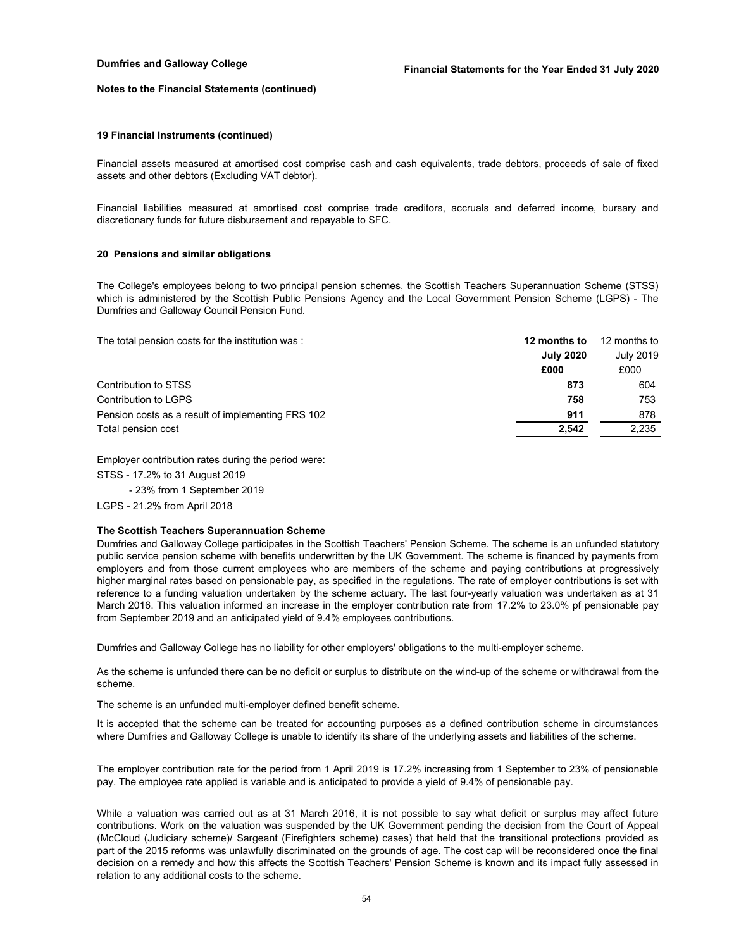#### **19 Financial Instruments (continued)**

Financial assets measured at amortised cost comprise cash and cash equivalents, trade debtors, proceeds of sale of fixed assets and other debtors (Excluding VAT debtor).

Financial liabilities measured at amortised cost comprise trade creditors, accruals and deferred income, bursary and discretionary funds for future disbursement and repayable to SFC.

#### **20 Pensions and similar obligations**

The College's employees belong to two principal pension schemes, the Scottish Teachers Superannuation Scheme (STSS) which is administered by the Scottish Public Pensions Agency and the Local Government Pension Scheme (LGPS) - The Dumfries and Galloway Council Pension Fund.

The total pension costs for the institution was : **12 months to** 12 months to

|                                                   | .                | .         |
|---------------------------------------------------|------------------|-----------|
|                                                   | <b>July 2020</b> | July 2019 |
|                                                   | £000             | £000      |
| Contribution to STSS                              | 873              | 604       |
| Contribution to LGPS                              | 758              | 753       |
| Pension costs as a result of implementing FRS 102 | 911              | 878       |
| Total pension cost                                | 2.542            | 2,235     |
|                                                   |                  |           |

Employer contribution rates during the period were:

STSS - 17.2% to 31 August 2019

- 23% from 1 September 2019

LGPS - 21.2% from April 2018

### **The Scottish Teachers Superannuation Scheme**

Dumfries and Galloway College participates in the Scottish Teachers' Pension Scheme. The scheme is an unfunded statutory public service pension scheme with benefits underwritten by the UK Government. The scheme is financed by payments from employers and from those current employees who are members of the scheme and paying contributions at progressively higher marginal rates based on pensionable pay, as specified in the regulations. The rate of employer contributions is set with reference to a funding valuation undertaken by the scheme actuary. The last four-yearly valuation was undertaken as at 31 March 2016. This valuation informed an increase in the employer contribution rate from 17.2% to 23.0% pf pensionable pay from September 2019 and an anticipated yield of 9.4% employees contributions.

Dumfries and Galloway College has no liability for other employers' obligations to the multi-employer scheme.

As the scheme is unfunded there can be no deficit or surplus to distribute on the wind-up of the scheme or withdrawal from the scheme.

The scheme is an unfunded multi-employer defined benefit scheme.

It is accepted that the scheme can be treated for accounting purposes as a defined contribution scheme in circumstances where Dumfries and Galloway College is unable to identify its share of the underlying assets and liabilities of the scheme.

The employer contribution rate for the period from 1 April 2019 is 17.2% increasing from 1 September to 23% of pensionable pay. The employee rate applied is variable and is anticipated to provide a yield of 9.4% of pensionable pay.

While a valuation was carried out as at 31 March 2016, it is not possible to say what deficit or surplus may affect future contributions. Work on the valuation was suspended by the UK Government pending the decision from the Court of Appeal (McCloud (Judiciary scheme)/ Sargeant (Firefighters scheme) cases) that held that the transitional protections provided as part of the 2015 reforms was unlawfully discriminated on the grounds of age. The cost cap will be reconsidered once the final decision on a remedy and how this affects the Scottish Teachers' Pension Scheme is known and its impact fully assessed in relation to any additional costs to the scheme.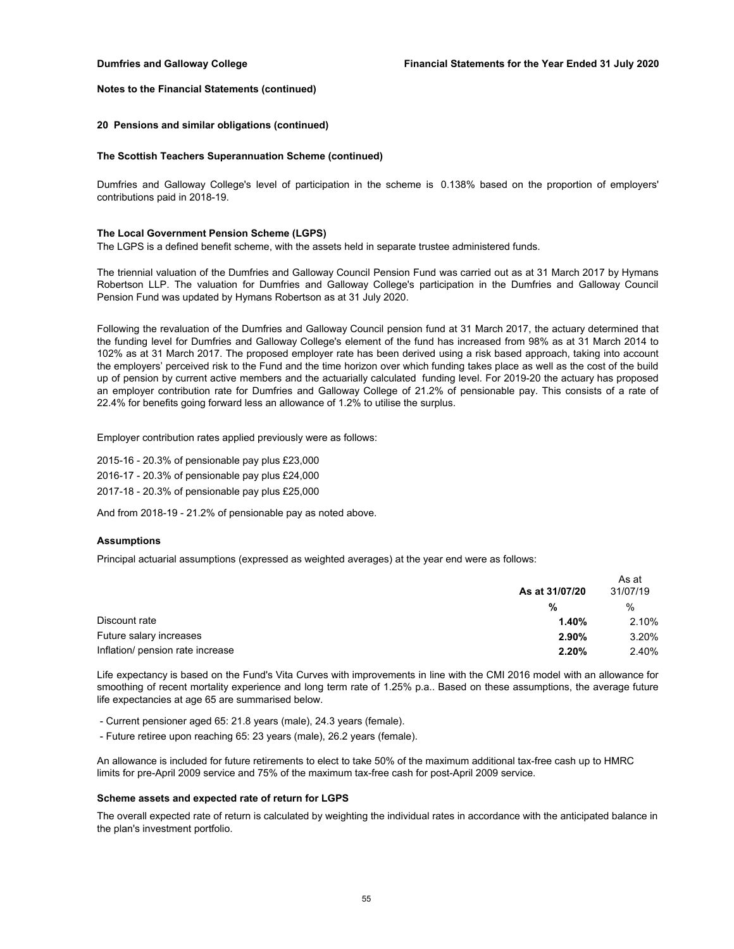#### **20 Pensions and similar obligations (continued)**

#### **The Scottish Teachers Superannuation Scheme (continued)**

Dumfries and Galloway College's level of participation in the scheme is 0.138% based on the proportion of employers' contributions paid in 2018-19.

#### **The Local Government Pension Scheme (LGPS)**

The LGPS is a defined benefit scheme, with the assets held in separate trustee administered funds.

The triennial valuation of the Dumfries and Galloway Council Pension Fund was carried out as at 31 March 2017 by Hymans Robertson LLP. The valuation for Dumfries and Galloway College's participation in the Dumfries and Galloway Council Pension Fund was updated by Hymans Robertson as at 31 July 2020.

Following the revaluation of the Dumfries and Galloway Council pension fund at 31 March 2017, the actuary determined that the funding level for Dumfries and Galloway College's element of the fund has increased from 98% as at 31 March 2014 to 102% as at 31 March 2017. The proposed employer rate has been derived using a risk based approach, taking into account the employers' perceived risk to the Fund and the time horizon over which funding takes place as well as the cost of the build up of pension by current active members and the actuarially calculated funding level. For 2019-20 the actuary has proposed an employer contribution rate for Dumfries and Galloway College of 21.2% of pensionable pay. This consists of a rate of 22.4% for benefits going forward less an allowance of 1.2% to utilise the surplus.

Employer contribution rates applied previously were as follows:

2015-16 - 20.3% of pensionable pay plus £23,000 2016-17 - 20.3% of pensionable pay plus £24,000 2017-18 - 20.3% of pensionable pay plus £25,000

And from 2018-19 - 21.2% of pensionable pay as noted above.

## **Assumptions**

Principal actuarial assumptions (expressed as weighted averages) at the year end were as follows:

|                                  | As at 31/07/20 | As at<br>31/07/19 |
|----------------------------------|----------------|-------------------|
|                                  | %              | $\%$              |
| Discount rate                    | 1.40%          | 2.10%             |
| Future salary increases          | 2.90%          | 3.20%             |
| Inflation/ pension rate increase | 2.20%          | 2.40%             |

Life expectancy is based on the Fund's Vita Curves with improvements in line with the CMI 2016 model with an allowance for smoothing of recent mortality experience and long term rate of 1.25% p.a.. Based on these assumptions, the average future life expectancies at age 65 are summarised below.

- Current pensioner aged 65: 21.8 years (male), 24.3 years (female).

- Future retiree upon reaching 65: 23 years (male), 26.2 years (female).

An allowance is included for future retirements to elect to take 50% of the maximum additional tax-free cash up to HMRC limits for pre-April 2009 service and 75% of the maximum tax-free cash for post-April 2009 service.

#### **Scheme assets and expected rate of return for LGPS**

The overall expected rate of return is calculated by weighting the individual rates in accordance with the anticipated balance in the plan's investment portfolio.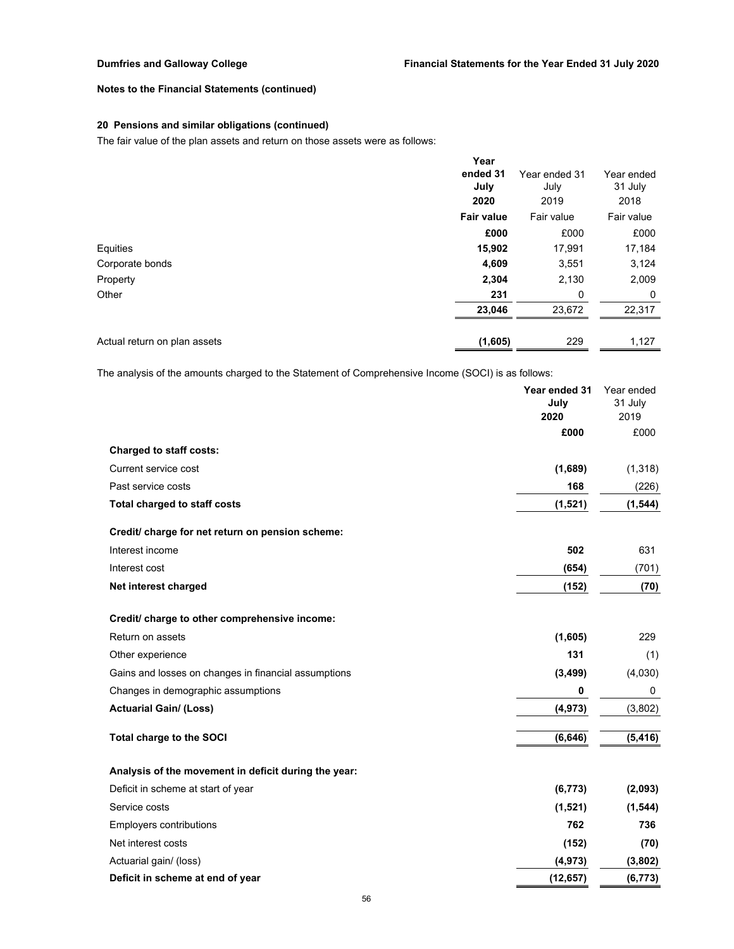## **20 Pensions and similar obligations (continued)**

The fair value of the plan assets and return on those assets were as follows:

|                              | Year              |               |            |
|------------------------------|-------------------|---------------|------------|
|                              | ended 31          | Year ended 31 | Year ended |
|                              | July              | July          | 31 July    |
|                              | 2020              | 2019          | 2018       |
|                              | <b>Fair value</b> | Fair value    | Fair value |
|                              | £000              | £000          | £000       |
| Equities                     | 15,902            | 17,991        | 17,184     |
| Corporate bonds              | 4,609             | 3,551         | 3,124      |
| Property                     | 2,304             | 2,130         | 2,009      |
| Other                        | 231               | 0             | 0          |
|                              | 23,046            | 23,672        | 22,317     |
|                              |                   |               |            |
| Actual return on plan assets | (1,605)           | 229           | 1,127      |

The analysis of the amounts charged to the Statement of Comprehensive Income (SOCI) is as follows:

|                                                      | Year ended 31<br>July<br>2020 | Year ended<br>31 July<br>2019 |
|------------------------------------------------------|-------------------------------|-------------------------------|
|                                                      | £000                          | £000                          |
| <b>Charged to staff costs:</b>                       |                               |                               |
| Current service cost                                 | (1,689)                       | (1, 318)                      |
| Past service costs                                   | 168                           | (226)                         |
| <b>Total charged to staff costs</b>                  | (1, 521)                      | (1, 544)                      |
| Credit/ charge for net return on pension scheme:     |                               |                               |
| Interest income                                      | 502                           | 631                           |
| Interest cost                                        | (654)                         | (701)                         |
| Net interest charged                                 | (152)                         | (70)                          |
| Credit/ charge to other comprehensive income:        |                               |                               |
| Return on assets                                     | (1,605)                       | 229                           |
| Other experience                                     | 131                           | (1)                           |
| Gains and losses on changes in financial assumptions | (3, 499)                      | (4,030)                       |
| Changes in demographic assumptions                   | 0                             | 0                             |
| <b>Actuarial Gain/ (Loss)</b>                        | (4, 973)                      | (3,802)                       |
| Total charge to the SOCI                             | (6, 646)                      | (5, 416)                      |
| Analysis of the movement in deficit during the year: |                               |                               |
| Deficit in scheme at start of year                   | (6, 773)                      | (2,093)                       |
| Service costs                                        | (1,521)                       | (1, 544)                      |
| Employers contributions                              | 762                           | 736                           |
| Net interest costs                                   | (152)                         | (70)                          |
| Actuarial gain/ (loss)                               | (4, 973)                      | (3,802)                       |
| Deficit in scheme at end of year                     | (12, 657)                     | (6, 773)                      |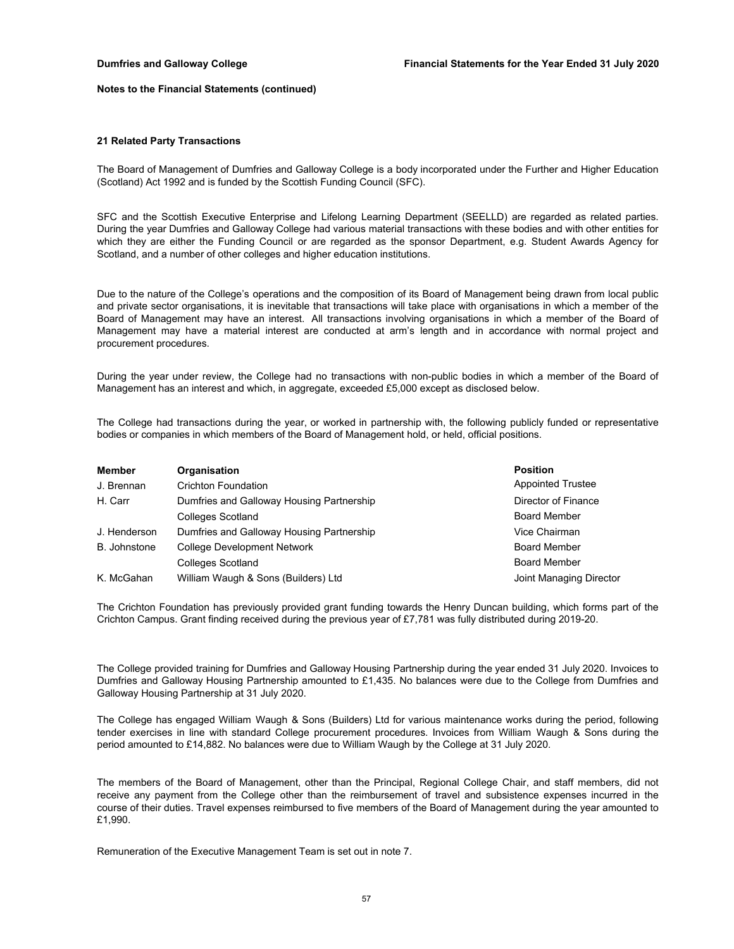#### **21 Related Party Transactions**

The Board of Management of Dumfries and Galloway College is a body incorporated under the Further and Higher Education (Scotland) Act 1992 and is funded by the Scottish Funding Council (SFC).

SFC and the Scottish Executive Enterprise and Lifelong Learning Department (SEELLD) are regarded as related parties. During the year Dumfries and Galloway College had various material transactions with these bodies and with other entities for which they are either the Funding Council or are regarded as the sponsor Department, e.g. Student Awards Agency for Scotland, and a number of other colleges and higher education institutions.

Due to the nature of the College's operations and the composition of its Board of Management being drawn from local public and private sector organisations, it is inevitable that transactions will take place with organisations in which a member of the Board of Management may have an interest. All transactions involving organisations in which a member of the Board of Management may have a material interest are conducted at arm's length and in accordance with normal project and procurement procedures.

During the year under review, the College had no transactions with non-public bodies in which a member of the Board of Management has an interest and which, in aggregate, exceeded £5,000 except as disclosed below.

The College had transactions during the year, or worked in partnership with, the following publicly funded or representative bodies or companies in which members of the Board of Management hold, or held, official positions.

| <b>Member</b>       | Organisation                              | <b>Position</b>          |
|---------------------|-------------------------------------------|--------------------------|
| J. Brennan          | Crichton Foundation                       | <b>Appointed Trustee</b> |
| H. Carr             | Dumfries and Galloway Housing Partnership | Director of Finance      |
|                     | <b>Colleges Scotland</b>                  | <b>Board Member</b>      |
| J. Henderson        | Dumfries and Galloway Housing Partnership | Vice Chairman            |
| <b>B.</b> Johnstone | <b>College Development Network</b>        | <b>Board Member</b>      |
|                     | <b>Colleges Scotland</b>                  | <b>Board Member</b>      |
| K. McGahan          | William Waugh & Sons (Builders) Ltd       | Joint Managing Director  |

The Crichton Foundation has previously provided grant funding towards the Henry Duncan building, which forms part of the Crichton Campus. Grant finding received during the previous year of £7,781 was fully distributed during 2019-20.

The College provided training for Dumfries and Galloway Housing Partnership during the year ended 31 July 2020. Invoices to Dumfries and Galloway Housing Partnership amounted to £1,435. No balances were due to the College from Dumfries and Galloway Housing Partnership at 31 July 2020.

The College has engaged William Waugh & Sons (Builders) Ltd for various maintenance works during the period, following tender exercises in line with standard College procurement procedures. Invoices from William Waugh & Sons during the period amounted to £14,882. No balances were due to William Waugh by the College at 31 July 2020.

The members of the Board of Management, other than the Principal, Regional College Chair, and staff members, did not receive any payment from the College other than the reimbursement of travel and subsistence expenses incurred in the course of their duties. Travel expenses reimbursed to five members of the Board of Management during the year amounted to £1,990.

Remuneration of the Executive Management Team is set out in note 7.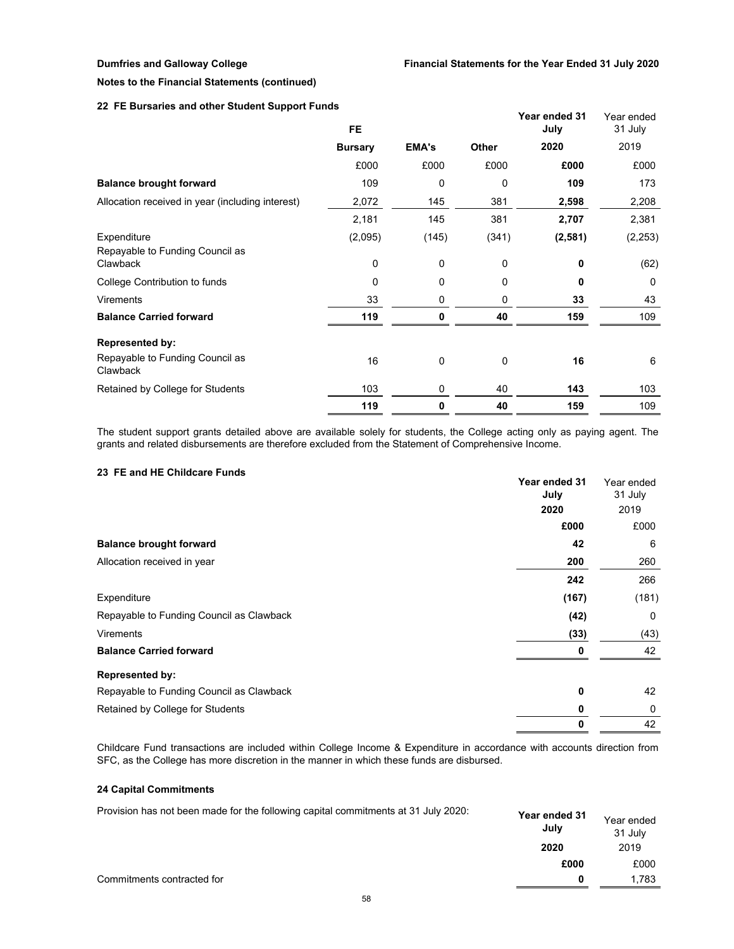## **22 FE Bursaries and other Student Support Funds**

| <b>Darbarico and other Stadent Support Fands</b>           | FE.            |              |            | Year ended 31<br>July | Year ended<br>31 July |
|------------------------------------------------------------|----------------|--------------|------------|-----------------------|-----------------------|
|                                                            | <b>Bursary</b> | <b>EMA's</b> | Other      | 2020                  | 2019                  |
|                                                            | £000           | £000         | £000       | £000                  | £000                  |
| <b>Balance brought forward</b>                             | 109            | $\Omega$     | 0          | 109                   | 173                   |
| Allocation received in year (including interest)           | 2,072          | 145          | 381        | 2,598                 | 2,208                 |
|                                                            | 2,181          | 145          | 381        | 2,707                 | 2,381                 |
| Expenditure<br>Repayable to Funding Council as<br>Clawback | (2,095)<br>0   | (145)<br>0   | (341)<br>0 | (2, 581)<br>0         | (2, 253)<br>(62)      |
| College Contribution to funds                              | 0              | 0            | 0          | 0                     | $\Omega$              |
| <b>Virements</b>                                           | 33             | 0            | 0          | 33                    | 43                    |
| <b>Balance Carried forward</b>                             | 119            | 0            | 40         | 159                   | 109                   |
| <b>Represented by:</b>                                     |                |              |            |                       |                       |
| Repayable to Funding Council as<br>Clawback                | 16             | 0            | 0          | 16                    | 6                     |
| Retained by College for Students                           | 103            | 0            | 40         | 143                   | 103                   |
|                                                            | 119            | 0            | 40         | 159                   | 109                   |

The student support grants detailed above are available solely for students, the College acting only as paying agent. The grants and related disbursements are therefore excluded from the Statement of Comprehensive Income.

## **23 FE and HE Childcare Funds**

|                                          | Year ended 31<br>July | Year ended<br>31 July |
|------------------------------------------|-----------------------|-----------------------|
|                                          | 2020                  | 2019                  |
|                                          | £000                  | £000                  |
| <b>Balance brought forward</b>           | 42                    | 6                     |
| Allocation received in year              | 200                   | 260                   |
|                                          | 242                   | 266                   |
| Expenditure                              | (167)                 | (181)                 |
| Repayable to Funding Council as Clawback | (42)                  | 0                     |
| <b>Virements</b>                         | (33)                  | (43)                  |
| <b>Balance Carried forward</b>           | 0                     | 42                    |
| <b>Represented by:</b>                   |                       |                       |
| Repayable to Funding Council as Clawback | 0                     | 42                    |
| Retained by College for Students         | 0                     | 0                     |
|                                          | 0                     | 42                    |

Childcare Fund transactions are included within College Income & Expenditure in accordance with accounts direction from SFC, as the College has more discretion in the manner in which these funds are disbursed.

## **24 Capital Commitments**

| Provision has not been made for the following capital commitments at 31 July 2020: | Year ended 31<br>July | Year ended<br>31 July |
|------------------------------------------------------------------------------------|-----------------------|-----------------------|
|                                                                                    | 2020                  | 2019                  |
|                                                                                    | £000                  | £000                  |
| Commitments contracted for                                                         | n                     | 1.783                 |